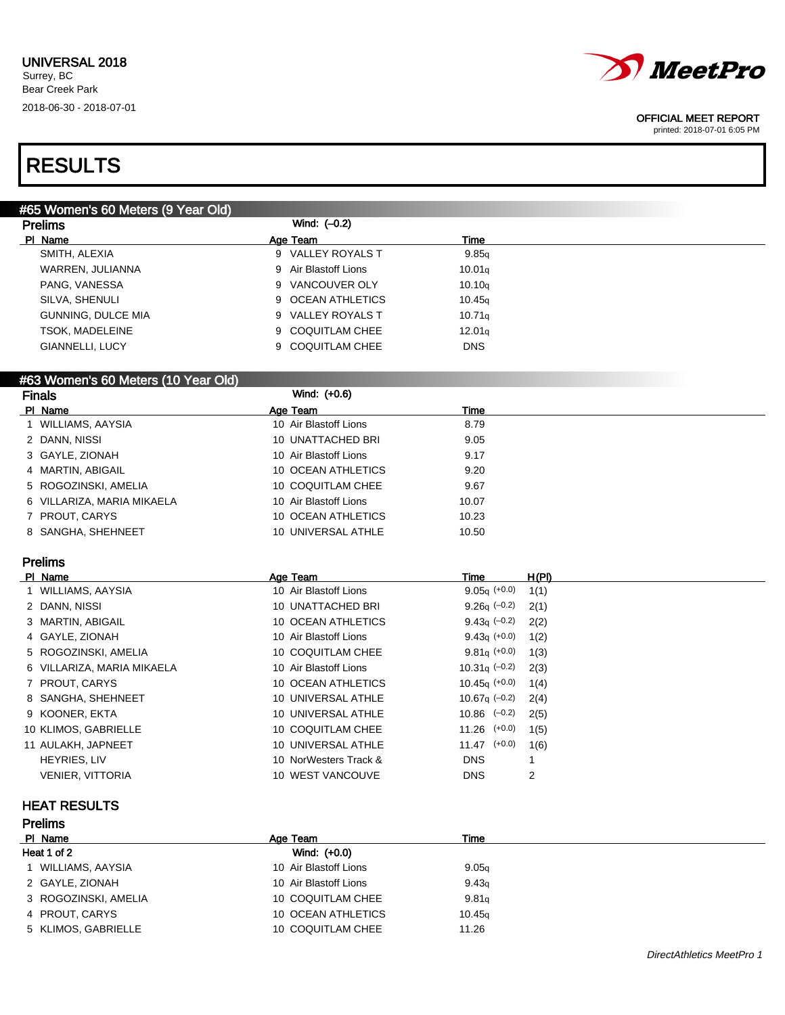

printed: 2018-07-01 6:05 PM

# RESULTS

### #65 Women's 60 Meters (9 Year Old)

| <b>Prelims</b>         | Wind: $(-0.2)$       |                    |
|------------------------|----------------------|--------------------|
| PI Name                | Age Team             | Time               |
| SMITH, ALEXIA          | 9 VALLEY ROYALS T    | 9.85q              |
| WARREN, JULIANNA       | 9 Air Blastoff Lions | 10.01 <sub>q</sub> |
| PANG, VANESSA          | 9 VANCOUVER OLY      | 10.10q             |
| SILVA, SHENULI         | 9 OCEAN ATHLETICS    | 10.45q             |
| GUNNING, DULCE MIA     | 9 VALLEY ROYALS T    | 10.71q             |
| <b>TSOK, MADELEINE</b> | 9 COQUITLAM CHEE     | 12.01 <sub>q</sub> |
| <b>GIANNELLI, LUCY</b> | 9 COQUITLAM CHEE     | <b>DNS</b>         |

### #63 Women's 60 Meters (10 Year Old)

| <b>Finals</b>              | Wind: (+0.6)          |       |
|----------------------------|-----------------------|-------|
| PI Name                    | Age Team              | Time  |
| 1 WILLIAMS, AAYSIA         | 10 Air Blastoff Lions | 8.79  |
| 2 DANN, NISSI              | 10 UNATTACHED BRI     | 9.05  |
| 3 GAYLE, ZIONAH            | 10 Air Blastoff Lions | 9.17  |
| 4 MARTIN, ABIGAIL          | 10 OCEAN ATHLETICS    | 9.20  |
| 5 ROGOZINSKI, AMELIA       | 10 COQUITLAM CHEE     | 9.67  |
| 6 VILLARIZA, MARIA MIKAELA | 10 Air Blastoff Lions | 10.07 |
| 7 PROUT, CARYS             | 10 OCEAN ATHLETICS    | 10.23 |
| 8 SANGHA, SHEHNEET         | 10 UNIVERSAL ATHLE    | 10.50 |

### Prelims

| PI Name                    | Age Team              | Time             | H(PI)          |
|----------------------------|-----------------------|------------------|----------------|
| 1 WILLIAMS, AAYSIA         | 10 Air Blastoff Lions | $9.05q (+0.0)$   | 1(1)           |
| 2 DANN, NISSI              | 10 UNATTACHED BRI     | $9.26q (-0.2)$   | 2(1)           |
| 3 MARTIN, ABIGAIL          | 10 OCEAN ATHLETICS    | $9.43q (-0.2)$   | 2(2)           |
| 4 GAYLE, ZIONAH            | 10 Air Blastoff Lions | $9.43q (+0.0)$   | 1(2)           |
| 5 ROGOZINSKI, AMELIA       | 10 COQUITLAM CHEE     | $9.81q$ (+0.0)   | 1(3)           |
| 6 VILLARIZA, MARIA MIKAELA | 10 Air Blastoff Lions | $10.31q$ (-0.2)  | 2(3)           |
| 7 PROUT, CARYS             | 10 OCEAN ATHLETICS    | $10.45q (+0.0)$  | 1(4)           |
| 8 SANGHA, SHEHNEET         | 10 UNIVERSAL ATHLE    | 10.67 $q(-0.2)$  | 2(4)           |
| 9 KOONER, EKTA             | 10 UNIVERSAL ATHLE    | $10.86$ $(-0.2)$ | 2(5)           |
| 10 KLIMOS, GABRIELLE       | 10 COQUITLAM CHEE     | $11.26$ $(+0.0)$ | 1(5)           |
| 11 AULAKH, JAPNEET         | 10 UNIVERSAL ATHLE    | $11.47$ $(+0.0)$ | 1(6)           |
| HEYRIES, LIV               | 10 NorWesters Track & | <b>DNS</b>       |                |
| <b>VENIER, VITTORIA</b>    | 10 WEST VANCOUVE      | <b>DNS</b>       | $\overline{2}$ |

### HEAT RESULTS

| <b>Prelims</b>       |                       |        |  |
|----------------------|-----------------------|--------|--|
| PI Name              | Age Team              | Time   |  |
| Heat 1 of 2          | Wind: (+0.0)          |        |  |
| 1 WILLIAMS, AAYSIA   | 10 Air Blastoff Lions | 9.05q  |  |
| 2 GAYLE, ZIONAH      | 10 Air Blastoff Lions | 9.43q  |  |
| 3 ROGOZINSKI, AMELIA | 10 COQUITLAM CHEE     | 9.81q  |  |
| 4 PROUT, CARYS       | 10 OCEAN ATHLETICS    | 10.45q |  |
| 5 KLIMOS, GABRIELLE  | 10 COQUITLAM CHEE     | 11.26  |  |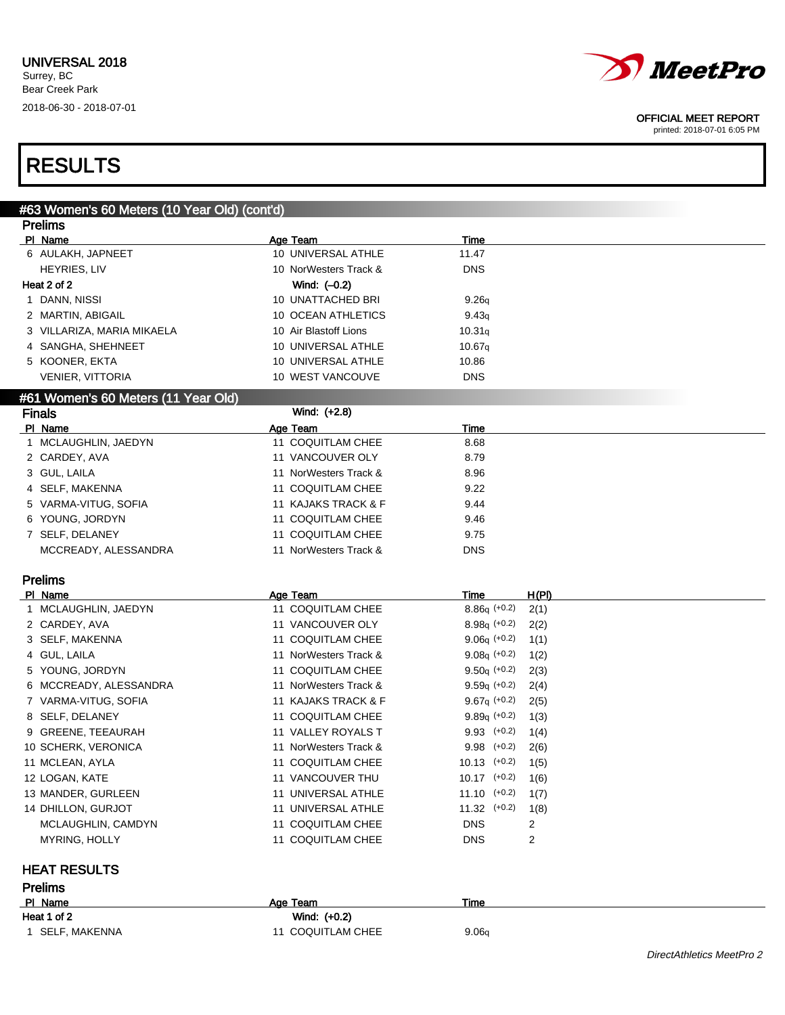

printed: 2018-07-01 6:05 PM

## RESULTS

| #63 Women's 60 Meters (10 Year Old) (cont'd) |                       |                          |
|----------------------------------------------|-----------------------|--------------------------|
| <b>Prelims</b>                               |                       |                          |
| PI Name                                      | <b>Age Team</b>       | Time                     |
| 6 AULAKH, JAPNEET                            | 10 UNIVERSAL ATHLE    | 11.47                    |
| HEYRIES, LIV                                 | 10 NorWesters Track & | <b>DNS</b>               |
| Heat 2 of 2                                  | Wind: (-0.2)          |                          |
| 1 DANN, NISSI                                | 10 UNATTACHED BRI     | 9.26q                    |
| 2 MARTIN, ABIGAIL                            | 10 OCEAN ATHLETICS    | 9.43q                    |
| 3 VILLARIZA, MARIA MIKAELA                   | 10 Air Blastoff Lions | 10.31q                   |
| 4 SANGHA, SHEHNEET                           | 10 UNIVERSAL ATHLE    | 10.67q                   |
| 5 KOONER, EKTA                               | 10 UNIVERSAL ATHLE    | 10.86                    |
| <b>VENIER, VITTORIA</b>                      | 10 WEST VANCOUVE      | <b>DNS</b>               |
| #61 Women's 60 Meters (11 Year Old)          |                       |                          |
| <b>Finals</b>                                | Wind: (+2.8)          |                          |
| PI Name                                      | Age Team              | <b>Time</b>              |
| 1 MCLAUGHLIN, JAEDYN                         | 11 COQUITLAM CHEE     | 8.68                     |
| 2 CARDEY, AVA                                | 11 VANCOUVER OLY      | 8.79                     |
| 3 GUL, LAILA                                 | 11 NorWesters Track & | 8.96                     |
| 4 SELF, MAKENNA                              | 11 COQUITLAM CHEE     | 9.22                     |
| 5 VARMA-VITUG, SOFIA                         | 11 KAJAKS TRACK & F   | 9.44                     |
| 6 YOUNG, JORDYN                              | 11 COQUITLAM CHEE     | 9.46                     |
| 7 SELF, DELANEY                              | 11 COQUITLAM CHEE     | 9.75                     |
| MCCREADY, ALESSANDRA                         | 11 NorWesters Track & | <b>DNS</b>               |
|                                              |                       |                          |
| <b>Prelims</b>                               |                       |                          |
| PI Name                                      | Age Team              | H(PI)<br>Time            |
| 1 MCLAUGHLIN, JAEDYN                         | 11 COQUITLAM CHEE     | $8.86q (+0.2)$<br>2(1)   |
| 2 CARDEY, AVA                                | 11 VANCOUVER OLY      | $8.98q (+0.2)$<br>2(2)   |
| 3 SELF, MAKENNA                              | 11 COQUITLAM CHEE     | $9.06q (+0.2)$<br>1(1)   |
| 4 GUL, LAILA                                 | 11 NorWesters Track & | $9.08q (+0.2)$<br>1(2)   |
| 5 YOUNG, JORDYN                              | 11 COQUITLAM CHEE     | $9.50q (+0.2)$<br>2(3)   |
| 6 MCCREADY, ALESSANDRA                       | 11 NorWesters Track & | $9.59q (+0.2)$<br>2(4)   |
| 7 VARMA-VITUG, SOFIA                         | 11 KAJAKS TRACK & F   | $9.67q (+0.2)$<br>2(5)   |
| 8 SELF, DELANEY                              | 11 COQUITLAM CHEE     | $9.89q (+0.2)$<br>1(3)   |
| 9 GREENE, TEEAURAH                           | 11 VALLEY ROYALS T    | $9.93$ $(+0.2)$<br>1(4)  |
| 10 SCHERK, VERONICA                          | 11 NorWesters Track & | $9.98$ $(+0.2)$<br>2(6)  |
| 11 MCLEAN, AYLA                              | 11 COQUITLAM CHEE     | $10.13$ $(+0.2)$<br>1(5) |
| 12 LOGAN, KATE                               | 11 VANCOUVER THU      | $10.17$ (+0.2)<br>1(6)   |
| 13 MANDER, GURLEEN                           | 11 UNIVERSAL ATHLE    | $11.10$ $(+0.2)$<br>1(7) |
| 14 DHILLON, GURJOT                           | 11 UNIVERSAL ATHLE    | 1(8)<br>$11.32$ $(+0.2)$ |
| MCLAUGHLIN, CAMDYN                           | 11 COQUITLAM CHEE     | <b>DNS</b><br>2          |
| MYRING, HOLLY                                | 11 COQUITLAM CHEE     | <b>DNS</b><br>2          |
|                                              |                       |                          |
| <b>HEAT RESULTS</b>                          |                       |                          |
| <b>Prelims</b>                               |                       |                          |
| PI Name                                      | Age Team              | Time                     |
| Heat 1 of 2                                  | Wind: (+0.2)          |                          |

1 SELF, MAKENNA 11 COQUITLAM CHEE 9.06q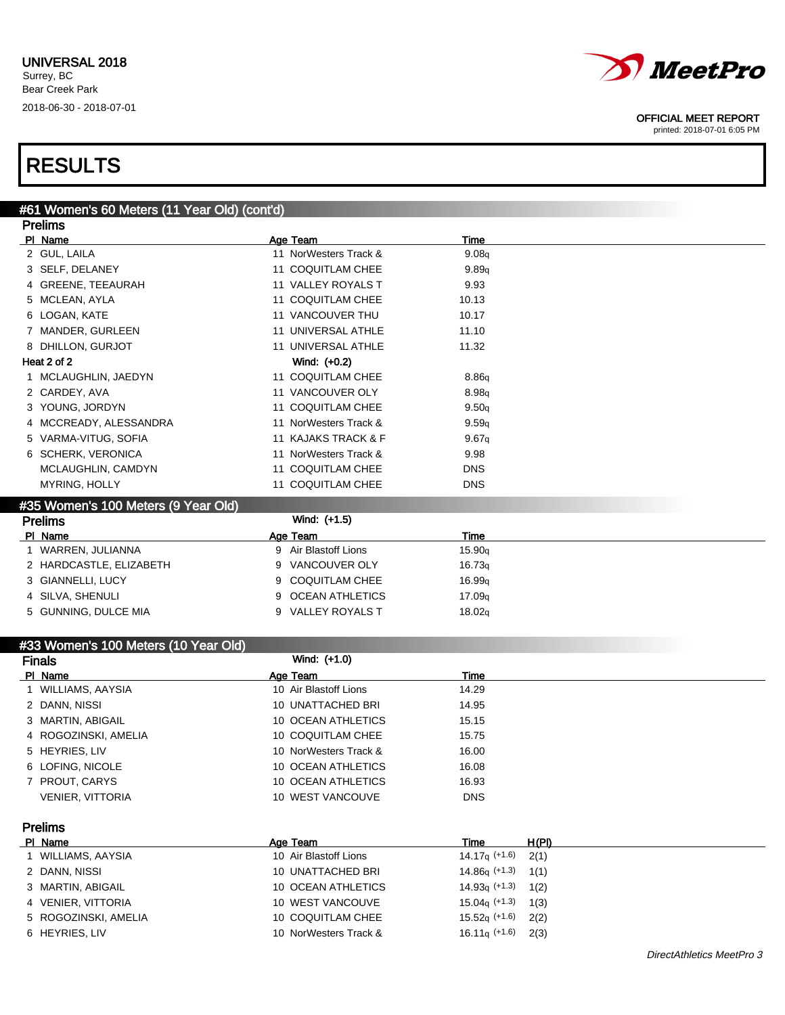

printed: 2018-07-01 6:05 PM

# RESULTS

| #61 Women's 60 Meters (11 Year Old) (cont'd) |                             |                    |  |
|----------------------------------------------|-----------------------------|--------------------|--|
| <b>Prelims</b>                               |                             |                    |  |
| PI Name                                      | Age Team                    | <b>Time</b>        |  |
| 2 GUL, LAILA                                 | 11 NorWesters Track &       | 9.08q              |  |
| 3 SELF, DELANEY                              | 11 COQUITLAM CHEE           | 9.89q              |  |
| 4 GREENE, TEEAURAH                           | 11 VALLEY ROYALS T          | 9.93               |  |
| 5 MCLEAN, AYLA                               | 11 COQUITLAM CHEE           | 10.13              |  |
| 6 LOGAN, KATE                                | 11 VANCOUVER THU            | 10.17              |  |
| MANDER, GURLEEN                              | 11 UNIVERSAL ATHLE          | 11.10              |  |
| 8 DHILLON, GURJOT                            | 11 UNIVERSAL ATHLE          | 11.32              |  |
| Heat 2 of 2                                  | Wind: (+0.2)                |                    |  |
| MCLAUGHLIN, JAEDYN                           | 11 COQUITLAM CHEE           | 8.86q              |  |
| 2 CARDEY, AVA                                | 11 VANCOUVER OLY            | 8.98q              |  |
| 3 YOUNG, JORDYN                              | 11 COQUITLAM CHEE           | 9.50q              |  |
| 4 MCCREADY, ALESSANDRA                       | 11 NorWesters Track &       | 9.59q              |  |
| 5 VARMA-VITUG, SOFIA                         | 11 KAJAKS TRACK & F         | 9.67q              |  |
| 6 SCHERK, VERONICA                           | 11 NorWesters Track &       | 9.98               |  |
| MCLAUGHLIN, CAMDYN                           | 11 COQUITLAM CHEE           | <b>DNS</b>         |  |
| <b>MYRING, HOLLY</b>                         | 11 COQUITLAM CHEE           | <b>DNS</b>         |  |
| #35 Women's 100 Meters (9 Year Old)          |                             |                    |  |
| <b>Prelims</b>                               | Wind: (+1.5)                |                    |  |
| PI Name                                      | Age Team                    | <b>Time</b>        |  |
| WARREN, JULIANNA                             | 9 Air Blastoff Lions        | 15.90 <sub>q</sub> |  |
| 2 HARDCASTLE, ELIZABETH                      | VANCOUVER OLY<br>9          | 16.73q             |  |
| 3 GIANNELLI, LUCY                            | <b>COQUITLAM CHEE</b><br>9  | 16.99q             |  |
| 4 SILVA, SHENULI                             | <b>OCEAN ATHLETICS</b><br>9 | 17.09q             |  |
| 5 GUNNING, DULCE MIA                         | <b>VALLEY ROYALS T</b><br>9 | 18.02q             |  |
|                                              |                             |                    |  |

### #33 Women's 100 Meters (10 Year Old)

| <b>Finals</b>           | Wind: (+1.0)          |            |
|-------------------------|-----------------------|------------|
| PI Name                 | Age Team              | Time       |
| WILLIAMS, AAYSIA        | 10 Air Blastoff Lions | 14.29      |
| 2 DANN, NISSI           | 10 UNATTACHED BRI     | 14.95      |
| 3 MARTIN, ABIGAIL       | 10 OCEAN ATHLETICS    | 15.15      |
| 4 ROGOZINSKI, AMELIA    | 10 COQUITLAM CHEE     | 15.75      |
| 5 HEYRIES, LIV          | 10 NorWesters Track & | 16.00      |
| 6 LOFING, NICOLE        | 10 OCEAN ATHLETICS    | 16.08      |
| PROUT, CARYS            | 10 OCEAN ATHLETICS    | 16.93      |
| <b>VENIER, VITTORIA</b> | 10 WEST VANCOUVE      | <b>DNS</b> |

| <b>Prelims</b>       |                       |                 |       |  |
|----------------------|-----------------------|-----------------|-------|--|
| PI Name              | Age Team              | Time            | H(PI) |  |
| 1 WILLIAMS, AAYSIA   | 10 Air Blastoff Lions | $14.17q$ (+1.6) | 2(1)  |  |
| 2 DANN, NISSI        | 10 UNATTACHED BRI     | $14.86q (+1.3)$ | 1(1)  |  |
| 3 MARTIN, ABIGAIL    | 10 OCEAN ATHLETICS    | $14.93q (+1.3)$ | 1(2)  |  |
| 4 VENIER, VITTORIA   | 10 WEST VANCOUVE      | $15.04q$ (+1.3) | 1(3)  |  |
| 5 ROGOZINSKI, AMELIA | 10 COQUITLAM CHEE     | $15.52a$ (+1.6) | 2(2)  |  |
| 6 HEYRIES, LIV       | 10 NorWesters Track & | $16.11a$ (+1.6) | 2(3)  |  |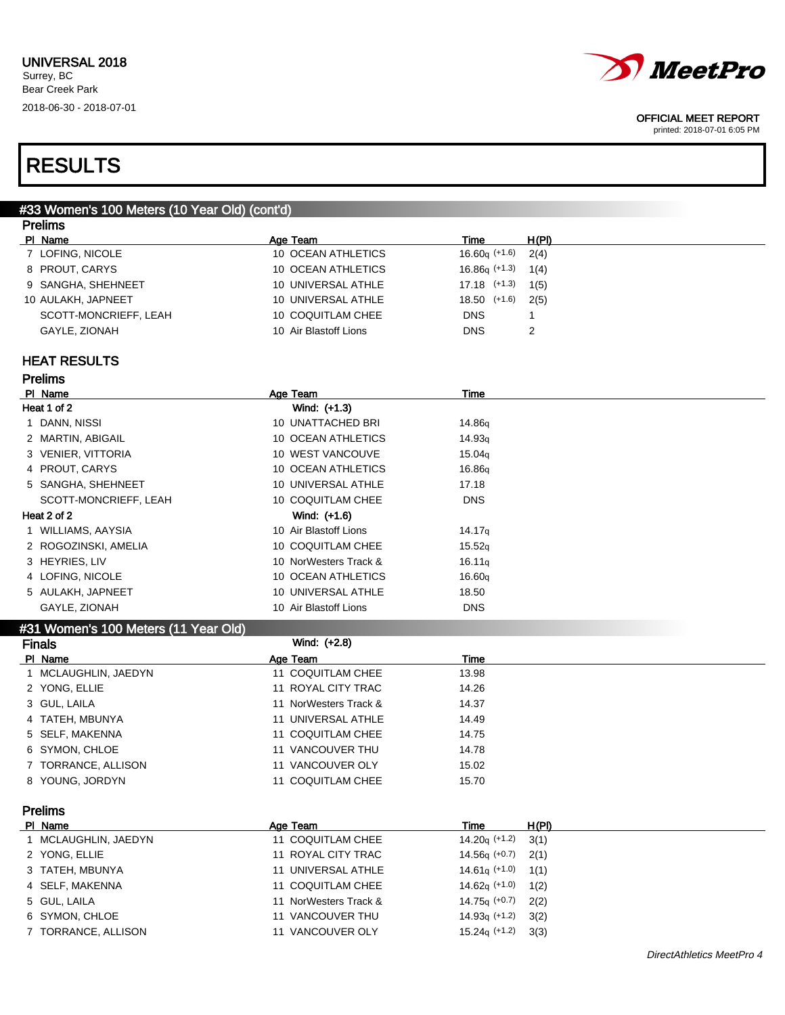

printed: 2018-07-01 6:05 PM

# RESULTS

| #33 Women's 100 Meters (10 Year Old) (cont'd) |                       |                  |       |  |  |
|-----------------------------------------------|-----------------------|------------------|-------|--|--|
| <b>Prelims</b>                                |                       |                  |       |  |  |
| PI Name                                       | Age Team              | Time             | H(PI) |  |  |
| 7 LOFING, NICOLE                              | 10 OCEAN ATHLETICS    | $16.60q (+1.6)$  | 2(4)  |  |  |
| 8 PROUT, CARYS                                | 10 OCEAN ATHLETICS    | $16.86q (+1.3)$  | 1(4)  |  |  |
| 9 SANGHA, SHEHNEET                            | 10 UNIVERSAL ATHLE    | $17.18$ $(+1.3)$ | 1(5)  |  |  |
| 10 AULAKH, JAPNEET                            | 10 UNIVERSAL ATHLE    | $18.50$ $(+1.6)$ | 2(5)  |  |  |
| SCOTT-MONCRIEFF, LEAH                         | 10 COQUITLAM CHEE     | <b>DNS</b>       |       |  |  |
| GAYLE, ZIONAH                                 | 10 Air Blastoff Lions | <b>DNS</b>       | 2     |  |  |
| <b>HEAT RESULTS</b>                           |                       |                  |       |  |  |
| <b>Prelims</b>                                |                       |                  |       |  |  |
| PI Name                                       | Age Team              | Time             |       |  |  |

|                       | $1.99$ $1.99$         |                    |  |
|-----------------------|-----------------------|--------------------|--|
| Heat 1 of 2           | Wind: (+1.3)          |                    |  |
| 1 DANN, NISSI         | 10 UNATTACHED BRI     | 14.86g             |  |
| 2 MARTIN, ABIGAIL     | 10 OCEAN ATHLETICS    | 14.93 <sub>a</sub> |  |
| 3 VENIER, VITTORIA    | 10 WEST VANCOUVE      | 15.04 <sub>q</sub> |  |
| 4 PROUT, CARYS        | 10 OCEAN ATHLETICS    | 16.86g             |  |
| 5 SANGHA, SHEHNEET    | 10 UNIVERSAL ATHLE    | 17.18              |  |
| SCOTT-MONCRIEFF, LEAH | 10 COQUITLAM CHEE     | <b>DNS</b>         |  |
| Heat 2 of 2           | Wind: (+1.6)          |                    |  |
| 1 WILLIAMS, AAYSIA    | 10 Air Blastoff Lions | 14.17 <sub>g</sub> |  |
| 2 ROGOZINSKI, AMELIA  | 10 COQUITLAM CHEE     | 15.52q             |  |
| 3 HEYRIES, LIV        | 10 NorWesters Track & | 16.11q             |  |
| 4 LOFING, NICOLE      | 10 OCEAN ATHLETICS    | 16.60q             |  |
| 5 AULAKH, JAPNEET     | 10 UNIVERSAL ATHLE    | 18.50              |  |
| GAYLE, ZIONAH         | 10 Air Blastoff Lions | <b>DNS</b>         |  |

### #31 Women's 100 Meters (11 Year Old)

| Age Team              | Time         |
|-----------------------|--------------|
| 11 COQUITLAM CHEE     | 13.98        |
| 11 ROYAL CITY TRAC    | 14.26        |
| 11 NorWesters Track & | 14.37        |
| 11 UNIVERSAL ATHLE    | 14.49        |
| 11 COQUITLAM CHEE     | 14.75        |
| 11 VANCOUVER THU      | 14.78        |
| 11 VANCOUVER OLY      | 15.02        |
| 11 COQUITLAM CHEE     | 15.70        |
|                       | Wind: (+2.8) |

### Prelims

| PI Name              | Age Team              | Time             | H(PI) |
|----------------------|-----------------------|------------------|-------|
| 1 MCLAUGHLIN, JAEDYN | 11 COQUITLAM CHEE     | 14.20 $q$ (+1.2) | 3(1)  |
| 2 YONG, ELLIE        | 11 ROYAL CITY TRAC    | $14.56q$ (+0.7)  | 2(1)  |
| 3 TATEH, MBUNYA      | 11 UNIVERSAL ATHLE    | $14.61q$ (+1.0)  | 1(1)  |
| 4 SELF, MAKENNA      | 11 COQUITLAM CHEE     | $14.62a$ (+1.0)  | 1(2)  |
| 5 GUL, LAILA         | 11 NorWesters Track & | $14.75a$ (+0.7)  | 2(2)  |
| 6 SYMON, CHLOE       | 11 VANCOUVER THU      | $14.93q$ (+1.2)  | 3(2)  |
| 7 TORRANCE, ALLISON  | 11 VANCOUVER OLY      | $15.24q$ (+1.2)  | 3(3)  |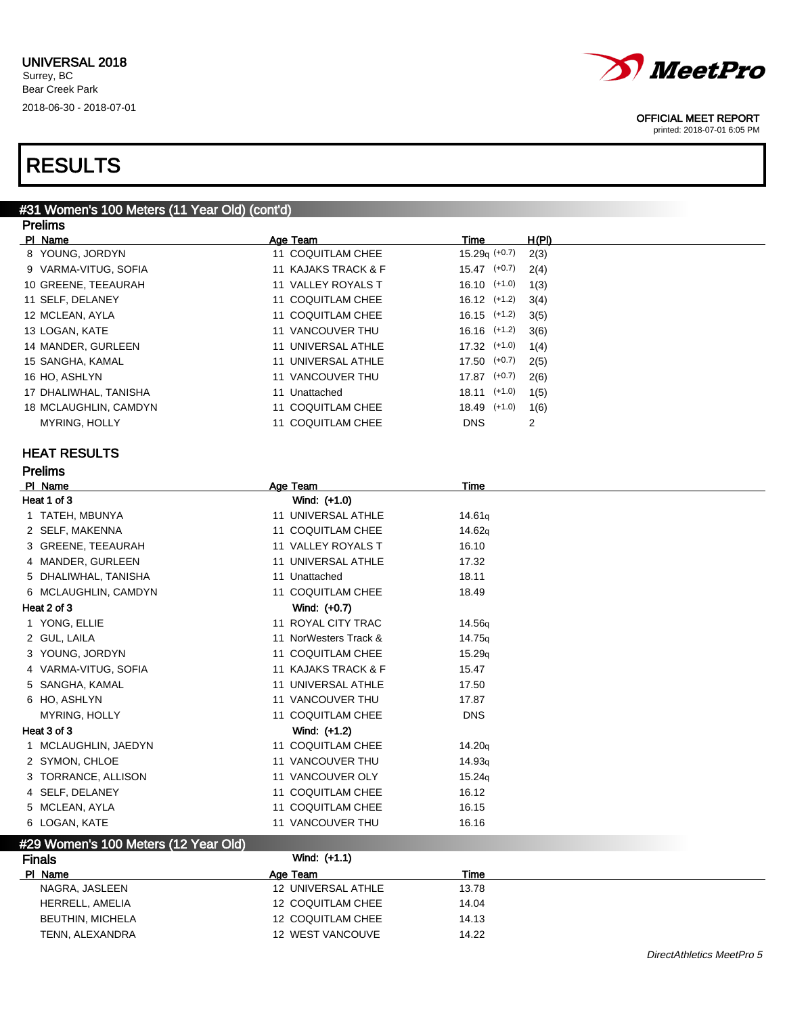

printed: 2018-07-01 6:05 PM

# RESULTS

 $\frac{1}{2}$   $\frac{1}{2}$   $\frac{1}{2}$   $\frac{1}{2}$   $\frac{1}{2}$   $\frac{1}{2}$   $\frac{1}{2}$   $\frac{1}{2}$   $\frac{1}{2}$   $\frac{1}{2}$   $\frac{1}{2}$   $\frac{1}{2}$   $\frac{1}{2}$   $\frac{1}{2}$   $\frac{1}{2}$   $\frac{1}{2}$   $\frac{1}{2}$   $\frac{1}{2}$   $\frac{1}{2}$   $\frac{1}{2}$   $\frac{1}{2}$   $\frac{1}{2}$ 

| <b>Prelims</b>        |                     |                          |  |
|-----------------------|---------------------|--------------------------|--|
| PI Name               | Age Team            | H(PI)<br>Time            |  |
| 8 YOUNG, JORDYN       | 11 COQUITLAM CHEE   | $15.29q (+0.7)$<br>2(3)  |  |
| 9 VARMA-VITUG, SOFIA  | 11 KAJAKS TRACK & F | $15.47$ $(+0.7)$<br>2(4) |  |
| 10 GREENE, TEEAURAH   | 11 VALLEY ROYALS T  | $16.10$ $(+1.0)$<br>1(3) |  |
| 11 SELF, DELANEY      | 11 COQUITLAM CHEE   | $16.12$ $(+1.2)$<br>3(4) |  |
| 12 MCLEAN, AYLA       | 11 COQUITLAM CHEE   | $16.15$ $(+1.2)$<br>3(5) |  |
| 13 LOGAN, KATE        | 11 VANCOUVER THU    | $16.16$ $(+1.2)$<br>3(6) |  |
| 14 MANDER, GURLEEN    | 11 UNIVERSAL ATHLE  | $17.32$ $(+1.0)$<br>1(4) |  |
| 15 SANGHA, KAMAL      | 11 UNIVERSAL ATHLE  | $17.50$ $(+0.7)$<br>2(5) |  |
| 16 HO, ASHLYN         | 11 VANCOUVER THU    | $17.87$ $(+0.7)$<br>2(6) |  |
| 17 DHALIWHAL, TANISHA | 11 Unattached       | $18.11$ $(+1.0)$<br>1(5) |  |
| 18 MCLAUGHLIN, CAMDYN | 11 COQUITLAM CHEE   | $18.49$ $(+1.0)$<br>1(6) |  |
| <b>MYRING, HOLLY</b>  | 11 COQUITLAM CHEE   | 2<br><b>DNS</b>          |  |

#### HEAT RESULTS Prelims

| <u>LIAIIII?</u>                      |                             |                    |  |
|--------------------------------------|-----------------------------|--------------------|--|
| PI Name                              | Age Team                    | Time               |  |
| Heat 1 of 3                          | Wind: (+1.0)                |                    |  |
| 1 TATEH, MBUNYA                      | 11 UNIVERSAL ATHLE          | 14.61q             |  |
| 2 SELF, MAKENNA                      | 11 COQUITLAM CHEE           | 14.62g             |  |
| 3 GREENE, TEEAURAH                   | 11 VALLEY ROYALS T          | 16.10              |  |
| 4 MANDER, GURLEEN                    | 11 UNIVERSAL ATHLE          | 17.32              |  |
| 5 DHALIWHAL, TANISHA                 | 11 Unattached               | 18.11              |  |
| 6 MCLAUGHLIN, CAMDYN                 | 11 COQUITLAM CHEE           | 18.49              |  |
| Heat 2 of 3                          | Wind: (+0.7)                |                    |  |
| 1 YONG, ELLIE                        | 11 ROYAL CITY TRAC          | 14.56g             |  |
| 2 GUL, LAILA                         | 11 NorWesters Track &       | 14.75 <sub>a</sub> |  |
| 3 YOUNG, JORDYN                      | 11 COQUITLAM CHEE           | 15.29q             |  |
| 4 VARMA-VITUG, SOFIA                 | 11 KAJAKS TRACK & F         | 15.47              |  |
| 5 SANGHA, KAMAL                      | 11 UNIVERSAL ATHLE          | 17.50              |  |
| 6 HO, ASHLYN                         | 11 VANCOUVER THU            | 17.87              |  |
| <b>MYRING, HOLLY</b>                 | 11 COQUITLAM CHEE           | <b>DNS</b>         |  |
| Heat 3 of 3                          | Wind: (+1.2)                |                    |  |
| 1 MCLAUGHLIN, JAEDYN                 | 11 COQUITLAM CHEE           | 14.20q             |  |
| 2 SYMON, CHLOE                       | 11 VANCOUVER THU            | 14.93 <sub>q</sub> |  |
| 3 TORRANCE, ALLISON                  | VANCOUVER OLY<br>11         | 15.24 <sub>q</sub> |  |
| 4 SELF, DELANEY                      | 11 COQUITLAM CHEE           | 16.12              |  |
| 5 MCLEAN, AYLA                       | <b>COQUITLAM CHEE</b><br>11 | 16.15              |  |
| 6 LOGAN, KATE                        | 11 VANCOUVER THU            | 16.16              |  |
| #29 Women's 100 Meters (12 Year Old) |                             |                    |  |
|                                      |                             |                    |  |

| <b>Finals</b>           | Wind: (+1.1)       |       |  |
|-------------------------|--------------------|-------|--|
| PI Name                 | Age Team           | Time  |  |
| NAGRA, JASLEEN          | 12 UNIVERSAL ATHLE | 13.78 |  |
| HERRELL, AMELIA         | 12 COQUITLAM CHEE  | 14.04 |  |
| <b>BEUTHIN, MICHELA</b> | 12 COQUITLAM CHEE  | 14.13 |  |
| TENN. ALEXANDRA         | 12 WEST VANCOUVE   | 14.22 |  |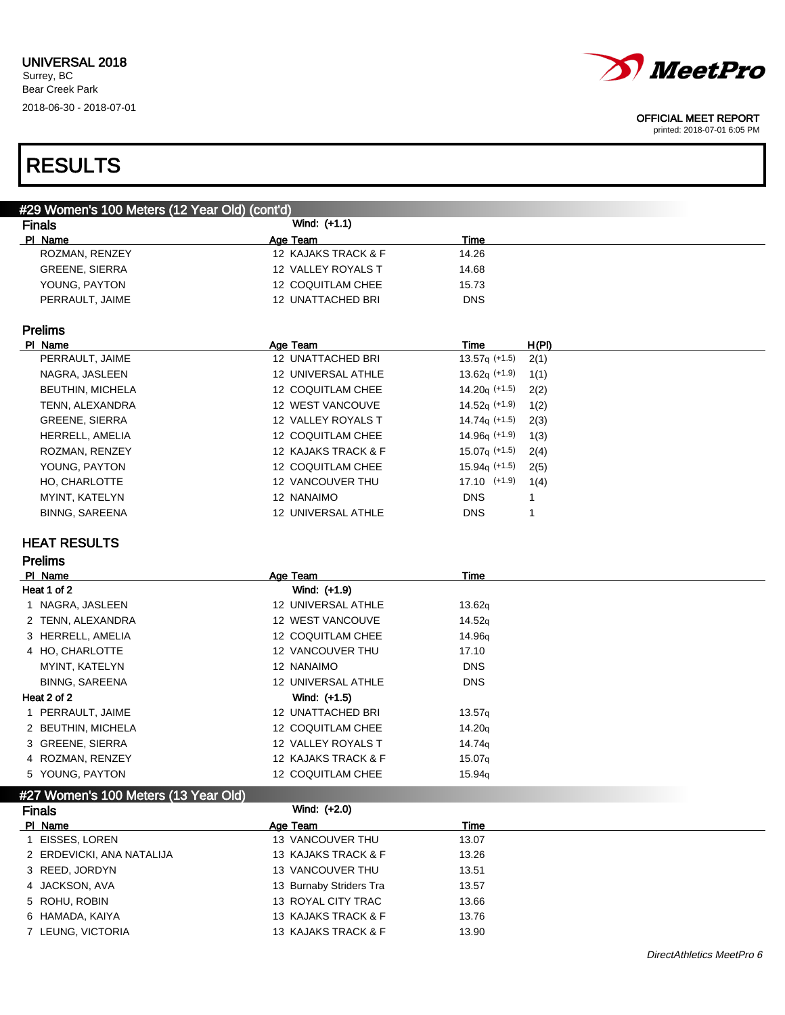

printed: 2018-07-01 6:05 PM

# RESULTS

| #29 Women's 100 Meters (12 Year Old) (cont'd) |                          |                  |       |
|-----------------------------------------------|--------------------------|------------------|-------|
| <b>Finals</b>                                 | Wind: (+1.1)             |                  |       |
| PI Name                                       | Age Team                 | <b>Time</b>      |       |
| ROZMAN, RENZEY                                | 12 KAJAKS TRACK & F      | 14.26            |       |
| <b>GREENE, SIERRA</b>                         | 12 VALLEY ROYALS T       | 14.68            |       |
| YOUNG, PAYTON                                 | 12 COQUITLAM CHEE        | 15.73            |       |
| PERRAULT, JAIME                               | 12 UNATTACHED BRI        | <b>DNS</b>       |       |
| <b>Prelims</b>                                |                          |                  |       |
| PI Name                                       | Age Team                 | Time             | H(PI) |
| PERRAULT, JAIME                               | <b>12 UNATTACHED BRI</b> | $13.57q$ (+1.5)  | 2(1)  |
| NAGRA, JASLEEN                                | 12 UNIVERSAL ATHLE       | $13.62q (+1.9)$  | 1(1)  |
| <b>BEUTHIN, MICHELA</b>                       | 12 COQUITLAM CHEE        | $14.20q$ (+1.5)  | 2(2)  |
| TENN, ALEXANDRA                               | 12 WEST VANCOUVE         | $14.52q$ (+1.9)  | 1(2)  |
| <b>GREENE, SIERRA</b>                         | 12 VALLEY ROYALS T       | $14.74q$ (+1.5)  | 2(3)  |
| HERRELL, AMELIA                               | 12 COQUITLAM CHEE        | $14.96q$ (+1.9)  | 1(3)  |
| ROZMAN, RENZEY                                | 12 KAJAKS TRACK & F      | $15.07q$ (+1.5)  | 2(4)  |
| YOUNG, PAYTON                                 | 12 COQUITLAM CHEE        | $15.94q$ (+1.5)  | 2(5)  |
| HO, CHARLOTTE                                 | 12 VANCOUVER THU         | $17.10$ $(+1.9)$ | 1(4)  |
| MYINT, KATELYN                                | 12 NANAIMO               | <b>DNS</b><br>1  |       |
| <b>BINNG, SAREENA</b>                         | 12 UNIVERSAL ATHLE       | <b>DNS</b><br>1  |       |
| <b>HEAT RESULTS</b>                           |                          |                  |       |

## Prelims

| PI Name               | Age Team            | Time               |  |
|-----------------------|---------------------|--------------------|--|
| Heat 1 of 2           | Wind: (+1.9)        |                    |  |
| 1 NAGRA, JASLEEN      | 12 UNIVERSAL ATHLE  | 13.62q             |  |
| 2 TENN, ALEXANDRA     | 12 WEST VANCOUVE    | 14.52 <sub>g</sub> |  |
| 3 HERRELL, AMELIA     | 12 COQUITLAM CHEE   | 14.96 <sub>g</sub> |  |
| 4 HO, CHARLOTTE       | 12 VANCOUVER THU    | 17.10              |  |
| MYINT, KATELYN        | 12 NANAIMO          | <b>DNS</b>         |  |
| <b>BINNG, SAREENA</b> | 12 UNIVERSAL ATHLE  | <b>DNS</b>         |  |
| Heat 2 of 2           | Wind: (+1.5)        |                    |  |
| 1 PERRAULT, JAIME     | 12 UNATTACHED BRI   | 13.57 <sub>q</sub> |  |
| 2 BEUTHIN, MICHELA    | 12 COQUITLAM CHEE   | 14.20 <sub>g</sub> |  |
| 3 GREENE, SIERRA      | 12 VALLEY ROYALS T  | 14.74 <sub>g</sub> |  |
| 4 ROZMAN, RENZEY      | 12 KAJAKS TRACK & F | 15.07 <sub>g</sub> |  |
| 5 YOUNG, PAYTON       | 12 COQUITLAM CHEE   | 15.94g             |  |

### #27 Women's 100 Meters (13 Year Old)

| <b>Finals</b>             | Wind: (+2.0)            |       |  |
|---------------------------|-------------------------|-------|--|
| PI Name                   | Age Team                | Time  |  |
| 1 EISSES, LOREN           | 13 VANCOUVER THU        | 13.07 |  |
| 2 ERDEVICKI, ANA NATALIJA | 13 KAJAKS TRACK & F     | 13.26 |  |
| 3 REED, JORDYN            | 13 VANCOUVER THU        | 13.51 |  |
| 4 JACKSON, AVA            | 13 Burnaby Striders Tra | 13.57 |  |
| 5 ROHU, ROBIN             | 13 ROYAL CITY TRAC      | 13.66 |  |
| 6 HAMADA, KAIYA           | 13 KAJAKS TRACK & F     | 13.76 |  |
| 7 LEUNG, VICTORIA         | 13 KAJAKS TRACK & F     | 13.90 |  |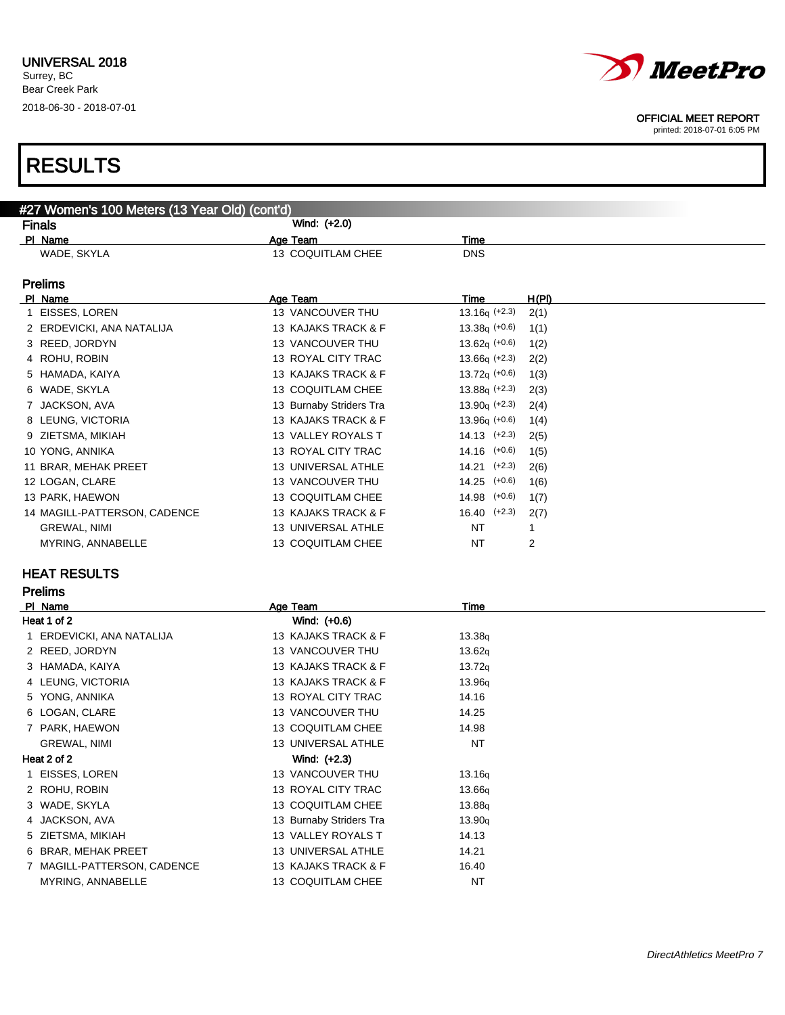

printed: 2018-07-01 6:05 PM

## RESULTS

| <b>Finals</b>                | Wind: (+2.0)            |                          |
|------------------------------|-------------------------|--------------------------|
| PI Name                      | Age Team                | Time                     |
| WADE, SKYLA                  | 13 COQUITLAM CHEE       | <b>DNS</b>               |
| <b>Prelims</b>               |                         |                          |
| PI Name                      | Age Team                | H(PI)<br>Time            |
| 1 EISSES, LOREN              | 13 VANCOUVER THU        | $13.16q$ (+2.3)<br>2(1)  |
| 2 ERDEVICKI, ANA NATALIJA    | 13 KAJAKS TRACK & F     | $13.38q$ (+0.6)<br>1(1)  |
| 3 REED, JORDYN               | 13 VANCOUVER THU        | $13.62q (+0.6)$<br>1(2)  |
| 4 ROHU, ROBIN                | 13 ROYAL CITY TRAC      | $13.66q (+2.3)$<br>2(2)  |
| 5 HAMADA, KAIYA              | 13 KAJAKS TRACK & F     | $13.72q$ (+0.6)<br>1(3)  |
| 6 WADE, SKYLA                | 13 COQUITLAM CHEE       | $13.88q$ (+2.3)<br>2(3)  |
| 7 JACKSON, AVA               | 13 Burnaby Striders Tra | $13.90q (+2.3)$<br>2(4)  |
| 8 LEUNG, VICTORIA            | 13 KAJAKS TRACK & F     | $13.96q (+0.6)$<br>1(4)  |
| 9 ZIETSMA, MIKIAH            | 13 VALLEY ROYALS T      | $14.13$ $(+2.3)$<br>2(5) |
| 10 YONG, ANNIKA              | 13 ROYAL CITY TRAC      | $14.16$ $(+0.6)$<br>1(5) |
| 11 BRAR, MEHAK PREET         | 13 UNIVERSAL ATHLE      | $14.21$ $(+2.3)$<br>2(6) |
| 12 LOGAN, CLARE              | 13 VANCOUVER THU        | $14.25$ $(+0.6)$<br>1(6) |
| 13 PARK, HAEWON              | 13 COQUITLAM CHEE       | $14.98$ $(+0.6)$<br>1(7) |
| 14 MAGILL-PATTERSON, CADENCE | 13 KAJAKS TRACK & F     | $16.40$ $(+2.3)$<br>2(7) |
| <b>GREWAL, NIMI</b>          | 13 UNIVERSAL ATHLE      | <b>NT</b>                |
| <b>MYRING, ANNABELLE</b>     | 13 COQUITLAM CHEE       | <b>NT</b><br>2           |

### HEAT RESULTS

Prelims

| PI Name                   | Age Team                | Time               |
|---------------------------|-------------------------|--------------------|
| Heat 1 of 2               | Wind: (+0.6)            |                    |
| 1 ERDEVICKI, ANA NATALIJA | 13 KAJAKS TRACK & F     | 13.38q             |
| 2 REED, JORDYN            | 13 VANCOUVER THU        | 13.62q             |
| 3 HAMADA, KAIYA           | 13 KAJAKS TRACK & F     | 13.72q             |
| 4 LEUNG, VICTORIA         | 13 KAJAKS TRACK & F     | 13.96 <sub>q</sub> |
| 5 YONG, ANNIKA            | 13 ROYAL CITY TRAC      | 14.16              |
| 6 LOGAN, CLARE            | 13 VANCOUVER THU        | 14.25              |
| 7 PARK, HAEWON            | 13 COQUITLAM CHEE       | 14.98              |
| GREWAL, NIMI              | 13 UNIVERSAL ATHLE      | <b>NT</b>          |
| Heat 2 of 2               | Wind: (+2.3)            |                    |
| 1 EISSES, LOREN           | 13 VANCOUVER THU        | 13.16q             |
| 2 ROHU, ROBIN             | 13 ROYAL CITY TRAC      | 13.66q             |
| 3 WADE, SKYLA             | 13 COQUITLAM CHEE       | 13.88 <sub>q</sub> |
| 4 JACKSON, AVA            | 13 Burnaby Striders Tra | 13.90q             |
| 5 ZIETSMA, MIKIAH         | 13 VALLEY ROYALS T      | 14.13              |
| 6 BRAR, MEHAK PREET       | 13 UNIVERSAL ATHLE      | 14.21              |
| MAGILL-PATTERSON, CADENCE | 13 KAJAKS TRACK & F     | 16.40              |
| MYRING, ANNABELLE         | 13 COQUITLAM CHEE       | <b>NT</b>          |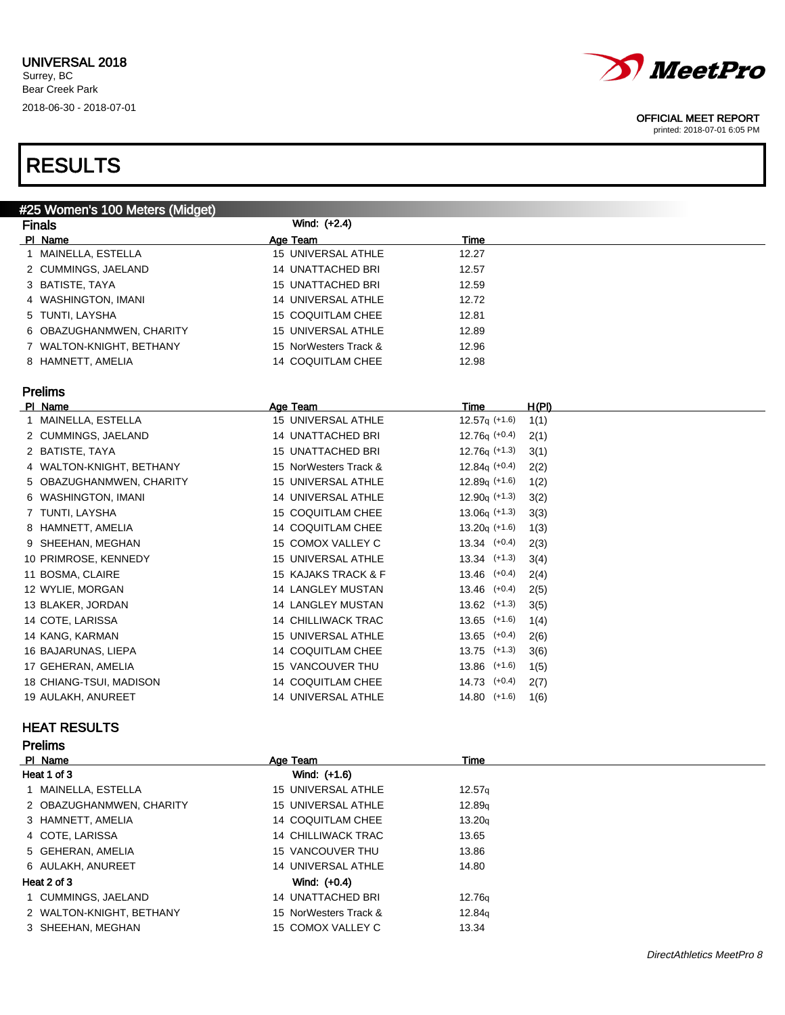

printed: 2018-07-01 6:05 PM

# RESULTS

| #25 Women's 100 Meters (Midget) |  |
|---------------------------------|--|
|                                 |  |

| <b>Finals</b>            | Wind: (+2.4)              |                          |
|--------------------------|---------------------------|--------------------------|
| PI Name                  | Age Team                  | <b>Time</b>              |
| 1 MAINELLA, ESTELLA      | 15 UNIVERSAL ATHLE        | 12.27                    |
| 2 CUMMINGS, JAELAND      | 14 UNATTACHED BRI         | 12.57                    |
| 3 BATISTE, TAYA          | 15 UNATTACHED BRI         | 12.59                    |
| 4 WASHINGTON, IMANI      | 14 UNIVERSAL ATHLE        | 12.72                    |
| 5 TUNTI, LAYSHA          | 15 COQUITLAM CHEE         | 12.81                    |
| 6 OBAZUGHANMWEN, CHARITY | 15 UNIVERSAL ATHLE        | 12.89                    |
| 7 WALTON-KNIGHT, BETHANY | 15 NorWesters Track &     | 12.96                    |
| 8 HAMNETT, AMELIA        | 14 COQUITLAM CHEE         | 12.98                    |
|                          |                           |                          |
| <b>Prelims</b>           |                           |                          |
| PI Name                  | Age Team                  | H(PI)<br>Time            |
| 1 MAINELLA, ESTELLA      | 15 UNIVERSAL ATHLE        | $12.57q$ (+1.6)<br>1(1)  |
| 2 CUMMINGS, JAELAND      | 14 UNATTACHED BRI         | $12.76q (+0.4)$<br>2(1)  |
| 2 BATISTE, TAYA          | 15 UNATTACHED BRI         | $12.76q$ (+1.3)<br>3(1)  |
| 4 WALTON-KNIGHT, BETHANY | 15 NorWesters Track &     | $12.84q (+0.4)$<br>2(2)  |
| 5 OBAZUGHANMWEN, CHARITY | 15 UNIVERSAL ATHLE        | $12.89q$ (+1.6)<br>1(2)  |
| 6 WASHINGTON, IMANI      | 14 UNIVERSAL ATHLE        | $12.90q (+1.3)$<br>3(2)  |
| 7 TUNTI, LAYSHA          | <b>15 COQUITLAM CHEE</b>  | $13.06q (+1.3)$<br>3(3)  |
| 8 HAMNETT, AMELIA        | 14 COQUITLAM CHEE         | $13.20q (+1.6)$<br>1(3)  |
| 9 SHEEHAN, MEGHAN        | 15 COMOX VALLEY C         | $13.34$ $(+0.4)$<br>2(3) |
| 10 PRIMROSE, KENNEDY     | 15 UNIVERSAL ATHLE        | $13.34$ $(+1.3)$<br>3(4) |
| 11 BOSMA, CLAIRE         | 15 KAJAKS TRACK & F       | $13.46$ $(+0.4)$<br>2(4) |
| 12 WYLIE, MORGAN         | <b>14 LANGLEY MUSTAN</b>  | $13.46$ $(+0.4)$<br>2(5) |
| 13 BLAKER, JORDAN        | <b>14 LANGLEY MUSTAN</b>  | $13.62$ (+1.3)<br>3(5)   |
| 14 COTE, LARISSA         | <b>14 CHILLIWACK TRAC</b> | $13.65$ $(+1.6)$<br>1(4) |
| 14 KANG, KARMAN          | 15 UNIVERSAL ATHLE        | $13.65$ $(+0.4)$<br>2(6) |
| 16 BAJARUNAS, LIEPA      | 14 COQUITLAM CHEE         | $13.75$ (+1.3)<br>3(6)   |
| 17 GEHERAN, AMELIA       | 15 VANCOUVER THU          | $13.86$ $(+1.6)$<br>1(5) |
| 18 CHIANG-TSUI, MADISON  | 14 COQUITLAM CHEE         | $14.73$ $(+0.4)$<br>2(7) |
| 19 AULAKH, ANUREET       | <b>14 UNIVERSAL ATHLE</b> | $14.80$ $(+1.6)$<br>1(6) |
|                          |                           |                          |

### HEAT RESULTS

| Шn | ٠. |
|----|----|
|----|----|

| PI Name                  | Age Team                  | Time               |
|--------------------------|---------------------------|--------------------|
| Heat 1 of 3              | Wind: (+1.6)              |                    |
| 1 MAINELLA, ESTELLA      | 15 UNIVERSAL ATHLE        | 12.57 <sub>q</sub> |
| 2 OBAZUGHANMWEN, CHARITY | 15 UNIVERSAL ATHLE        | 12.89q             |
| 3 HAMNETT, AMELIA        | 14 COQUITLAM CHEE         | 13.20q             |
| 4 COTE, LARISSA          | <b>14 CHILLIWACK TRAC</b> | 13.65              |
| 5 GEHERAN, AMELIA        | <b>15 VANCOUVER THU</b>   | 13.86              |
| 6 AULAKH, ANUREET        | 14 UNIVERSAL ATHLE        | 14.80              |
| Heat 2 of 3              | Wind: $(+0.4)$            |                    |
| 1 CUMMINGS, JAELAND      | <b>14 UNATTACHED BRI</b>  | 12.76 <sub>g</sub> |
| 2 WALTON-KNIGHT, BETHANY | 15 NorWesters Track &     | 12.84g             |
| 3 SHEEHAN, MEGHAN        | 15 COMOX VALLEY C         | 13.34              |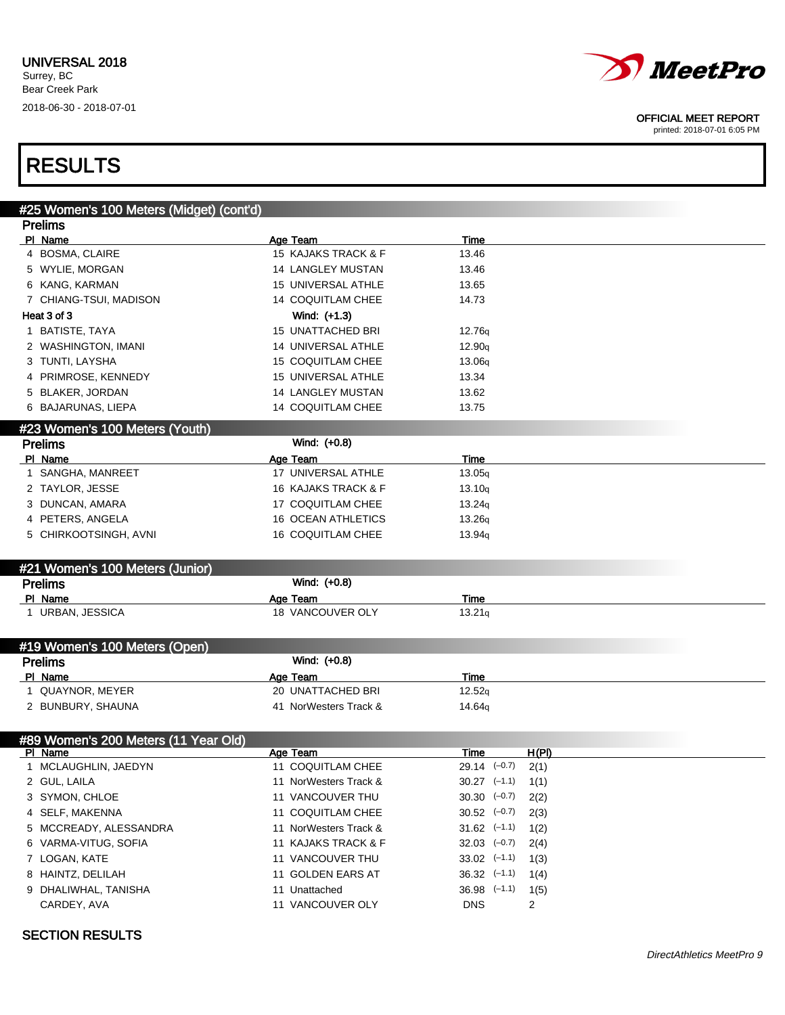

printed: 2018-07-01 6:05 PM

# RESULTS

| #25 Women's 100 Meters (Midget) (cont'd)  |                                         |                                   |
|-------------------------------------------|-----------------------------------------|-----------------------------------|
| <b>Prelims</b>                            |                                         |                                   |
| PI Name<br>4 BOSMA, CLAIRE                | Age Team<br>15 KAJAKS TRACK & F         | Time<br>13.46                     |
| 5 WYLIE, MORGAN                           | 14 LANGLEY MUSTAN                       | 13.46                             |
| 6 KANG, KARMAN                            | 15 UNIVERSAL ATHLE                      | 13.65                             |
| 7 CHIANG-TSUI, MADISON                    | 14 COQUITLAM CHEE                       | 14.73                             |
| Heat 3 of 3                               | Wind: (+1.3)                            |                                   |
| 1 BATISTE, TAYA                           | 15 UNATTACHED BRI                       | 12.76q                            |
| 2 WASHINGTON, IMANI                       | 14 UNIVERSAL ATHLE                      | 12.90q                            |
| 3 TUNTI, LAYSHA                           | 15 COQUITLAM CHEE                       | 13.06q                            |
| 4 PRIMROSE, KENNEDY                       | 15 UNIVERSAL ATHLE                      | 13.34                             |
| 5 BLAKER, JORDAN                          | <b>14 LANGLEY MUSTAN</b>                | 13.62                             |
| 6 BAJARUNAS, LIEPA                        | 14 COQUITLAM CHEE                       | 13.75                             |
|                                           |                                         |                                   |
| #23 Women's 100 Meters (Youth)            |                                         |                                   |
| <b>Prelims</b>                            | Wind: (+0.8)                            |                                   |
| PI Name                                   | Age Team                                | <b>Time</b>                       |
| 1 SANGHA, MANREET                         | 17 UNIVERSAL ATHLE                      | 13.05q                            |
| 2 TAYLOR, JESSE                           | 16 KAJAKS TRACK & F                     | 13.10q                            |
| 3 DUNCAN, AMARA                           | 17 COQUITLAM CHEE                       | 13.24q                            |
| 4 PETERS, ANGELA<br>5 CHIRKOOTSINGH, AVNI | 16 OCEAN ATHLETICS<br>16 COQUITLAM CHEE | 13.26q                            |
|                                           |                                         | 13.94q                            |
| #21 Women's 100 Meters (Junior)           |                                         |                                   |
| <b>Prelims</b>                            | Wind: (+0.8)                            |                                   |
| PI Name                                   | Age Team                                | Time                              |
| 1 URBAN, JESSICA                          | 18 VANCOUVER OLY                        | 13.21q                            |
|                                           |                                         |                                   |
| #19 Women's 100 Meters (Open)             |                                         |                                   |
| <b>Prelims</b>                            | Wind: (+0.8)                            |                                   |
| PI Name                                   | Age Team                                | Time                              |
| 1 QUAYNOR, MEYER                          | 20 UNATTACHED BRI                       | 12.52q                            |
| 2 BUNBURY, SHAUNA                         | 41 NorWesters Track &                   | 14.64g                            |
|                                           |                                         |                                   |
| #89 Women's 200 Meters (11 Year Old)      |                                         |                                   |
| PI Name                                   | Age Team                                | H(PI)<br>Time                     |
| 1 MCLAUGHLIN, JAEDYN                      | 11 COQUITLAM CHEE                       | $29.14$ $(-0.7)$<br>2(1)          |
| 2 GUL, LAILA                              | 11 NorWesters Track &                   | $30.27$ $(-1.1)$<br>1(1)          |
| 3 SYMON, CHLOE                            | 11 VANCOUVER THU                        | $30.30 \left(-0.7\right)$<br>2(2) |
| 4 SELF, MAKENNA                           | 11 COQUITLAM CHEE                       | $30.52$ $(-0.7)$<br>2(3)          |
| 5 MCCREADY, ALESSANDRA                    | 11 NorWesters Track &                   | $31.62$ $(-1.1)$<br>1(2)          |
| 6 VARMA-VITUG, SOFIA                      | 11 KAJAKS TRACK & F                     | $32.03$ $(-0.7)$<br>2(4)          |
| 7 LOGAN, KATE                             | 11 VANCOUVER THU                        | $33.02$ $(-1.1)$<br>1(3)          |
| 8 HAINTZ, DELILAH                         | 11 GOLDEN EARS AT                       | $36.32 \quad (-1.1)$<br>1(4)      |
| 9 DHALIWHAL, TANISHA                      | 11 Unattached                           | $36.98$ $(-1.1)$<br>1(5)          |
| CARDEY, AVA                               | 11 VANCOUVER OLY                        | <b>DNS</b><br>2                   |
|                                           |                                         |                                   |

### SECTION RESULTS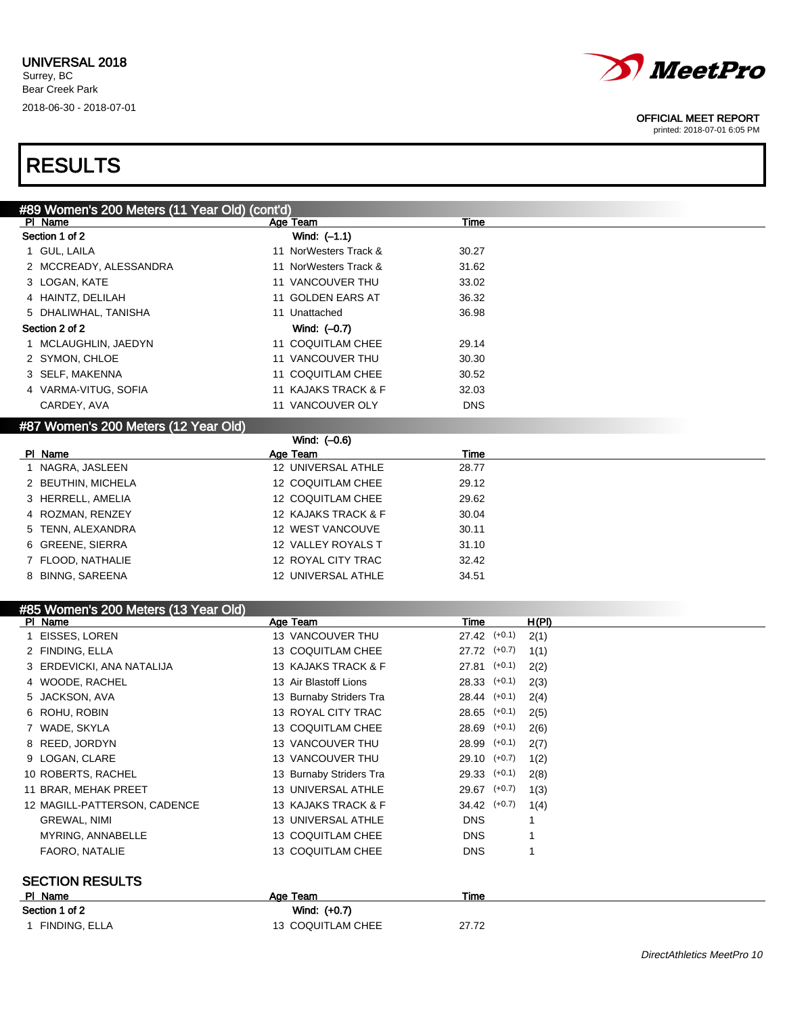

printed: 2018-07-01 6:05 PM

# RESULTS

| Age Team<br>PI Name<br>Time<br>Wind: (-1.1)<br>Section 1 of 2<br>1 GUL, LAILA<br>11 NorWesters Track &<br>30.27<br>2 MCCREADY, ALESSANDRA<br>11 NorWesters Track &<br>31.62<br>3 LOGAN, KATE<br>11 VANCOUVER THU<br>33.02<br>11 GOLDEN EARS AT<br>36.32<br>4 HAINTZ, DELILAH<br>11 Unattached<br>36.98<br>5 DHALIWHAL, TANISHA<br>Section 2 of 2<br>Wind: (-0.7)<br>11 COQUITLAM CHEE<br>1 MCLAUGHLIN, JAEDYN<br>29.14<br>2 SYMON, CHLOE<br>11 VANCOUVER THU<br>30.30<br>11 COQUITLAM CHEE<br>30.52<br>3 SELF, MAKENNA<br>4 VARMA-VITUG, SOFIA<br>11 KAJAKS TRACK & F<br>32.03<br>CARDEY, AVA<br>11 VANCOUVER OLY<br><b>DNS</b><br>#87 Women's 200 Meters (12 Year Old)<br>Wind: (-0.6)<br>PI Name<br>Time<br>Age Team<br>1 NAGRA, JASLEEN<br>12 UNIVERSAL ATHLE<br>28.77<br>12 COQUITLAM CHEE<br>29.12<br>2 BEUTHIN, MICHELA<br>12 COQUITLAM CHEE<br>29.62<br>3 HERRELL, AMELIA<br>12 KAJAKS TRACK & F<br>30.04<br>4 ROZMAN, RENZEY<br>12 WEST VANCOUVE<br>5 TENN, ALEXANDRA<br>30.11<br>6 GREENE, SIERRA<br>12 VALLEY ROYALS T<br>31.10<br>12 ROYAL CITY TRAC<br>32.42<br>7 FLOOD, NATHALIE<br>8 BINNG, SAREENA<br>12 UNIVERSAL ATHLE<br>34.51<br>#85 Women's 200 Meters (13 Year Old)<br>H(PI)<br>PI Name<br>Age Team<br>Time<br>1 EISSES, LOREN<br>13 VANCOUVER THU<br>$27.42$ $(+0.1)$<br>2(1)<br>2 FINDING, ELLA<br>13 COQUITLAM CHEE<br>$27.72$ (+0.7)<br>1(1)<br>3 ERDEVICKI, ANA NATALIJA<br>13 KAJAKS TRACK & F<br>27.81 (+0.1)<br>2(2)<br>4 WOODE, RACHEL<br>13 Air Blastoff Lions<br>$28.33$ $(+0.1)$<br>2(3)<br>5 JACKSON, AVA<br>13 Burnaby Striders Tra<br>28.44 (+0.1)<br>2(4)<br>6 ROHU, ROBIN<br>13 ROYAL CITY TRAC<br>$28.65$ (+0.1)<br>2(5)<br>13 COQUITLAM CHEE<br>$28.69$ $(+0.1)$<br>7 WADE, SKYLA<br>2(6)<br>8 REED, JORDYN<br>13 VANCOUVER THU<br>28.99 (+0.1)<br>2(7)<br>9 LOGAN, CLARE<br>13 VANCOUVER THU<br>29.10 (+0.7)<br>1(2)<br>10 ROBERTS, RACHEL<br>13 Burnaby Striders Tra<br>$29.33$ $(+0.1)$<br>2(8)<br>13 UNIVERSAL ATHLE<br>29.67 (+0.7)<br>11 BRAR, MEHAK PREET<br>1(3)<br>12 MAGILL-PATTERSON, CADENCE<br>13 KAJAKS TRACK & F<br>$34.42$ $(+0.7)$<br>1(4)<br><b>GREWAL, NIMI</b><br>13 UNIVERSAL ATHLE<br><b>DNS</b><br>1<br>MYRING, ANNABELLE<br>13 COQUITLAM CHEE<br><b>DNS</b><br>1<br>FAORO, NATALIE<br>13 COQUITLAM CHEE<br><b>DNS</b><br>1<br><b>SECTION RESULTS</b> | #89 Women's 200 Meters (11 Year Old) (cont'd) |  |
|----------------------------------------------------------------------------------------------------------------------------------------------------------------------------------------------------------------------------------------------------------------------------------------------------------------------------------------------------------------------------------------------------------------------------------------------------------------------------------------------------------------------------------------------------------------------------------------------------------------------------------------------------------------------------------------------------------------------------------------------------------------------------------------------------------------------------------------------------------------------------------------------------------------------------------------------------------------------------------------------------------------------------------------------------------------------------------------------------------------------------------------------------------------------------------------------------------------------------------------------------------------------------------------------------------------------------------------------------------------------------------------------------------------------------------------------------------------------------------------------------------------------------------------------------------------------------------------------------------------------------------------------------------------------------------------------------------------------------------------------------------------------------------------------------------------------------------------------------------------------------------------------------------------------------------------------------------------------------------------------------------------------------------------------------------------------------------------------------------------------------------------------------------------------------------------------------------------------------------------------------------------------------------------------------------------------|-----------------------------------------------|--|
|                                                                                                                                                                                                                                                                                                                                                                                                                                                                                                                                                                                                                                                                                                                                                                                                                                                                                                                                                                                                                                                                                                                                                                                                                                                                                                                                                                                                                                                                                                                                                                                                                                                                                                                                                                                                                                                                                                                                                                                                                                                                                                                                                                                                                                                                                                                      |                                               |  |
|                                                                                                                                                                                                                                                                                                                                                                                                                                                                                                                                                                                                                                                                                                                                                                                                                                                                                                                                                                                                                                                                                                                                                                                                                                                                                                                                                                                                                                                                                                                                                                                                                                                                                                                                                                                                                                                                                                                                                                                                                                                                                                                                                                                                                                                                                                                      |                                               |  |
|                                                                                                                                                                                                                                                                                                                                                                                                                                                                                                                                                                                                                                                                                                                                                                                                                                                                                                                                                                                                                                                                                                                                                                                                                                                                                                                                                                                                                                                                                                                                                                                                                                                                                                                                                                                                                                                                                                                                                                                                                                                                                                                                                                                                                                                                                                                      |                                               |  |
|                                                                                                                                                                                                                                                                                                                                                                                                                                                                                                                                                                                                                                                                                                                                                                                                                                                                                                                                                                                                                                                                                                                                                                                                                                                                                                                                                                                                                                                                                                                                                                                                                                                                                                                                                                                                                                                                                                                                                                                                                                                                                                                                                                                                                                                                                                                      |                                               |  |
|                                                                                                                                                                                                                                                                                                                                                                                                                                                                                                                                                                                                                                                                                                                                                                                                                                                                                                                                                                                                                                                                                                                                                                                                                                                                                                                                                                                                                                                                                                                                                                                                                                                                                                                                                                                                                                                                                                                                                                                                                                                                                                                                                                                                                                                                                                                      |                                               |  |
|                                                                                                                                                                                                                                                                                                                                                                                                                                                                                                                                                                                                                                                                                                                                                                                                                                                                                                                                                                                                                                                                                                                                                                                                                                                                                                                                                                                                                                                                                                                                                                                                                                                                                                                                                                                                                                                                                                                                                                                                                                                                                                                                                                                                                                                                                                                      |                                               |  |
|                                                                                                                                                                                                                                                                                                                                                                                                                                                                                                                                                                                                                                                                                                                                                                                                                                                                                                                                                                                                                                                                                                                                                                                                                                                                                                                                                                                                                                                                                                                                                                                                                                                                                                                                                                                                                                                                                                                                                                                                                                                                                                                                                                                                                                                                                                                      |                                               |  |
|                                                                                                                                                                                                                                                                                                                                                                                                                                                                                                                                                                                                                                                                                                                                                                                                                                                                                                                                                                                                                                                                                                                                                                                                                                                                                                                                                                                                                                                                                                                                                                                                                                                                                                                                                                                                                                                                                                                                                                                                                                                                                                                                                                                                                                                                                                                      |                                               |  |
|                                                                                                                                                                                                                                                                                                                                                                                                                                                                                                                                                                                                                                                                                                                                                                                                                                                                                                                                                                                                                                                                                                                                                                                                                                                                                                                                                                                                                                                                                                                                                                                                                                                                                                                                                                                                                                                                                                                                                                                                                                                                                                                                                                                                                                                                                                                      |                                               |  |
|                                                                                                                                                                                                                                                                                                                                                                                                                                                                                                                                                                                                                                                                                                                                                                                                                                                                                                                                                                                                                                                                                                                                                                                                                                                                                                                                                                                                                                                                                                                                                                                                                                                                                                                                                                                                                                                                                                                                                                                                                                                                                                                                                                                                                                                                                                                      |                                               |  |
|                                                                                                                                                                                                                                                                                                                                                                                                                                                                                                                                                                                                                                                                                                                                                                                                                                                                                                                                                                                                                                                                                                                                                                                                                                                                                                                                                                                                                                                                                                                                                                                                                                                                                                                                                                                                                                                                                                                                                                                                                                                                                                                                                                                                                                                                                                                      |                                               |  |
|                                                                                                                                                                                                                                                                                                                                                                                                                                                                                                                                                                                                                                                                                                                                                                                                                                                                                                                                                                                                                                                                                                                                                                                                                                                                                                                                                                                                                                                                                                                                                                                                                                                                                                                                                                                                                                                                                                                                                                                                                                                                                                                                                                                                                                                                                                                      |                                               |  |
|                                                                                                                                                                                                                                                                                                                                                                                                                                                                                                                                                                                                                                                                                                                                                                                                                                                                                                                                                                                                                                                                                                                                                                                                                                                                                                                                                                                                                                                                                                                                                                                                                                                                                                                                                                                                                                                                                                                                                                                                                                                                                                                                                                                                                                                                                                                      |                                               |  |
|                                                                                                                                                                                                                                                                                                                                                                                                                                                                                                                                                                                                                                                                                                                                                                                                                                                                                                                                                                                                                                                                                                                                                                                                                                                                                                                                                                                                                                                                                                                                                                                                                                                                                                                                                                                                                                                                                                                                                                                                                                                                                                                                                                                                                                                                                                                      |                                               |  |
|                                                                                                                                                                                                                                                                                                                                                                                                                                                                                                                                                                                                                                                                                                                                                                                                                                                                                                                                                                                                                                                                                                                                                                                                                                                                                                                                                                                                                                                                                                                                                                                                                                                                                                                                                                                                                                                                                                                                                                                                                                                                                                                                                                                                                                                                                                                      |                                               |  |
|                                                                                                                                                                                                                                                                                                                                                                                                                                                                                                                                                                                                                                                                                                                                                                                                                                                                                                                                                                                                                                                                                                                                                                                                                                                                                                                                                                                                                                                                                                                                                                                                                                                                                                                                                                                                                                                                                                                                                                                                                                                                                                                                                                                                                                                                                                                      |                                               |  |
|                                                                                                                                                                                                                                                                                                                                                                                                                                                                                                                                                                                                                                                                                                                                                                                                                                                                                                                                                                                                                                                                                                                                                                                                                                                                                                                                                                                                                                                                                                                                                                                                                                                                                                                                                                                                                                                                                                                                                                                                                                                                                                                                                                                                                                                                                                                      |                                               |  |
|                                                                                                                                                                                                                                                                                                                                                                                                                                                                                                                                                                                                                                                                                                                                                                                                                                                                                                                                                                                                                                                                                                                                                                                                                                                                                                                                                                                                                                                                                                                                                                                                                                                                                                                                                                                                                                                                                                                                                                                                                                                                                                                                                                                                                                                                                                                      |                                               |  |
|                                                                                                                                                                                                                                                                                                                                                                                                                                                                                                                                                                                                                                                                                                                                                                                                                                                                                                                                                                                                                                                                                                                                                                                                                                                                                                                                                                                                                                                                                                                                                                                                                                                                                                                                                                                                                                                                                                                                                                                                                                                                                                                                                                                                                                                                                                                      |                                               |  |
|                                                                                                                                                                                                                                                                                                                                                                                                                                                                                                                                                                                                                                                                                                                                                                                                                                                                                                                                                                                                                                                                                                                                                                                                                                                                                                                                                                                                                                                                                                                                                                                                                                                                                                                                                                                                                                                                                                                                                                                                                                                                                                                                                                                                                                                                                                                      |                                               |  |
|                                                                                                                                                                                                                                                                                                                                                                                                                                                                                                                                                                                                                                                                                                                                                                                                                                                                                                                                                                                                                                                                                                                                                                                                                                                                                                                                                                                                                                                                                                                                                                                                                                                                                                                                                                                                                                                                                                                                                                                                                                                                                                                                                                                                                                                                                                                      |                                               |  |
|                                                                                                                                                                                                                                                                                                                                                                                                                                                                                                                                                                                                                                                                                                                                                                                                                                                                                                                                                                                                                                                                                                                                                                                                                                                                                                                                                                                                                                                                                                                                                                                                                                                                                                                                                                                                                                                                                                                                                                                                                                                                                                                                                                                                                                                                                                                      |                                               |  |
|                                                                                                                                                                                                                                                                                                                                                                                                                                                                                                                                                                                                                                                                                                                                                                                                                                                                                                                                                                                                                                                                                                                                                                                                                                                                                                                                                                                                                                                                                                                                                                                                                                                                                                                                                                                                                                                                                                                                                                                                                                                                                                                                                                                                                                                                                                                      |                                               |  |
|                                                                                                                                                                                                                                                                                                                                                                                                                                                                                                                                                                                                                                                                                                                                                                                                                                                                                                                                                                                                                                                                                                                                                                                                                                                                                                                                                                                                                                                                                                                                                                                                                                                                                                                                                                                                                                                                                                                                                                                                                                                                                                                                                                                                                                                                                                                      |                                               |  |
|                                                                                                                                                                                                                                                                                                                                                                                                                                                                                                                                                                                                                                                                                                                                                                                                                                                                                                                                                                                                                                                                                                                                                                                                                                                                                                                                                                                                                                                                                                                                                                                                                                                                                                                                                                                                                                                                                                                                                                                                                                                                                                                                                                                                                                                                                                                      |                                               |  |
|                                                                                                                                                                                                                                                                                                                                                                                                                                                                                                                                                                                                                                                                                                                                                                                                                                                                                                                                                                                                                                                                                                                                                                                                                                                                                                                                                                                                                                                                                                                                                                                                                                                                                                                                                                                                                                                                                                                                                                                                                                                                                                                                                                                                                                                                                                                      |                                               |  |
|                                                                                                                                                                                                                                                                                                                                                                                                                                                                                                                                                                                                                                                                                                                                                                                                                                                                                                                                                                                                                                                                                                                                                                                                                                                                                                                                                                                                                                                                                                                                                                                                                                                                                                                                                                                                                                                                                                                                                                                                                                                                                                                                                                                                                                                                                                                      |                                               |  |
|                                                                                                                                                                                                                                                                                                                                                                                                                                                                                                                                                                                                                                                                                                                                                                                                                                                                                                                                                                                                                                                                                                                                                                                                                                                                                                                                                                                                                                                                                                                                                                                                                                                                                                                                                                                                                                                                                                                                                                                                                                                                                                                                                                                                                                                                                                                      |                                               |  |
|                                                                                                                                                                                                                                                                                                                                                                                                                                                                                                                                                                                                                                                                                                                                                                                                                                                                                                                                                                                                                                                                                                                                                                                                                                                                                                                                                                                                                                                                                                                                                                                                                                                                                                                                                                                                                                                                                                                                                                                                                                                                                                                                                                                                                                                                                                                      |                                               |  |
|                                                                                                                                                                                                                                                                                                                                                                                                                                                                                                                                                                                                                                                                                                                                                                                                                                                                                                                                                                                                                                                                                                                                                                                                                                                                                                                                                                                                                                                                                                                                                                                                                                                                                                                                                                                                                                                                                                                                                                                                                                                                                                                                                                                                                                                                                                                      |                                               |  |
|                                                                                                                                                                                                                                                                                                                                                                                                                                                                                                                                                                                                                                                                                                                                                                                                                                                                                                                                                                                                                                                                                                                                                                                                                                                                                                                                                                                                                                                                                                                                                                                                                                                                                                                                                                                                                                                                                                                                                                                                                                                                                                                                                                                                                                                                                                                      |                                               |  |
|                                                                                                                                                                                                                                                                                                                                                                                                                                                                                                                                                                                                                                                                                                                                                                                                                                                                                                                                                                                                                                                                                                                                                                                                                                                                                                                                                                                                                                                                                                                                                                                                                                                                                                                                                                                                                                                                                                                                                                                                                                                                                                                                                                                                                                                                                                                      |                                               |  |
|                                                                                                                                                                                                                                                                                                                                                                                                                                                                                                                                                                                                                                                                                                                                                                                                                                                                                                                                                                                                                                                                                                                                                                                                                                                                                                                                                                                                                                                                                                                                                                                                                                                                                                                                                                                                                                                                                                                                                                                                                                                                                                                                                                                                                                                                                                                      |                                               |  |
|                                                                                                                                                                                                                                                                                                                                                                                                                                                                                                                                                                                                                                                                                                                                                                                                                                                                                                                                                                                                                                                                                                                                                                                                                                                                                                                                                                                                                                                                                                                                                                                                                                                                                                                                                                                                                                                                                                                                                                                                                                                                                                                                                                                                                                                                                                                      |                                               |  |
|                                                                                                                                                                                                                                                                                                                                                                                                                                                                                                                                                                                                                                                                                                                                                                                                                                                                                                                                                                                                                                                                                                                                                                                                                                                                                                                                                                                                                                                                                                                                                                                                                                                                                                                                                                                                                                                                                                                                                                                                                                                                                                                                                                                                                                                                                                                      |                                               |  |
|                                                                                                                                                                                                                                                                                                                                                                                                                                                                                                                                                                                                                                                                                                                                                                                                                                                                                                                                                                                                                                                                                                                                                                                                                                                                                                                                                                                                                                                                                                                                                                                                                                                                                                                                                                                                                                                                                                                                                                                                                                                                                                                                                                                                                                                                                                                      |                                               |  |
|                                                                                                                                                                                                                                                                                                                                                                                                                                                                                                                                                                                                                                                                                                                                                                                                                                                                                                                                                                                                                                                                                                                                                                                                                                                                                                                                                                                                                                                                                                                                                                                                                                                                                                                                                                                                                                                                                                                                                                                                                                                                                                                                                                                                                                                                                                                      |                                               |  |
|                                                                                                                                                                                                                                                                                                                                                                                                                                                                                                                                                                                                                                                                                                                                                                                                                                                                                                                                                                                                                                                                                                                                                                                                                                                                                                                                                                                                                                                                                                                                                                                                                                                                                                                                                                                                                                                                                                                                                                                                                                                                                                                                                                                                                                                                                                                      |                                               |  |
|                                                                                                                                                                                                                                                                                                                                                                                                                                                                                                                                                                                                                                                                                                                                                                                                                                                                                                                                                                                                                                                                                                                                                                                                                                                                                                                                                                                                                                                                                                                                                                                                                                                                                                                                                                                                                                                                                                                                                                                                                                                                                                                                                                                                                                                                                                                      |                                               |  |
|                                                                                                                                                                                                                                                                                                                                                                                                                                                                                                                                                                                                                                                                                                                                                                                                                                                                                                                                                                                                                                                                                                                                                                                                                                                                                                                                                                                                                                                                                                                                                                                                                                                                                                                                                                                                                                                                                                                                                                                                                                                                                                                                                                                                                                                                                                                      |                                               |  |
|                                                                                                                                                                                                                                                                                                                                                                                                                                                                                                                                                                                                                                                                                                                                                                                                                                                                                                                                                                                                                                                                                                                                                                                                                                                                                                                                                                                                                                                                                                                                                                                                                                                                                                                                                                                                                                                                                                                                                                                                                                                                                                                                                                                                                                                                                                                      |                                               |  |
|                                                                                                                                                                                                                                                                                                                                                                                                                                                                                                                                                                                                                                                                                                                                                                                                                                                                                                                                                                                                                                                                                                                                                                                                                                                                                                                                                                                                                                                                                                                                                                                                                                                                                                                                                                                                                                                                                                                                                                                                                                                                                                                                                                                                                                                                                                                      |                                               |  |
| Age Team<br>PI Name<br>Time                                                                                                                                                                                                                                                                                                                                                                                                                                                                                                                                                                                                                                                                                                                                                                                                                                                                                                                                                                                                                                                                                                                                                                                                                                                                                                                                                                                                                                                                                                                                                                                                                                                                                                                                                                                                                                                                                                                                                                                                                                                                                                                                                                                                                                                                                          |                                               |  |
| Section 1 of 2<br>Wind: (+0.7)                                                                                                                                                                                                                                                                                                                                                                                                                                                                                                                                                                                                                                                                                                                                                                                                                                                                                                                                                                                                                                                                                                                                                                                                                                                                                                                                                                                                                                                                                                                                                                                                                                                                                                                                                                                                                                                                                                                                                                                                                                                                                                                                                                                                                                                                                       |                                               |  |
| 13 COQUITLAM CHEE<br>1 FINDING, ELLA<br>27.72                                                                                                                                                                                                                                                                                                                                                                                                                                                                                                                                                                                                                                                                                                                                                                                                                                                                                                                                                                                                                                                                                                                                                                                                                                                                                                                                                                                                                                                                                                                                                                                                                                                                                                                                                                                                                                                                                                                                                                                                                                                                                                                                                                                                                                                                        |                                               |  |
|                                                                                                                                                                                                                                                                                                                                                                                                                                                                                                                                                                                                                                                                                                                                                                                                                                                                                                                                                                                                                                                                                                                                                                                                                                                                                                                                                                                                                                                                                                                                                                                                                                                                                                                                                                                                                                                                                                                                                                                                                                                                                                                                                                                                                                                                                                                      |                                               |  |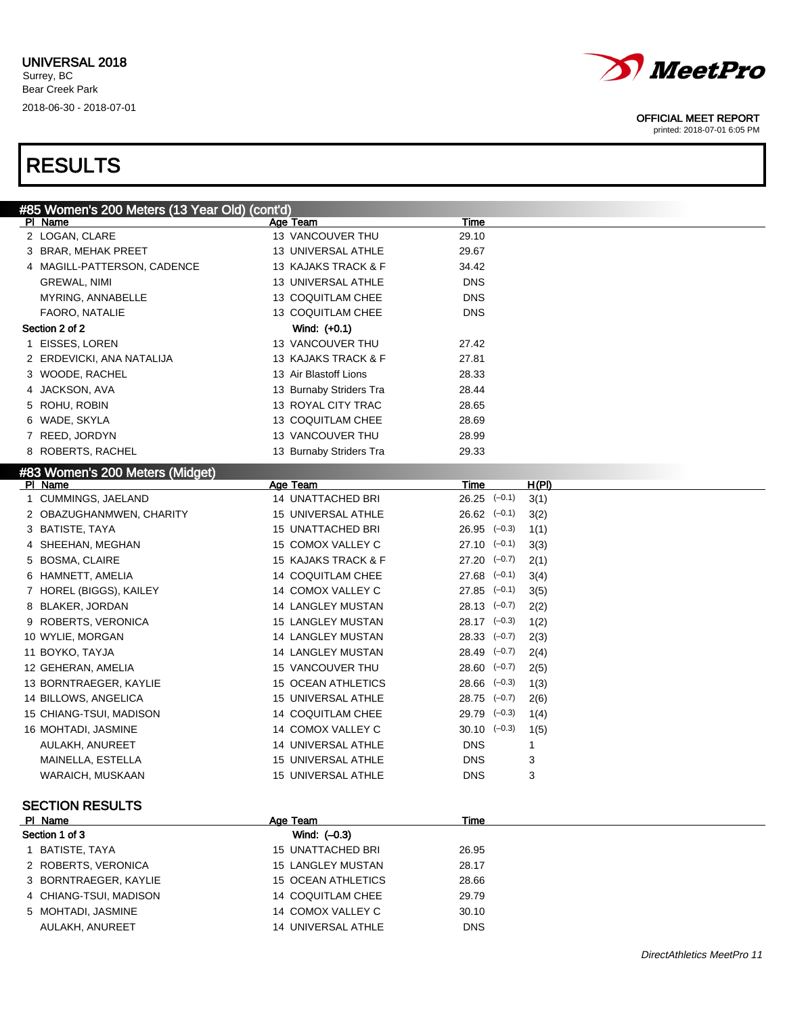

printed: 2018-07-01 6:05 PM

## RESULTS

| #85 Women's 200 Meters (13 Year Old) (cont'd) |                          |                          |  |
|-----------------------------------------------|--------------------------|--------------------------|--|
| PI Name                                       | Age Team                 | Time                     |  |
| 2 LOGAN, CLARE                                | 13 VANCOUVER THU         | 29.10                    |  |
| 3 BRAR, MEHAK PREET                           | 13 UNIVERSAL ATHLE       | 29.67                    |  |
| 4 MAGILL-PATTERSON, CADENCE                   | 13 KAJAKS TRACK & F      | 34.42                    |  |
| <b>GREWAL, NIMI</b>                           | 13 UNIVERSAL ATHLE       | <b>DNS</b>               |  |
| MYRING, ANNABELLE                             | 13 COQUITLAM CHEE        | <b>DNS</b>               |  |
| FAORO, NATALIE                                | 13 COQUITLAM CHEE        | <b>DNS</b>               |  |
| Section 2 of 2                                | Wind: $(+0.1)$           |                          |  |
| 1 EISSES, LOREN                               | 13 VANCOUVER THU         | 27.42                    |  |
| 2 ERDEVICKI, ANA NATALIJA                     | 13 KAJAKS TRACK & F      | 27.81                    |  |
| 3 WOODE, RACHEL                               | 13 Air Blastoff Lions    | 28.33                    |  |
| 4 JACKSON, AVA                                | 13 Burnaby Striders Tra  | 28.44                    |  |
| 5 ROHU, ROBIN                                 | 13 ROYAL CITY TRAC       | 28.65                    |  |
| 6 WADE, SKYLA                                 | 13 COQUITLAM CHEE        | 28.69                    |  |
| 7 REED, JORDYN                                | 13 VANCOUVER THU         | 28.99                    |  |
| 8 ROBERTS, RACHEL                             | 13 Burnaby Striders Tra  | 29.33                    |  |
|                                               |                          |                          |  |
| #83 Women's 200 Meters (Midget)<br>PI Name    | Age Team                 | H(PI)<br>Time            |  |
| 1 CUMMINGS, JAELAND                           | 14 UNATTACHED BRI        | $26.25$ $(-0.1)$<br>3(1) |  |
| 2 OBAZUGHANMWEN, CHARITY                      | 15 UNIVERSAL ATHLE       | $26.62$ $(-0.1)$<br>3(2) |  |
| 3 BATISTE, TAYA                               | 15 UNATTACHED BRI        | $26.95$ $(-0.3)$<br>1(1) |  |
| 4 SHEEHAN, MEGHAN                             | 15 COMOX VALLEY C        | $27.10 (-0.1)$<br>3(3)   |  |
| 5 BOSMA, CLAIRE                               | 15 KAJAKS TRACK & F      | $27.20 (-0.7)$<br>2(1)   |  |
| 6 HAMNETT, AMELIA                             | 14 COQUITLAM CHEE        | $27.68$ $(-0.1)$<br>3(4) |  |
| 7 HOREL (BIGGS), KAILEY                       | 14 COMOX VALLEY C        | $27.85$ $(-0.1)$<br>3(5) |  |
| 8 BLAKER, JORDAN                              | 14 LANGLEY MUSTAN        | $28.13$ $(-0.7)$<br>2(2) |  |
| 9 ROBERTS, VERONICA                           | 15 LANGLEY MUSTAN        | $28.17$ $(-0.3)$<br>1(2) |  |
| 10 WYLIE, MORGAN                              | 14 LANGLEY MUSTAN        | $28.33$ $(-0.7)$<br>2(3) |  |
| 11 BOYKO, TAYJA                               | 14 LANGLEY MUSTAN        | $28.49$ $(-0.7)$<br>2(4) |  |
| 12 GEHERAN, AMELIA                            | 15 VANCOUVER THU         | $28.60$ $(-0.7)$<br>2(5) |  |
| 13 BORNTRAEGER, KAYLIE                        | 15 OCEAN ATHLETICS       | $28.66$ $(-0.3)$<br>1(3) |  |
| 14 BILLOWS, ANGELICA                          | 15 UNIVERSAL ATHLE       | 28.75 (-0.7)<br>2(6)     |  |
| 15 CHIANG-TSUI, MADISON                       | 14 COQUITLAM CHEE        | $29.79$ $(-0.3)$<br>1(4) |  |
| 16 MOHTADI, JASMINE                           | 14 COMOX VALLEY C        | $30.10 (-0.3)$<br>1(5)   |  |
| AULAKH, ANUREET                               | 14 UNIVERSAL ATHLE       | <b>DNS</b><br>1          |  |
| MAINELLA, ESTELLA                             | 15 UNIVERSAL ATHLE       | <b>DNS</b><br>3          |  |
|                                               |                          | 3                        |  |
| WARAICH, MUSKAAN                              | 15 UNIVERSAL ATHLE       | <b>DNS</b>               |  |
| <b>SECTION RESULTS</b>                        |                          |                          |  |
| PI Name                                       | Age Team                 | Time                     |  |
| Section 1 of 3                                | Wind: (-0.3)             |                          |  |
| 1 BATISTE, TAYA                               | 15 UNATTACHED BRI        | 26.95                    |  |
| 2 ROBERTS, VERONICA                           | <b>15 LANGLEY MUSTAN</b> | 28.17                    |  |
| 3 BORNTRAEGER, KAYLIE                         | 15 OCEAN ATHLETICS       | 28.66                    |  |
| 4 CHIANG-TSUI, MADISON                        | 14 COQUITLAM CHEE        | 29.79                    |  |
| 5 MOHTADI, JASMINE                            | 14 COMOX VALLEY C        | 30.10                    |  |

AULAKH, ANUREET 14 UNIVERSAL ATHLE DNS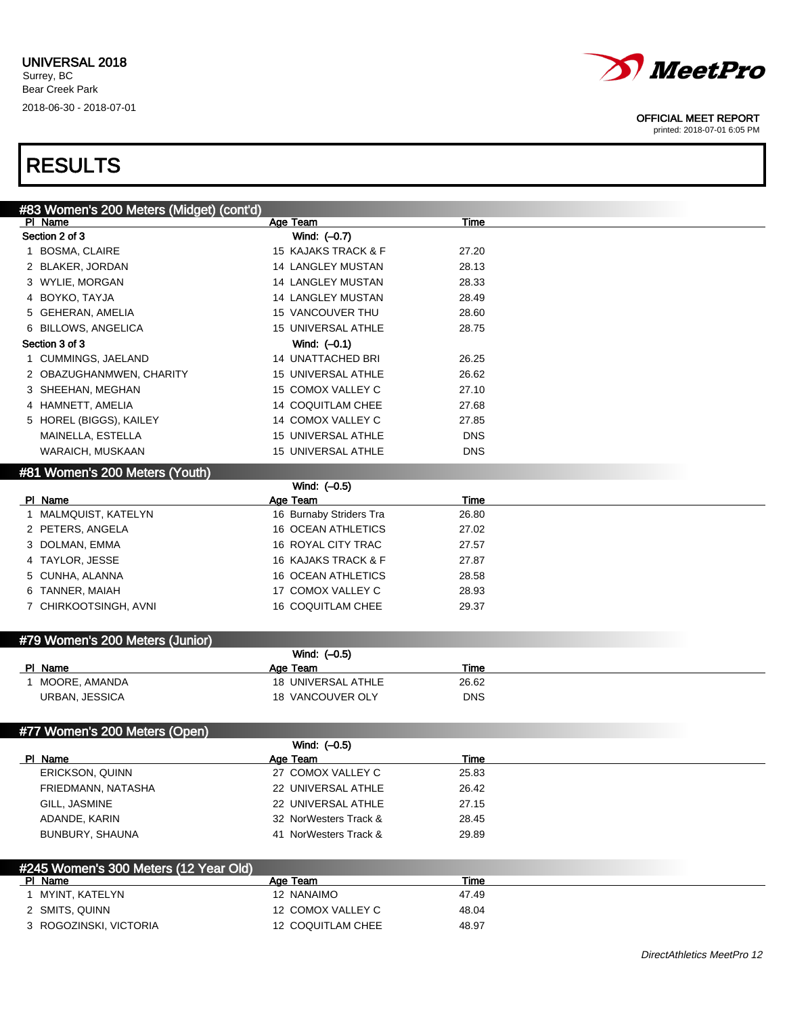

printed: 2018-07-01 6:05 PM

# RESULTS

| #83 Women's 200 Meters (Midget) (cont'd) |                           |            |  |
|------------------------------------------|---------------------------|------------|--|
| PI Name                                  | Age Team                  | Time       |  |
| Section 2 of 3                           | Wind: (-0.7)              |            |  |
| 1 BOSMA, CLAIRE                          | 15 KAJAKS TRACK & F       | 27.20      |  |
| 2 BLAKER, JORDAN                         | <b>14 LANGLEY MUSTAN</b>  | 28.13      |  |
| 3 WYLIE, MORGAN                          | 14 LANGLEY MUSTAN         | 28.33      |  |
| 4 BOYKO, TAYJA                           | <b>14 LANGLEY MUSTAN</b>  | 28.49      |  |
| 5 GEHERAN, AMELIA                        | 15 VANCOUVER THU          | 28.60      |  |
| 6 BILLOWS, ANGELICA                      | 15 UNIVERSAL ATHLE        | 28.75      |  |
| Section 3 of 3                           | Wind: $(-0.1)$            |            |  |
| 1 CUMMINGS, JAELAND                      | <b>14 UNATTACHED BRI</b>  | 26.25      |  |
| 2 OBAZUGHANMWEN, CHARITY                 | <b>15 UNIVERSAL ATHLE</b> | 26.62      |  |
| 3 SHEEHAN, MEGHAN                        | 15 COMOX VALLEY C         | 27.10      |  |
| 4 HAMNETT, AMELIA                        | <b>14 COQUITLAM CHEE</b>  | 27.68      |  |
| 5 HOREL (BIGGS), KAILEY                  | 14 COMOX VALLEY C         | 27.85      |  |
| MAINELLA, ESTELLA                        | 15 UNIVERSAL ATHLE        | <b>DNS</b> |  |
| WARAICH, MUSKAAN                         | <b>15 UNIVERSAL ATHLE</b> | <b>DNS</b> |  |
| #81 Women's 200 Meters (Youth)           |                           |            |  |
|                                          | Wind: (-0.5)              |            |  |
| PI Name                                  | Age Team                  | Time       |  |
| 1 MALMQUIST, KATELYN                     | 16 Burnaby Striders Tra   | 26.80      |  |
| 2 PETERS, ANGELA                         | <b>16 OCEAN ATHLETICS</b> | 27.02      |  |
| 3 DOLMAN, EMMA                           | 16 ROYAL CITY TRAC        | 27.57      |  |
| 4 TAYLOR, JESSE                          | 16 KAJAKS TRACK & F       | 27.87      |  |
| 5 CUNHA, ALANNA                          | <b>16 OCEAN ATHLETICS</b> | 28.58      |  |
| 6 TANNER, MAIAH                          | 17 COMOX VALLEY C         | 28.93      |  |
| 7 CHIRKOOTSINGH, AVNI                    | <b>16 COQUITLAM CHEE</b>  | 29.37      |  |

### #79 Women's 200 Meters (Junior)

|                | Wind: $(-0.5)$     |            |  |
|----------------|--------------------|------------|--|
| PI Name        | Age Team           | Time       |  |
| MOORE. AMANDA  | 18 UNIVERSAL ATHLE | 26.62      |  |
| URBAN, JESSICA | 18 VANCOUVER OLY   | <b>DNS</b> |  |

### #77 Women's 200 Meters (Open)

|                        | Wind: $(-0.5)$        |       |  |
|------------------------|-----------------------|-------|--|
| PI Name                | Age Team              | Time  |  |
| <b>ERICKSON, QUINN</b> | 27 COMOX VALLEY C     | 25.83 |  |
| FRIEDMANN, NATASHA     | 22 UNIVERSAL ATHLE    | 26.42 |  |
| GILL, JASMINE          | 22 UNIVERSAL ATHLE    | 27.15 |  |
| ADANDE, KARIN          | 32 NorWesters Track & | 28.45 |  |
| BUNBURY, SHAUNA        | 41 NorWesters Track & | 29.89 |  |

| #245 Women's 300 Meters (12 Year Old) |                   |       |  |
|---------------------------------------|-------------------|-------|--|
| PI Name                               | Age Team          | Time  |  |
| MYINT. KATELYN                        | 12 NANAIMO        | 47.49 |  |
| 2 SMITS, QUINN                        | 12 COMOX VALLEY C | 48.04 |  |
| 3 ROGOZINSKI, VICTORIA                | 12 COQUITLAM CHEE | 48.97 |  |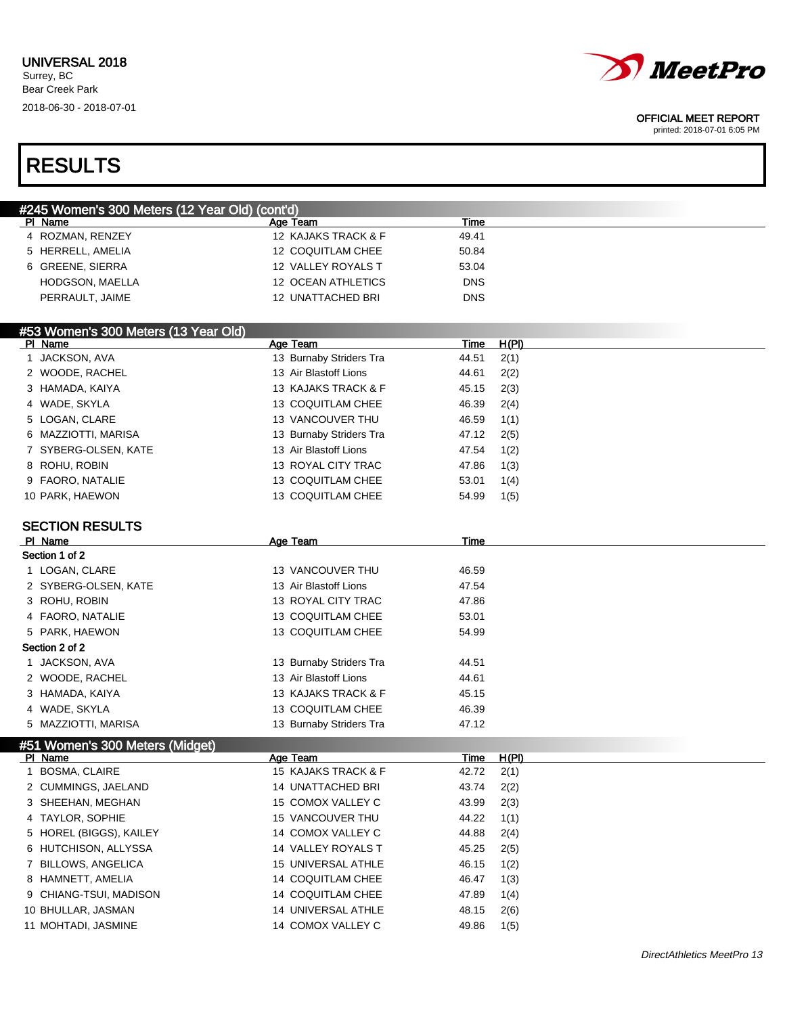

printed: 2018-07-01 6:05 PM

# RESULTS

|   | #245 Women's 300 Meters (12 Year Old) (cont'd) |                         |            |       |
|---|------------------------------------------------|-------------------------|------------|-------|
|   | PI Name                                        | Age Team                | Time       |       |
|   | 4 ROZMAN, RENZEY                               | 12 KAJAKS TRACK & F     | 49.41      |       |
|   | 5 HERRELL, AMELIA                              | 12 COQUITLAM CHEE       | 50.84      |       |
|   | 6 GREENE, SIERRA                               | 12 VALLEY ROYALS T      | 53.04      |       |
|   | HODGSON, MAELLA                                | 12 OCEAN ATHLETICS      | <b>DNS</b> |       |
|   | PERRAULT, JAIME                                | 12 UNATTACHED BRI       | <b>DNS</b> |       |
|   |                                                |                         |            |       |
|   | #53 Women's 300 Meters (13 Year Old)           |                         |            |       |
|   | PI Name                                        | Age Team                | Time       | H(PI) |
|   | 1 JACKSON, AVA                                 | 13 Burnaby Striders Tra | 44.51      | 2(1)  |
|   | 2 WOODE, RACHEL                                | 13 Air Blastoff Lions   | 44.61      | 2(2)  |
|   | 3 HAMADA, KAIYA                                | 13 KAJAKS TRACK & F     | 45.15      | 2(3)  |
|   | 4 WADE, SKYLA                                  | 13 COQUITLAM CHEE       | 46.39      | 2(4)  |
|   | 5 LOGAN, CLARE                                 | 13 VANCOUVER THU        | 46.59      | 1(1)  |
|   | 6 MAZZIOTTI, MARISA                            | 13 Burnaby Striders Tra | 47.12      | 2(5)  |
|   | 7 SYBERG-OLSEN, KATE                           | 13 Air Blastoff Lions   | 47.54      | 1(2)  |
|   | 8 ROHU, ROBIN                                  | 13 ROYAL CITY TRAC      | 47.86      | 1(3)  |
|   | 9 FAORO, NATALIE                               | 13 COQUITLAM CHEE       | 53.01      | 1(4)  |
|   | 10 PARK, HAEWON                                | 13 COQUITLAM CHEE       | 54.99      | 1(5)  |
|   |                                                |                         |            |       |
|   | <b>SECTION RESULTS</b>                         |                         |            |       |
|   | PI Name                                        | Age Team                | Time       |       |
|   | Section 1 of 2                                 |                         |            |       |
|   | 1 LOGAN, CLARE                                 | 13 VANCOUVER THU        | 46.59      |       |
|   | 2 SYBERG-OLSEN, KATE                           | 13 Air Blastoff Lions   | 47.54      |       |
|   | 3 ROHU, ROBIN                                  | 13 ROYAL CITY TRAC      | 47.86      |       |
|   | 4 FAORO, NATALIE                               | 13 COQUITLAM CHEE       | 53.01      |       |
|   | 5 PARK, HAEWON                                 | 13 COQUITLAM CHEE       | 54.99      |       |
|   | Section 2 of 2                                 |                         |            |       |
|   | 1 JACKSON, AVA                                 | 13 Burnaby Striders Tra | 44.51      |       |
|   | 2 WOODE, RACHEL                                | 13 Air Blastoff Lions   | 44.61      |       |
|   | 3 HAMADA, KAIYA                                | 13 KAJAKS TRACK & F     | 45.15      |       |
|   | 4 WADE, SKYLA                                  | 13 COQUITLAM CHEE       | 46.39      |       |
|   | 5 MAZZIOTTI, MARISA                            | 13 Burnaby Striders Tra | 47.12      |       |
|   | #51 Women's 300 Meters (Midget)                |                         |            |       |
|   | PI Name                                        | Age Team                | Time       | H(PI) |
| 1 | <b>BOSMA, CLAIRE</b>                           | 15 KAJAKS TRACK & F     | 42.72      | 2(1)  |
|   | 2 CUMMINGS, JAELAND                            | 14 UNATTACHED BRI       | 43.74      | 2(2)  |
|   | 3 SHEEHAN, MEGHAN                              | 15 COMOX VALLEY C       | 43.99      | 2(3)  |
|   | 4 TAYLOR, SOPHIE                               | 15 VANCOUVER THU        | 44.22      | 1(1)  |
| 5 | HOREL (BIGGS), KAILEY                          | 14 COMOX VALLEY C       | 44.88      | 2(4)  |
| 6 | HUTCHISON, ALLYSSA                             | 14 VALLEY ROYALS T      | 45.25      | 2(5)  |
| 7 | <b>BILLOWS, ANGELICA</b>                       | 15 UNIVERSAL ATHLE      | 46.15      | 1(2)  |
|   | 8 HAMNETT, AMELIA                              | 14 COQUITLAM CHEE       | 46.47      | 1(3)  |
| 9 | CHIANG-TSUI, MADISON                           | 14 COQUITLAM CHEE       | 47.89      | 1(4)  |
|   | 10 BHULLAR, JASMAN                             | 14 UNIVERSAL ATHLE      | 48.15      | 2(6)  |
|   | 11 MOHTADI, JASMINE                            | 14 COMOX VALLEY C       | 49.86      | 1(5)  |
|   |                                                |                         |            |       |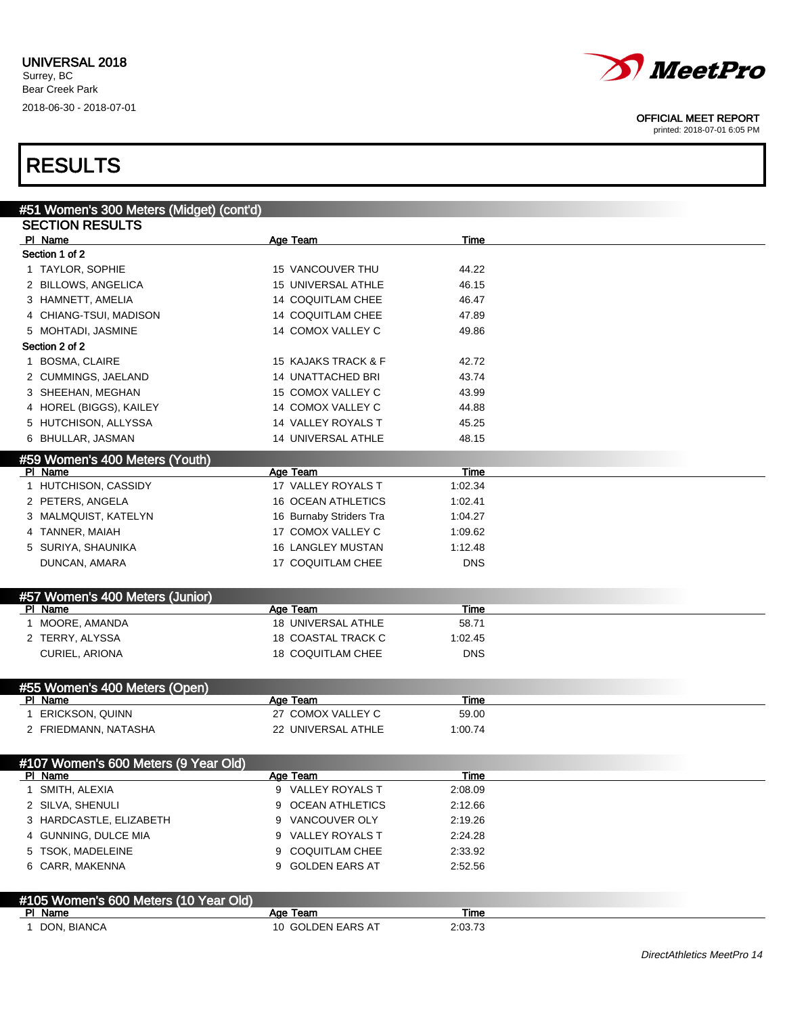

printed: 2018-07-01 6:05 PM

# RESULTS

| #51 Women's 300 Meters (Midget) (cont'd)  |                           |             |  |
|-------------------------------------------|---------------------------|-------------|--|
| <b>SECTION RESULTS</b>                    |                           |             |  |
| PI_Name                                   | Age Team                  | Time        |  |
| Section 1 of 2                            |                           |             |  |
| 1 TAYLOR, SOPHIE                          | 15 VANCOUVER THU          | 44.22       |  |
| 2 BILLOWS, ANGELICA                       | <b>15 UNIVERSAL ATHLE</b> | 46.15       |  |
| 3 HAMNETT, AMELIA                         | 14 COQUITLAM CHEE         | 46.47       |  |
| 4 CHIANG-TSUI, MADISON                    | 14 COQUITLAM CHEE         | 47.89       |  |
| 5 MOHTADI, JASMINE                        | 14 COMOX VALLEY C         | 49.86       |  |
| Section 2 of 2                            |                           |             |  |
| 1 BOSMA, CLAIRE                           | 15 KAJAKS TRACK & F       | 42.72       |  |
| 2 CUMMINGS, JAELAND                       | <b>14 UNATTACHED BRI</b>  | 43.74       |  |
| 3 SHEEHAN, MEGHAN                         | 15 COMOX VALLEY C         | 43.99       |  |
| 4 HOREL (BIGGS), KAILEY                   | 14 COMOX VALLEY C         | 44.88       |  |
| 5 HUTCHISON, ALLYSSA                      | 14 VALLEY ROYALS T        | 45.25       |  |
| 6 BHULLAR, JASMAN                         | 14 UNIVERSAL ATHLE        | 48.15       |  |
|                                           |                           |             |  |
| #59 Women's 400 Meters (Youth)<br>PI Name | Age Team                  | <u>Time</u> |  |
| 1 HUTCHISON, CASSIDY                      | 17 VALLEY ROYALS T        | 1:02.34     |  |
| 2 PETERS, ANGELA                          | 16 OCEAN ATHLETICS        | 1:02.41     |  |
| 3 MALMQUIST, KATELYN                      | 16 Burnaby Striders Tra   | 1:04.27     |  |
| 4 TANNER, MAIAH                           | 17 COMOX VALLEY C         | 1:09.62     |  |
| 5 SURIYA, SHAUNIKA                        | <b>16 LANGLEY MUSTAN</b>  | 1:12.48     |  |
| DUNCAN, AMARA                             | 17 COQUITLAM CHEE         | <b>DNS</b>  |  |
|                                           |                           |             |  |
| #57 Women's 400 Meters (Junior)           |                           |             |  |
| PI Name                                   | Age Team                  | Time        |  |
| 1 MOORE, AMANDA                           | 18 UNIVERSAL ATHLE        | 58.71       |  |
| 2 TERRY, ALYSSA                           | 18 COASTAL TRACK C        | 1:02.45     |  |
| CURIEL, ARIONA                            | 18 COQUITLAM CHEE         | <b>DNS</b>  |  |
|                                           |                           |             |  |
| #55 Women's 400 Meters (Open)             |                           |             |  |
| PI Name                                   | Age Team                  | Time        |  |
| 1 ERICKSON, QUINN                         | 27 COMOX VALLEY C         | 59.00       |  |
| 2 FRIEDMANN, NATASHA                      | 22 UNIVERSAL ATHLE        | 1:00.74     |  |
|                                           |                           |             |  |
| #107 Women's 600 Meters (9 Year Old)      |                           |             |  |
| PI Name                                   | <u>Age Team</u>           | <b>Time</b> |  |
| 1 SMITH, ALEXIA                           | 9 VALLEY ROYALS T         | 2:08.09     |  |
| 2 SILVA, SHENULI                          | 9 OCEAN ATHLETICS         | 2:12.66     |  |
| 3 HARDCASTLE, ELIZABETH                   | 9 VANCOUVER OLY           | 2:19.26     |  |
| 4 GUNNING, DULCE MIA                      | 9 VALLEY ROYALS T         | 2:24.28     |  |
| 5 TSOK, MADELEINE                         | 9 COQUITLAM CHEE          | 2:33.92     |  |
| 6 CARR, MAKENNA                           | 9 GOLDEN EARS AT          | 2:52.56     |  |
|                                           |                           |             |  |
| #105 Women's 600 Meters (10 Year Old)     |                           |             |  |
| PI Name                                   | Age Team                  | <b>Time</b> |  |
| 1 DON, BIANCA                             | 10 GOLDEN EARS AT         | 2:03.73     |  |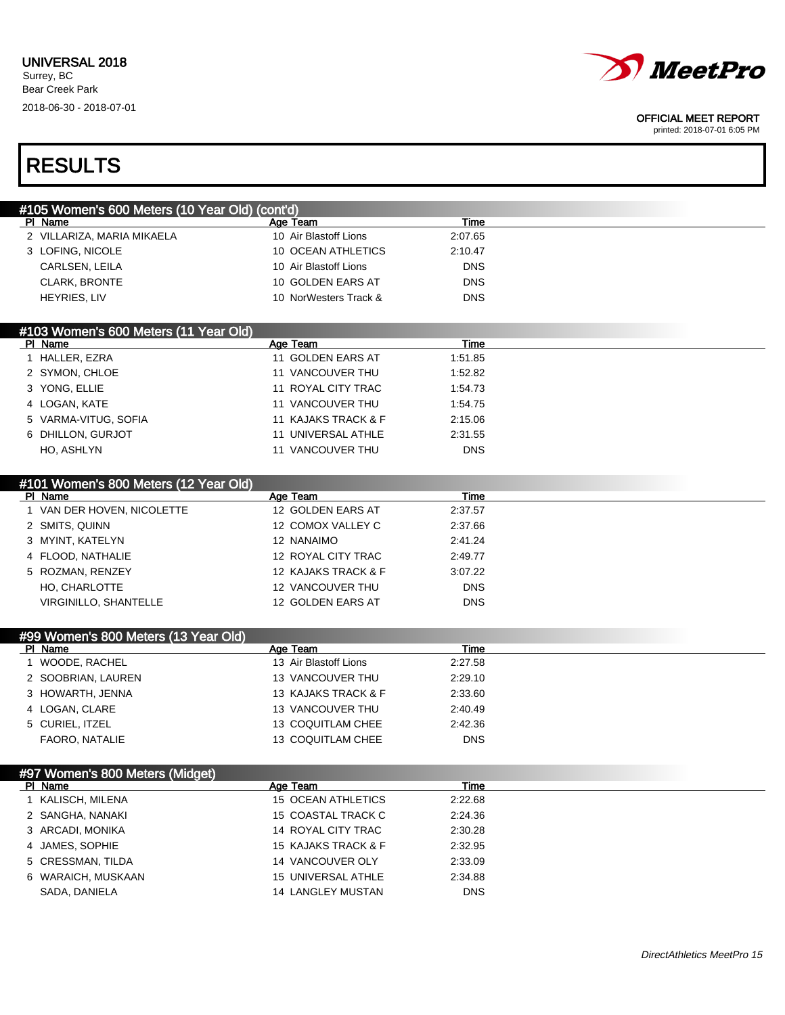

printed: 2018-07-01 6:05 PM

# RESULTS

| #105 Women's 600 Meters (10 Year Old) (cont'd)  |                       |             |  |
|-------------------------------------------------|-----------------------|-------------|--|
| PI Name                                         | Age Team              | Time        |  |
| 2 VILLARIZA, MARIA MIKAELA                      | 10 Air Blastoff Lions | 2:07.65     |  |
| 3 LOFING, NICOLE                                | 10 OCEAN ATHLETICS    | 2:10.47     |  |
| CARLSEN, LEILA                                  | 10 Air Blastoff Lions | <b>DNS</b>  |  |
| <b>CLARK, BRONTE</b>                            | 10 GOLDEN EARS AT     | <b>DNS</b>  |  |
| HEYRIES, LIV                                    | 10 NorWesters Track & | <b>DNS</b>  |  |
| #103 Women's 600 Meters (11 Year Old)           |                       |             |  |
| PI Name                                         | Age Team              | Time        |  |
| 1 HALLER, EZRA                                  | 11 GOLDEN EARS AT     | 1:51.85     |  |
| 2 SYMON, CHLOE                                  | 11 VANCOUVER THU      | 1:52.82     |  |
| 3 YONG, ELLIE                                   | 11 ROYAL CITY TRAC    | 1:54.73     |  |
| 4 LOGAN, KATE                                   | 11 VANCOUVER THU      | 1:54.75     |  |
| 5 VARMA-VITUG, SOFIA                            | 11 KAJAKS TRACK & F   | 2:15.06     |  |
| 6 DHILLON, GURJOT                               | 11 UNIVERSAL ATHLE    | 2:31.55     |  |
| HO, ASHLYN                                      | 11 VANCOUVER THU      | <b>DNS</b>  |  |
| #101 Women's 800 Meters (12 Year Old)           |                       |             |  |
| PI Name                                         | Age Team              | Time        |  |
| 1 VAN DER HOVEN, NICOLETTE                      | 12 GOLDEN EARS AT     | 2:37.57     |  |
| 2 SMITS, QUINN                                  | 12 COMOX VALLEY C     | 2:37.66     |  |
| 3 MYINT, KATELYN                                | 12 NANAIMO            | 2:41.24     |  |
| 4 FLOOD, NATHALIE                               | 12 ROYAL CITY TRAC    | 2:49.77     |  |
| 5 ROZMAN, RENZEY                                | 12 KAJAKS TRACK & F   | 3:07.22     |  |
| HO, CHARLOTTE                                   | 12 VANCOUVER THU      | <b>DNS</b>  |  |
| VIRGINILLO, SHANTELLE                           | 12 GOLDEN EARS AT     | <b>DNS</b>  |  |
| #99 Women's 800 Meters (13 Year Old)<br>PI Name | Age Team              | <b>Time</b> |  |
| 1 WOODE, RACHEL                                 | 13 Air Blastoff Lions | 2:27.58     |  |
| 2 SOOBRIAN, LAUREN                              | 13 VANCOUVER THU      | 2:29.10     |  |
| 3 HOWARTH, JENNA                                | 13 KAJAKS TRACK & F   | 2:33.60     |  |
| 4 LOGAN, CLARE                                  | 13 VANCOUVER THU      | 2:40.49     |  |
| 5 CURIEL, ITZEL                                 | 13 COQUITLAM CHEE     | 2:42.36     |  |
|                                                 | 13 COQUITLAM CHEE     | <b>DNS</b>  |  |
| FAORO, NATALIE                                  |                       |             |  |
| #97 Women's 800 Meters (Midget)<br>PI Name      | Age Team              | Time        |  |
| 1 KALISCH, MILENA                               | 15 OCEAN ATHLETICS    | 2:22.68     |  |
| 2 SANGHA, NANAKI                                | 15 COASTAL TRACK C    | 2:24.36     |  |
|                                                 |                       |             |  |

3 ARCADI, MONIKA 14 ROYAL CITY TRAC 2:30.28 4 JAMES, SOPHIE 15 KAJAKS TRACK & F 2:32.95 5 CRESSMAN, TILDA 14 VANCOUVER OLY 2:33.09 6 WARAICH, MUSKAAN 15 UNIVERSAL ATHLE 2:34.88 SADA, DANIELA DISTRIMATION DISTRIMATION DRIVE AND A LANGLEY MUSTAN DISTRIMATION DRIVE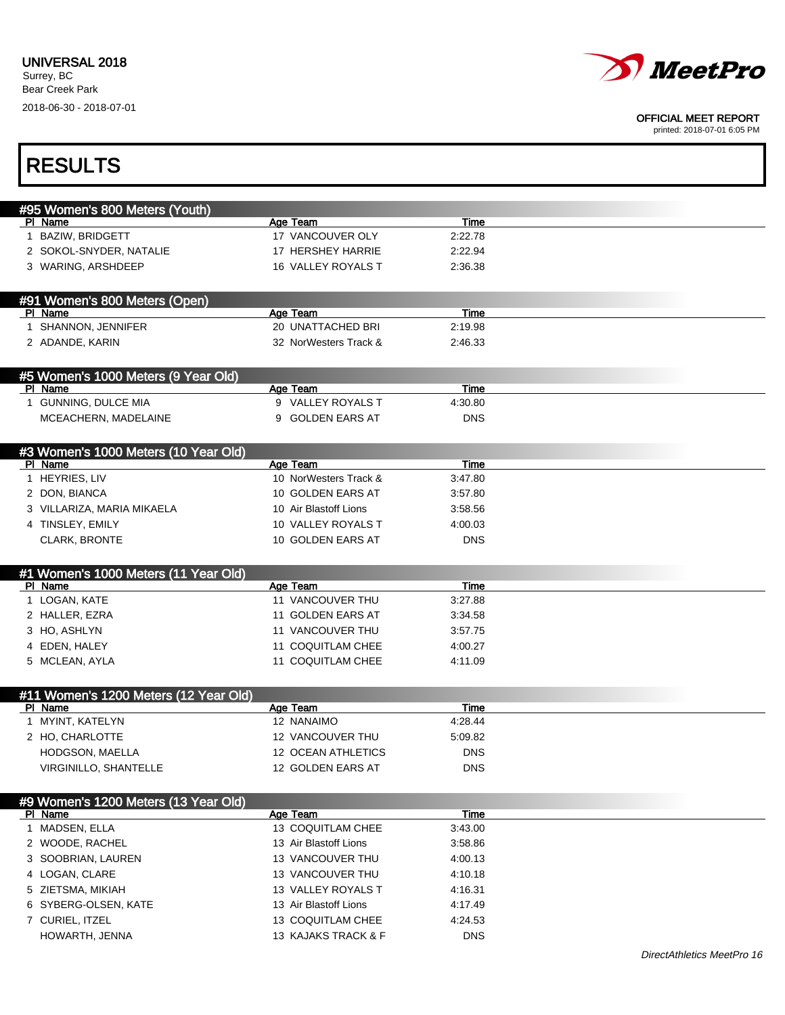Г



#### OFFICIAL MEET REPORT

printed: 2018-07-01 6:05 PM

1

| <b>RESULTS</b>                                  |                               |                 |                            |
|-------------------------------------------------|-------------------------------|-----------------|----------------------------|
| #95 Women's 800 Meters (Youth)                  |                               |                 |                            |
| PI Name                                         | Age Team                      | Time            |                            |
| 1 BAZIW, BRIDGETT                               | 17 VANCOUVER OLY              | 2:22.78         |                            |
| 2 SOKOL-SNYDER, NATALIE                         | 17 HERSHEY HARRIE             | 2:22.94         |                            |
| 3 WARING, ARSHDEEP                              | 16 VALLEY ROYALS T            | 2:36.38         |                            |
| #91 Women's 800 Meters (Open)                   |                               |                 |                            |
| PI Name<br>1 SHANNON, JENNIFER                  | Age Team<br>20 UNATTACHED BRI | Time<br>2:19.98 |                            |
| 2 ADANDE, KARIN                                 | 32 NorWesters Track &         | 2:46.33         |                            |
| #5 Women's 1000 Meters (9 Year Old)             |                               |                 |                            |
| PI Name                                         | Age Team                      | Time            |                            |
| 1 GUNNING, DULCE MIA                            | 9 VALLEY ROYALS T             | 4:30.80         |                            |
| MCEACHERN, MADELAINE                            | 9 GOLDEN EARS AT              | <b>DNS</b>      |                            |
| #3 Women's 1000 Meters (10 Year Old)            |                               |                 |                            |
| PI Name                                         | Age Team                      | Time            |                            |
| 1 HEYRIES, LIV                                  | 10 NorWesters Track &         | 3:47.80         |                            |
| 2 DON, BIANCA                                   | 10 GOLDEN EARS AT             | 3:57.80         |                            |
| 3 VILLARIZA, MARIA MIKAELA                      | 10 Air Blastoff Lions         | 3:58.56         |                            |
| 4 TINSLEY, EMILY                                | 10 VALLEY ROYALS T            | 4:00.03         |                            |
| CLARK, BRONTE                                   | 10 GOLDEN EARS AT             | <b>DNS</b>      |                            |
| #1 Women's 1000 Meters (11 Year Old)<br>PI Name | Age Team                      | Time            |                            |
| 1 LOGAN, KATE                                   | 11 VANCOUVER THU              | 3:27.88         |                            |
| 2 HALLER, EZRA                                  | 11 GOLDEN EARS AT             | 3:34.58         |                            |
| 3 HO, ASHLYN                                    | 11 VANCOUVER THU              | 3:57.75         |                            |
| 4 EDEN, HALEY                                   | 11 COQUITLAM CHEE             | 4:00.27         |                            |
| 5 MCLEAN, AYLA                                  | 11 COQUITLAM CHEE             | 4:11.09         |                            |
| #11 Women's 1200 Meters (12 Year Old)           |                               |                 |                            |
| PI Name                                         | <b>Age Team</b>               | Time            |                            |
| 1 MYINT, KATELYN                                | 12 NANAIMO                    | 4:28.44         |                            |
| 2 HO, CHARLOTTE                                 | 12 VANCOUVER THU              | 5:09.82         |                            |
| HODGSON, MAELLA                                 | 12 OCEAN ATHLETICS            | <b>DNS</b>      |                            |
| VIRGINILLO, SHANTELLE                           | 12 GOLDEN EARS AT             | <b>DNS</b>      |                            |
| #9 Women's 1200 Meters (13 Year Old)<br>PI Name | Age Team                      | Time            |                            |
| 1 MADSEN, ELLA                                  | 13 COQUITLAM CHEE             | 3:43.00         |                            |
| 2 WOODE, RACHEL                                 | 13 Air Blastoff Lions         | 3:58.86         |                            |
| 3 SOOBRIAN, LAUREN                              | 13 VANCOUVER THU              | 4:00.13         |                            |
| 4 LOGAN, CLARE                                  | 13 VANCOUVER THU              | 4:10.18         |                            |
| 5 ZIETSMA, MIKIAH                               | 13 VALLEY ROYALS T            | 4:16.31         |                            |
| 6 SYBERG-OLSEN, KATE                            | 13 Air Blastoff Lions         | 4:17.49         |                            |
| 7 CURIEL, ITZEL                                 | 13 COQUITLAM CHEE             | 4:24.53         |                            |
| HOWARTH, JENNA                                  | 13 KAJAKS TRACK & F           | <b>DNS</b>      |                            |
|                                                 |                               |                 | DirectAthletics MeetPro 16 |
|                                                 |                               |                 |                            |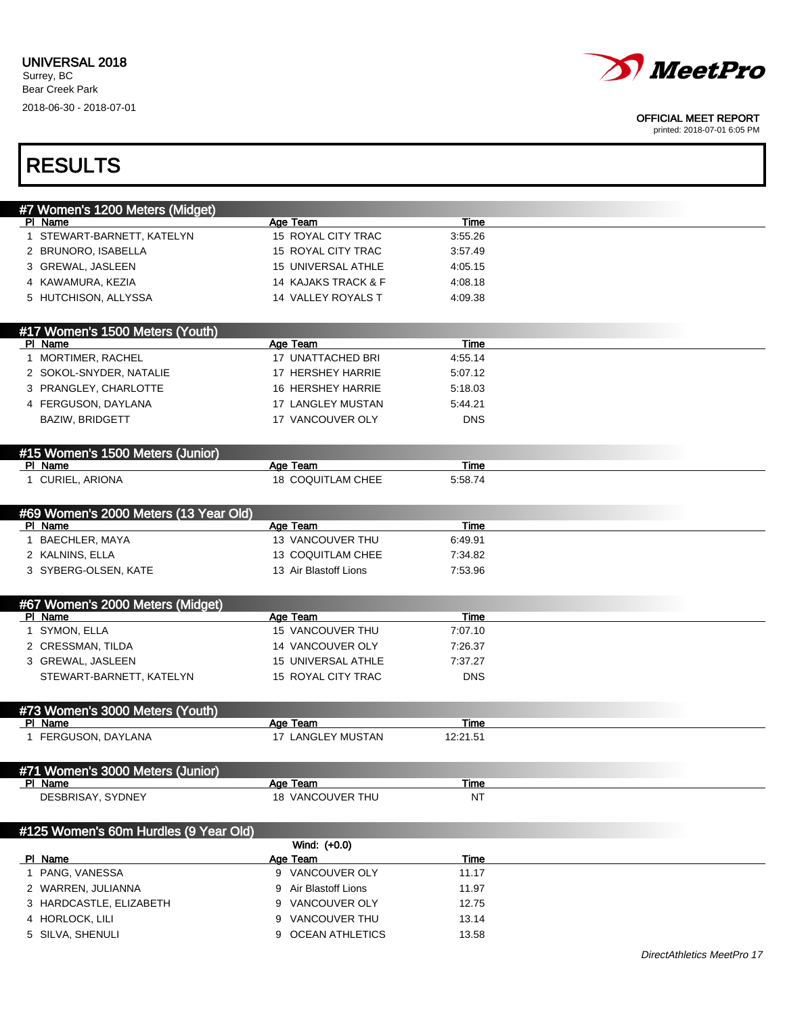

printed: 2018-07-01 6:05 PM

# RESULTS

| #7 Women's 1200 Meters (Midget)       |                          |             |  |
|---------------------------------------|--------------------------|-------------|--|
| PI Name                               | Age Team                 | Time        |  |
| 1 STEWART-BARNETT, KATELYN            | 15 ROYAL CITY TRAC       | 3:55.26     |  |
| 2 BRUNORO, ISABELLA                   | 15 ROYAL CITY TRAC       | 3:57.49     |  |
| 3 GREWAL, JASLEEN                     | 15 UNIVERSAL ATHLE       | 4:05.15     |  |
| 4 KAWAMURA, KEZIA                     | 14 KAJAKS TRACK & F      | 4:08.18     |  |
| 5 HUTCHISON, ALLYSSA                  | 14 VALLEY ROYALS T       | 4:09.38     |  |
|                                       |                          |             |  |
| #17 Women's 1500 Meters (Youth)       |                          |             |  |
| PI Name                               | Age Team                 | Time        |  |
| 1 MORTIMER, RACHEL                    | 17 UNATTACHED BRI        | 4:55.14     |  |
| 2 SOKOL-SNYDER, NATALIE               | 17 HERSHEY HARRIE        | 5:07.12     |  |
| 3 PRANGLEY, CHARLOTTE                 | 16 HERSHEY HARRIE        | 5:18.03     |  |
| 4 FERGUSON, DAYLANA                   | <b>17 LANGLEY MUSTAN</b> | 5:44.21     |  |
| <b>BAZIW, BRIDGETT</b>                | 17 VANCOUVER OLY         | <b>DNS</b>  |  |
|                                       |                          |             |  |
| #15 Women's 1500 Meters (Junior)      |                          |             |  |
| PI Name                               | Age Team                 | <b>Time</b> |  |
| 1 CURIEL, ARIONA                      | 18 COQUITLAM CHEE        | 5:58.74     |  |
|                                       |                          |             |  |
| #69 Women's 2000 Meters (13 Year Old) |                          |             |  |
| PI Name                               | Age Team                 | Time        |  |
| 1 BAECHLER, MAYA                      | 13 VANCOUVER THU         | 6.49.91     |  |
| 2 KALNINS, ELLA                       | 13 COQUITLAM CHEE        | 7:34.82     |  |
| 3 SYBERG-OLSEN, KATE                  | 13 Air Blastoff Lions    | 7:53.96     |  |
|                                       |                          |             |  |
| #67 Women's 2000 Meters (Midget)      |                          |             |  |
| PI Name                               | Age Team                 | Time        |  |
| 1 SYMON, ELLA                         | 15 VANCOUVER THU         | 7:07.10     |  |
| 2 CRESSMAN, TILDA                     | 14 VANCOUVER OLY         | 7:26.37     |  |
| 3 GREWAL, JASLEEN                     | 15 UNIVERSAL ATHLE       | 7:37.27     |  |
| STEWART-BARNETT, KATELYN              | 15 ROYAL CITY TRAC       | <b>DNS</b>  |  |
|                                       |                          |             |  |
| #73 Women's 3000 Meters (Youth)       |                          |             |  |
| PI Name                               | Age Team                 | Time        |  |
| 1 FERGUSON, DAYLANA                   | 17 LANGLEY MUSTAN        | 12:21.51    |  |
|                                       |                          |             |  |
| #71 Women's 3000 Meters (Junior)      |                          |             |  |
| PI Name                               | Age Team                 | <u>Time</u> |  |
| DESBRISAY, SYDNEY                     | 18 VANCOUVER THU         | <b>NT</b>   |  |
|                                       |                          |             |  |
| #125 Women's 60m Hurdles (9 Year Old) |                          |             |  |
|                                       | Wind: (+0.0)             |             |  |
| PI Name                               | Age Team                 | <b>Time</b> |  |
| 1 PANG, VANESSA                       | 9 VANCOUVER OLY          | 11.17       |  |
| 2 WARREN, JULIANNA                    | 9 Air Blastoff Lions     | 11.97       |  |
| 3 HARDCASTLE, ELIZABETH               | 9 VANCOUVER OLY          | 12.75       |  |
| 4 HORLOCK, LILI                       | 9 VANCOUVER THU          | 13.14       |  |
| 5 SILVA, SHENULI                      | 9 OCEAN ATHLETICS        | 13.58       |  |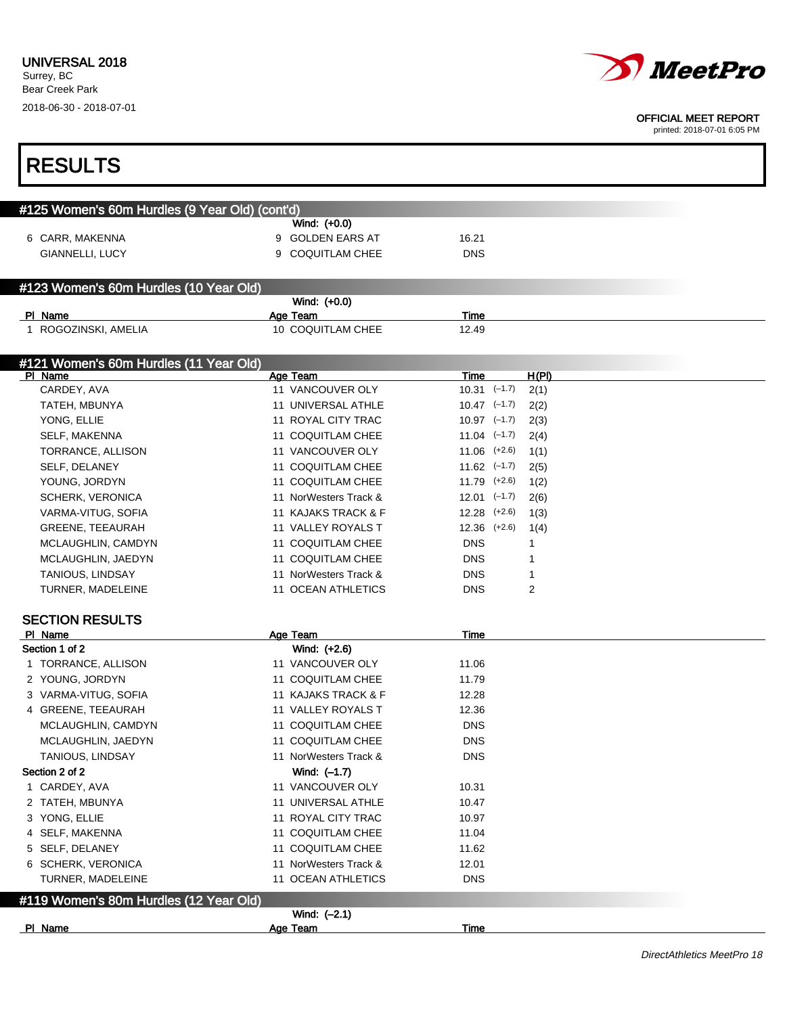

| <b>RESULTS</b>                                    |                                        |                          |  |
|---------------------------------------------------|----------------------------------------|--------------------------|--|
| #125 Women's 60m Hurdles (9 Year Old) (cont'd)    |                                        |                          |  |
|                                                   | Wind: (+0.0)                           |                          |  |
| 6 CARR, MAKENNA                                   | 9 GOLDEN EARS AT                       | 16.21                    |  |
| GIANNELLI, LUCY                                   | <b>COQUITLAM CHEE</b><br>9             | <b>DNS</b>               |  |
|                                                   |                                        |                          |  |
| #123 Women's 60m Hurdles (10 Year Old)            |                                        |                          |  |
|                                                   | Wind: (+0.0)                           |                          |  |
| PI Name                                           | Age Team                               | Time                     |  |
| 1 ROGOZINSKI, AMELIA                              | 10 COQUITLAM CHEE                      | 12.49                    |  |
|                                                   |                                        |                          |  |
| #121 Women's 60m Hurdles (11 Year Old)<br>PI Name | Age Team                               | H(PI)<br>Time            |  |
| CARDEY, AVA                                       | 11 VANCOUVER OLY                       | $10.31$ $(-1.7)$<br>2(1) |  |
| TATEH, MBUNYA                                     | 11 UNIVERSAL ATHLE                     | $10.47$ $(-1.7)$<br>2(2) |  |
| YONG, ELLIE                                       | 11 ROYAL CITY TRAC                     | $10.97$ $(-1.7)$<br>2(3) |  |
| SELF, MAKENNA                                     | 11 COQUITLAM CHEE                      | $11.04$ $(-1.7)$<br>2(4) |  |
| TORRANCE, ALLISON                                 | 11 VANCOUVER OLY                       | $11.06$ $(+2.6)$<br>1(1) |  |
| SELF, DELANEY                                     | 11 COQUITLAM CHEE                      | $11.62$ $(-1.7)$<br>2(5) |  |
| YOUNG, JORDYN                                     | 11 COQUITLAM CHEE                      | $11.79$ $(+2.6)$<br>1(2) |  |
| <b>SCHERK, VERONICA</b>                           | 11 NorWesters Track &                  | $12.01$ $(-1.7)$<br>2(6) |  |
| VARMA-VITUG, SOFIA                                | 11 KAJAKS TRACK & F                    | $12.28$ $(+2.6)$<br>1(3) |  |
| <b>GREENE, TEEAURAH</b>                           | 11 VALLEY ROYALS T                     | $12.36$ $(+2.6)$<br>1(4) |  |
| MCLAUGHLIN, CAMDYN                                | 11 COQUITLAM CHEE                      | <b>DNS</b><br>1          |  |
| MCLAUGHLIN, JAEDYN                                | 11 COQUITLAM CHEE                      | <b>DNS</b><br>1          |  |
| <b>TANIOUS, LINDSAY</b>                           | 11 NorWesters Track &                  | <b>DNS</b><br>1          |  |
| TURNER, MADELEINE                                 | 11 OCEAN ATHLETICS                     | 2<br><b>DNS</b>          |  |
|                                                   |                                        |                          |  |
| <b>SECTION RESULTS</b>                            |                                        |                          |  |
| PI Name                                           | Age Team                               | Time                     |  |
| Section 1 of 2                                    | Wind: (+2.6)                           |                          |  |
| 1 TORRANCE, ALLISON                               | 11 VANCOUVER OLY                       | 11.06                    |  |
| 2 YOUNG, JORDYN                                   | 11 COQUITLAM CHEE                      | 11.79                    |  |
| 3 VARMA-VITUG, SOFIA                              | 11 KAJAKS TRACK & F                    | 12.28                    |  |
| 4 GREENE, TEEAURAH                                | 11 VALLEY ROYALS T                     | 12.36                    |  |
| MCLAUGHLIN, CAMDYN                                | 11 COQUITLAM CHEE                      | <b>DNS</b>               |  |
| MCLAUGHLIN, JAEDYN                                | 11 COQUITLAM CHEE                      | <b>DNS</b>               |  |
| TANIOUS, LINDSAY                                  | 11 NorWesters Track &                  | <b>DNS</b>               |  |
| Section 2 of 2                                    | Wind: (-1.7)                           |                          |  |
| 1 CARDEY, AVA                                     | 11 VANCOUVER OLY                       | 10.31                    |  |
| 2 TATEH, MBUNYA                                   | 11 UNIVERSAL ATHLE                     | 10.47                    |  |
| 3 YONG, ELLIE<br>4 SELF, MAKENNA                  | 11 ROYAL CITY TRAC                     | 10.97                    |  |
|                                                   | 11 COQUITLAM CHEE<br>11 COQUITLAM CHEE | 11.04                    |  |
| 5 SELF, DELANEY<br>6 SCHERK, VERONICA             | 11 NorWesters Track &                  | 11.62<br>12.01           |  |
| TURNER, MADELEINE                                 | 11 OCEAN ATHLETICS                     | <b>DNS</b>               |  |
|                                                   |                                        |                          |  |
| #119 Women's 80m Hurdles (12 Year Old)            |                                        |                          |  |
| <b>PI Name</b>                                    | Wind: $(-2.1)$<br><b>Age Team</b>      | <b>Time</b>              |  |
|                                                   |                                        |                          |  |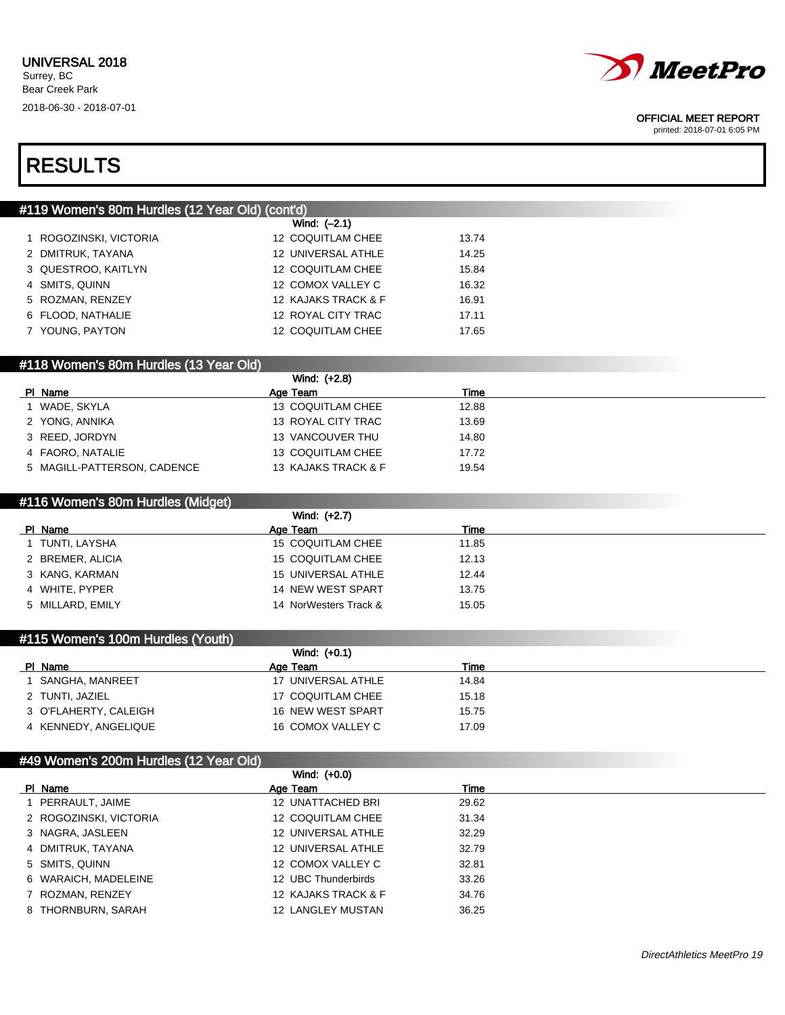

printed: 2018-07-01 6:05 PM

## RESULTS

### #119 Women's 80m Hurdles (12 Year Old) (cont'd)

|                        | Wind: $(-2.1)$      |       |
|------------------------|---------------------|-------|
| 1 ROGOZINSKI, VICTORIA | 12 COQUITLAM CHEE   | 13.74 |
| 2 DMITRUK, TAYANA      | 12 UNIVERSAL ATHLE  | 14.25 |
| 3 QUESTROO, KAITLYN    | 12 COQUITLAM CHEE   | 15.84 |
| 4 SMITS, QUINN         | 12 COMOX VALLEY C   | 16.32 |
| 5 ROZMAN, RENZEY       | 12 KAJAKS TRACK & F | 16.91 |
| 6 FLOOD, NATHALIE      | 12 ROYAL CITY TRAC  | 17.11 |
| 7 YOUNG, PAYTON        | 12 COQUITLAM CHEE   | 17.65 |

### #118 Women's 80m Hurdles (13 Year Old)

|                             | Wind: (+2.8)        |       |  |
|-----------------------------|---------------------|-------|--|
| PI Name                     | Age Team            | Time  |  |
| I WADE, SKYLA               | 13 COQUITLAM CHEE   | 12.88 |  |
| 2 YONG, ANNIKA              | 13 ROYAL CITY TRAC  | 13.69 |  |
| 3 REED, JORDYN              | 13 VANCOUVER THU    | 14.80 |  |
| 4 FAORO, NATALIE            | 13 COQUITLAM CHEE   | 17.72 |  |
| 5 MAGILL-PATTERSON, CADENCE | 13 KAJAKS TRACK & F | 19.54 |  |

### #116 Women's 80m Hurdles (Midget)

|                  | Wind: (+2.7)          |       |  |
|------------------|-----------------------|-------|--|
| PI Name          | Age Team              | Time  |  |
| 1 TUNTI, LAYSHA  | 15 COQUITLAM CHEE     | 11.85 |  |
| 2 BREMER, ALICIA | 15 COQUITLAM CHEE     | 12.13 |  |
| 3 KANG, KARMAN   | 15 UNIVERSAL ATHLE    | 12.44 |  |
| 4 WHITE, PYPER   | 14 NEW WEST SPART     | 13.75 |  |
| 5 MILLARD, EMILY | 14 NorWesters Track & | 15.05 |  |

### #115 Women's 100m Hurdles (Youth)

|                       | Wind: $(+0.1)$     |       |  |
|-----------------------|--------------------|-------|--|
| PI Name               | Age Team           | Time  |  |
| SANGHA, MANREET       | 17 UNIVERSAL ATHLE | 14.84 |  |
| 2 TUNTI, JAZIEL       | 17 COQUITLAM CHEE  | 15.18 |  |
| 3 O'FLAHERTY, CALEIGH | 16 NEW WEST SPART  | 15.75 |  |
| 4 KENNEDY, ANGELIQUE  | 16 COMOX VALLEY C  | 17.09 |  |

### #49 Women's 200m Hurdles (12 Year Old)

|                        | Wind: (+0.0)        |       |  |
|------------------------|---------------------|-------|--|
| PI Name                | Age Team            | Time  |  |
| 1 PERRAULT, JAIME      | 12 UNATTACHED BRI   | 29.62 |  |
| 2 ROGOZINSKI, VICTORIA | 12 COQUITLAM CHEE   | 31.34 |  |
| 3 NAGRA, JASLEEN       | 12 UNIVERSAL ATHLE  | 32.29 |  |
| 4 DMITRUK, TAYANA      | 12 UNIVERSAL ATHLE  | 32.79 |  |
| 5 SMITS, QUINN         | 12 COMOX VALLEY C   | 32.81 |  |
| 6 WARAICH, MADELEINE   | 12 UBC Thunderbirds | 33.26 |  |
| 7 ROZMAN, RENZEY       | 12 KAJAKS TRACK & F | 34.76 |  |
| 8 THORNBURN, SARAH     | 12 LANGLEY MUSTAN   | 36.25 |  |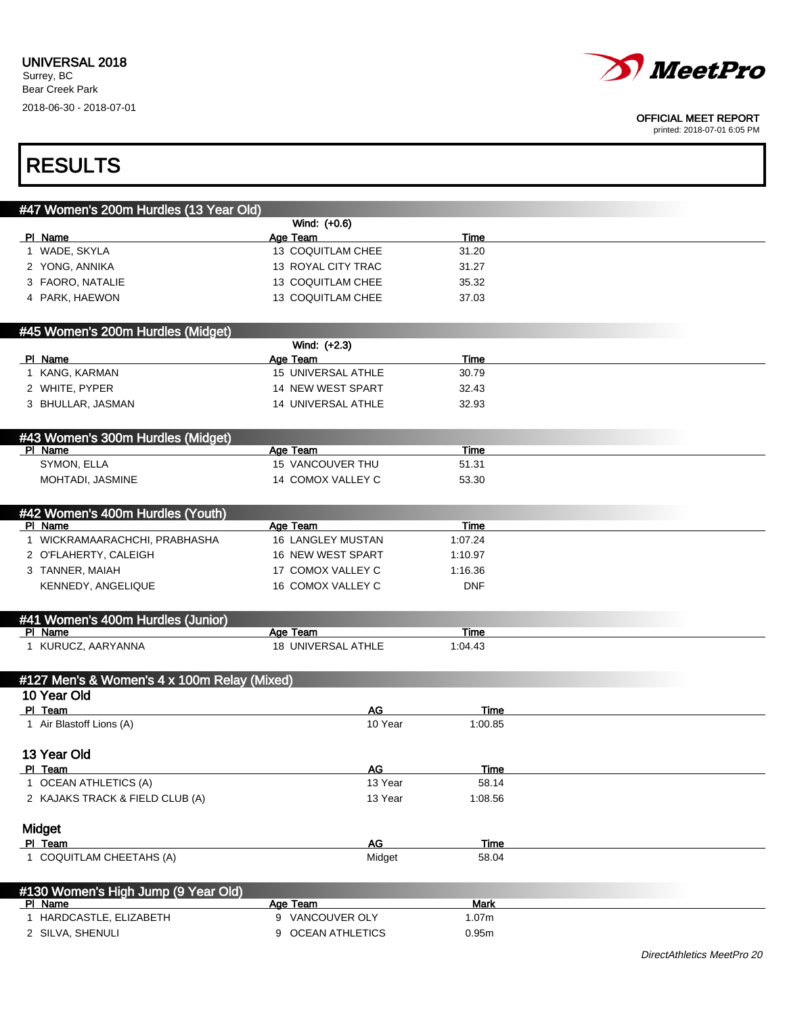

printed: 2018-07-01 6:05 PM

| <b>RESULTS</b> |
|----------------|
|----------------|

| #47 Women's 200m Hurdles (13 Year Old)       |                          |             |  |
|----------------------------------------------|--------------------------|-------------|--|
|                                              | Wind: (+0.6)             |             |  |
| PI Name                                      | Age Team                 | Time        |  |
| 1 WADE, SKYLA                                | 13 COQUITLAM CHEE        | 31.20       |  |
| 2 YONG, ANNIKA                               | 13 ROYAL CITY TRAC       | 31.27       |  |
| 3 FAORO, NATALIE                             | 13 COQUITLAM CHEE        | 35.32       |  |
| 4 PARK, HAEWON                               | 13 COQUITLAM CHEE        | 37.03       |  |
|                                              |                          |             |  |
| #45 Women's 200m Hurdles (Midget)            |                          |             |  |
|                                              | Wind: (+2.3)             |             |  |
| PI Name                                      | Age Team                 | Time        |  |
| 1 KANG, KARMAN                               | 15 UNIVERSAL ATHLE       | 30.79       |  |
| 2 WHITE, PYPER                               | 14 NEW WEST SPART        | 32.43       |  |
| 3 BHULLAR, JASMAN                            | 14 UNIVERSAL ATHLE       | 32.93       |  |
|                                              |                          |             |  |
| #43 Women's 300m Hurdles (Midget)            |                          |             |  |
| PI Name                                      | Age Team                 | <b>Time</b> |  |
| SYMON, ELLA                                  | 15 VANCOUVER THU         | 51.31       |  |
| MOHTADI, JASMINE                             | 14 COMOX VALLEY C        | 53.30       |  |
|                                              |                          |             |  |
|                                              |                          |             |  |
| #42 Women's 400m Hurdles (Youth)<br>PI Name  | Age Team                 | Time        |  |
| 1 WICKRAMAARACHCHI, PRABHASHA                | <b>16 LANGLEY MUSTAN</b> | 1:07.24     |  |
| 2 O'FLAHERTY, CALEIGH                        | 16 NEW WEST SPART        | 1:10.97     |  |
| 3 TANNER, MAIAH                              | 17 COMOX VALLEY C        | 1:16.36     |  |
| KENNEDY, ANGELIQUE                           | 16 COMOX VALLEY C        | <b>DNF</b>  |  |
|                                              |                          |             |  |
|                                              |                          |             |  |
| #41 Women's 400m Hurdles (Junior)<br>PI Name | Age Team                 | Time        |  |
| 1 KURUCZ, AARYANNA                           | 18 UNIVERSAL ATHLE       | 1:04.43     |  |
|                                              |                          |             |  |
|                                              |                          |             |  |
| #127 Men's & Women's 4 x 100m Relay (Mixed)  |                          |             |  |
| 10 Year Old                                  |                          |             |  |
| PI Team                                      | <b>AG</b>                | <u>Time</u> |  |
| 1 Air Blastoff Lions (A)                     | 10 Year                  | 1:00.85     |  |
|                                              |                          |             |  |
| 13 Year Old                                  |                          |             |  |
| PI Team                                      | <u>AG</u>                | <u>Time</u> |  |
| 1 OCEAN ATHLETICS (A)                        | 13 Year                  | 58.14       |  |
| 2 KAJAKS TRACK & FIELD CLUB (A)              | 13 Year                  | 1:08.56     |  |
|                                              |                          |             |  |
| Midget                                       |                          |             |  |
| PI Team                                      | <b>AG</b>                | <b>Time</b> |  |
| 1 COQUITLAM CHEETAHS (A)                     | Midget                   | 58.04       |  |
|                                              |                          |             |  |
| #130 Women's High Jump (9 Year Old)          |                          |             |  |
| PI Name                                      | Age Team                 | <b>Mark</b> |  |
| 1 HARDCASTLE, ELIZABETH                      | 9 VANCOUVER OLY          | 1.07m       |  |

2 SILVA, SHENULI 9 OCEAN ATHLETICS 0.95m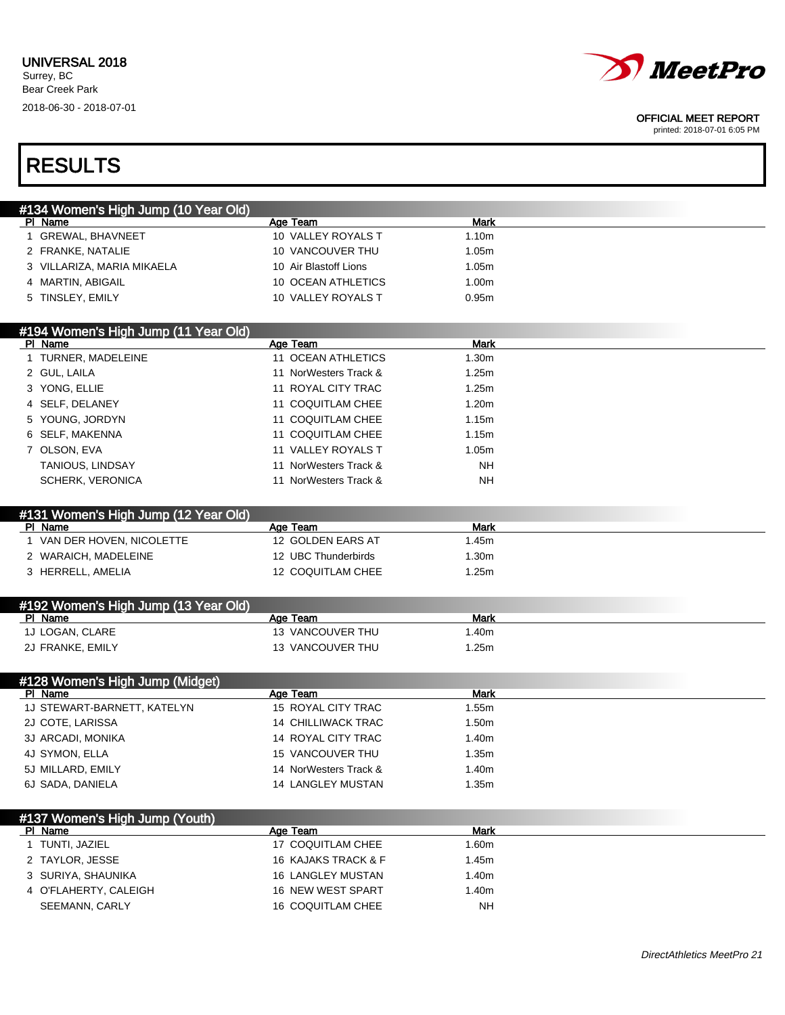

printed: 2018-07-01 6:05 PM

# RESULTS

| #134 Women's High Jump (10 Year Old)<br>PI Name | Age Team                  | <b>Mark</b>       |  |
|-------------------------------------------------|---------------------------|-------------------|--|
| 1 GREWAL, BHAVNEET                              | 10 VALLEY ROYALS T        | 1.10m             |  |
| 2 FRANKE, NATALIE                               | 10 VANCOUVER THU          | 1.05m             |  |
| 3 VILLARIZA, MARIA MIKAELA                      | 10 Air Blastoff Lions     | 1.05m             |  |
| 4 MARTIN, ABIGAIL                               | 10 OCEAN ATHLETICS        | 1.00m             |  |
| 5 TINSLEY, EMILY                                | 10 VALLEY ROYALS T        | 0.95 <sub>m</sub> |  |
|                                                 |                           |                   |  |
| #194 Women's High Jump (11 Year Old)            |                           |                   |  |
| PI Name                                         | Age Team                  | <b>Mark</b>       |  |
| 1 TURNER, MADELEINE                             | 11 OCEAN ATHLETICS        | 1.30m             |  |
| 2 GUL, LAILA                                    | 11 NorWesters Track &     | 1.25m             |  |
| 3 YONG, ELLIE                                   | 11 ROYAL CITY TRAC        | 1.25m             |  |
| 4 SELF, DELANEY                                 | 11 COQUITLAM CHEE         | 1.20m             |  |
| 5 YOUNG, JORDYN                                 | 11 COQUITLAM CHEE         | 1.15m             |  |
| 6 SELF, MAKENNA                                 | 11 COQUITLAM CHEE         | 1.15m             |  |
| 7 OLSON, EVA                                    | 11 VALLEY ROYALS T        | 1.05m             |  |
| TANIOUS, LINDSAY                                | 11 NorWesters Track &     | <b>NH</b>         |  |
| <b>SCHERK, VERONICA</b>                         | 11 NorWesters Track &     | <b>NH</b>         |  |
|                                                 |                           |                   |  |
| #131 Women's High Jump (12 Year Old)            |                           |                   |  |
| PI Name                                         | Age Team                  | Mark              |  |
| 1 VAN DER HOVEN, NICOLETTE                      | 12 GOLDEN EARS AT         | 1.45m             |  |
| 2 WARAICH, MADELEINE                            | 12 UBC Thunderbirds       | 1.30 <sub>m</sub> |  |
| 3 HERRELL, AMELIA                               | 12 COQUITLAM CHEE         | 1.25m             |  |
|                                                 |                           |                   |  |
| #192 Women's High Jump (13 Year Old)            |                           |                   |  |
| PI Name                                         | Age Team                  | <b>Mark</b>       |  |
| 1J LOGAN, CLARE                                 | 13 VANCOUVER THU          | 1.40m             |  |
| 2J FRANKE, EMILY                                | 13 VANCOUVER THU          | 1.25m             |  |
|                                                 |                           |                   |  |
| #128 Women's High Jump (Midget)                 |                           |                   |  |
| PI Name                                         | Age Team                  | <b>Mark</b>       |  |
| 1J STEWART-BARNETT, KATELYN                     | 15 ROYAL CITY TRAC        | 1.55m             |  |
| 2J COTE, LARISSA                                | <b>14 CHILLIWACK TRAC</b> | 1.50m             |  |
| 3J ARCADI, MONIKA                               | 14 ROYAL CITY TRAC        | 1.40m             |  |
| 4J SYMON, ELLA                                  | 15 VANCOUVER THU          | 1.35m             |  |
| 5J MILLARD, EMILY                               | 14 NorWesters Track &     | 1.40m             |  |
| 6J SADA, DANIELA                                | <b>14 LANGLEY MUSTAN</b>  | 1.35m             |  |
|                                                 |                           |                   |  |
| #137 Women's High Jump (Youth)                  |                           |                   |  |

| $\pi$ TO $\tau$ . The fight during the data $\tau$ |                     |           |  |
|----------------------------------------------------|---------------------|-----------|--|
| PI Name                                            | Age Team            | Mark      |  |
| 1 TUNTI, JAZIEL                                    | 17 COQUITLAM CHEE   | 1.60m     |  |
| 2 TAYLOR, JESSE                                    | 16 KAJAKS TRACK & F | 1.45m     |  |
| 3 SURIYA, SHAUNIKA                                 | 16 LANGLEY MUSTAN   | 1.40m     |  |
| 4 O'FLAHERTY, CALEIGH                              | 16 NEW WEST SPART   | 1.40m     |  |
| SEEMANN, CARLY                                     | 16 COQUITLAM CHEE   | <b>NH</b> |  |
|                                                    |                     |           |  |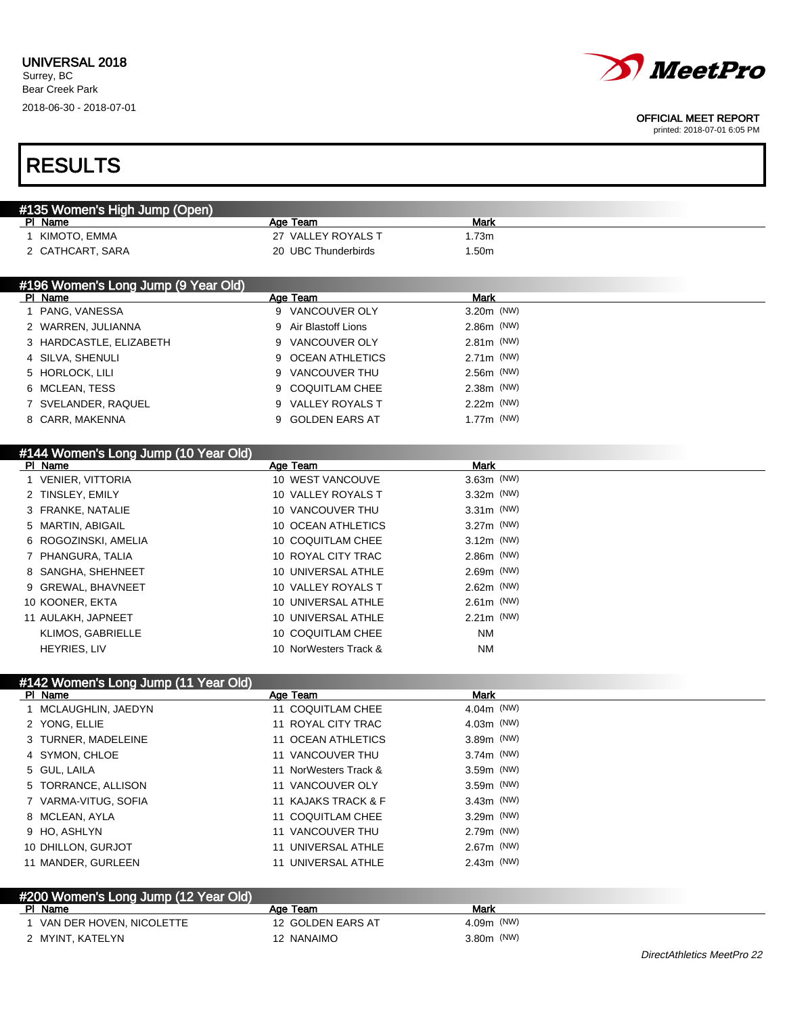

| <b>RESULTS</b> |
|----------------|
|----------------|

| #135 Women's High Jump (Open)                   |                             |              |  |
|-------------------------------------------------|-----------------------------|--------------|--|
| PI Name                                         | <b>Age Team</b>             | Mark         |  |
| 1 KIMOTO, EMMA                                  | 27 VALLEY ROYALS T          | 1.73m        |  |
| 2 CATHCART, SARA                                | 20 UBC Thunderbirds         | 1.50m        |  |
|                                                 |                             |              |  |
| #196 Women's Long Jump (9 Year Old)<br>PI Name  | Age Team                    | <b>Mark</b>  |  |
| 1 PANG, VANESSA                                 | 9 VANCOUVER OLY             | 3.20m (NW)   |  |
| 2 WARREN, JULIANNA                              | Air Blastoff Lions<br>9     | $2.86m$ (NW) |  |
| 3 HARDCASTLE, ELIZABETH                         | VANCOUVER OLY<br>9          | $2.81m$ (NW) |  |
| 4 SILVA, SHENULI                                | <b>OCEAN ATHLETICS</b><br>9 | $2.71m$ (NW) |  |
| 5 HORLOCK, LILI                                 | VANCOUVER THU<br>9          | $2.56m$ (NW) |  |
| 6 MCLEAN, TESS                                  | <b>COQUITLAM CHEE</b><br>9  | $2.38m$ (NW) |  |
| 7 SVELANDER, RAQUEL                             | VALLEY ROYALS T<br>9        | 2.22m (NW)   |  |
| 8 CARR, MAKENNA                                 | <b>GOLDEN EARS AT</b><br>9  | 1.77m (NW)   |  |
|                                                 |                             |              |  |
| #144 Women's Long Jump (10 Year Old)            |                             |              |  |
| PI Name                                         | <b>Age Team</b>             | Mark         |  |
| 1 VENIER, VITTORIA                              | 10 WEST VANCOUVE            | 3.63m (NW)   |  |
| 2 TINSLEY, EMILY                                | 10 VALLEY ROYALS T          | $3.32m$ (NW) |  |
| 3 FRANKE, NATALIE                               | 10 VANCOUVER THU            | $3.31m$ (NW) |  |
| 5 MARTIN, ABIGAIL                               | 10 OCEAN ATHLETICS          | $3.27m$ (NW) |  |
| 6 ROGOZINSKI, AMELIA                            | 10 COQUITLAM CHEE           | $3.12m$ (NW) |  |
| 7 PHANGURA, TALIA                               | 10 ROYAL CITY TRAC          | 2.86m (NW)   |  |
| 8 SANGHA, SHEHNEET                              | 10 UNIVERSAL ATHLE          | 2.69m (NW)   |  |
| 9 GREWAL, BHAVNEET                              | 10 VALLEY ROYALS T          | 2.62m (NW)   |  |
| 10 KOONER, EKTA                                 | 10 UNIVERSAL ATHLE          | $2.61m$ (NW) |  |
| 11 AULAKH, JAPNEET                              | 10 UNIVERSAL ATHLE          | $2.21m$ (NW) |  |
| <b>KLIMOS, GABRIELLE</b>                        | 10 COQUITLAM CHEE           | <b>NM</b>    |  |
| HEYRIES, LIV                                    | 10 NorWesters Track &       | <b>NM</b>    |  |
|                                                 |                             |              |  |
| #142 Women's Long Jump (11 Year Old)            |                             |              |  |
| PI Name                                         | Age Team                    | Mark         |  |
| 1 MCLAUGHLIN, JAEDYN                            | 11 COQUITLAM CHEE           | 4.04m (NW)   |  |
| 2 YONG, ELLIE                                   | 11 ROYAL CITY TRAC          | $4.03m$ (NW) |  |
| 3 TURNER, MADELEINE                             | 11 OCEAN ATHLETICS          | $3.89m$ (NW) |  |
| 4 SYMON, CHLOE                                  | 11 VANCOUVER THU            | $3.74m$ (NW) |  |
| 5 GUL, LAILA                                    | 11 NorWesters Track &       | 3.59m (NW)   |  |
| 5 TORRANCE, ALLISON                             | 11 VANCOUVER OLY            | 3.59m (NW)   |  |
| 7 VARMA-VITUG, SOFIA                            | 11 KAJAKS TRACK & F         | 3.43m (NW)   |  |
| 8 MCLEAN, AYLA                                  | 11 COQUITLAM CHEE           | 3.29m (NW)   |  |
| 9 HO, ASHLYN                                    | 11 VANCOUVER THU            | 2.79m (NW)   |  |
| 10 DHILLON, GURJOT                              | 11 UNIVERSAL ATHLE          | 2.67m (NW)   |  |
| 11 MANDER, GURLEEN                              | 11 UNIVERSAL ATHLE          | $2.43m$ (NW) |  |
|                                                 |                             |              |  |
| #200 Women's Long Jump (12 Year Old)<br>PI Name | Age Team                    | Mark         |  |
| 1 VAN DER HOVEN, NICOLETTE                      | 12 GOLDEN EARS AT           | 4.09m (NW)   |  |
| 2 MYINT, KATELYN                                | 12 NANAIMO                  | 3.80m (NW)   |  |
|                                                 |                             |              |  |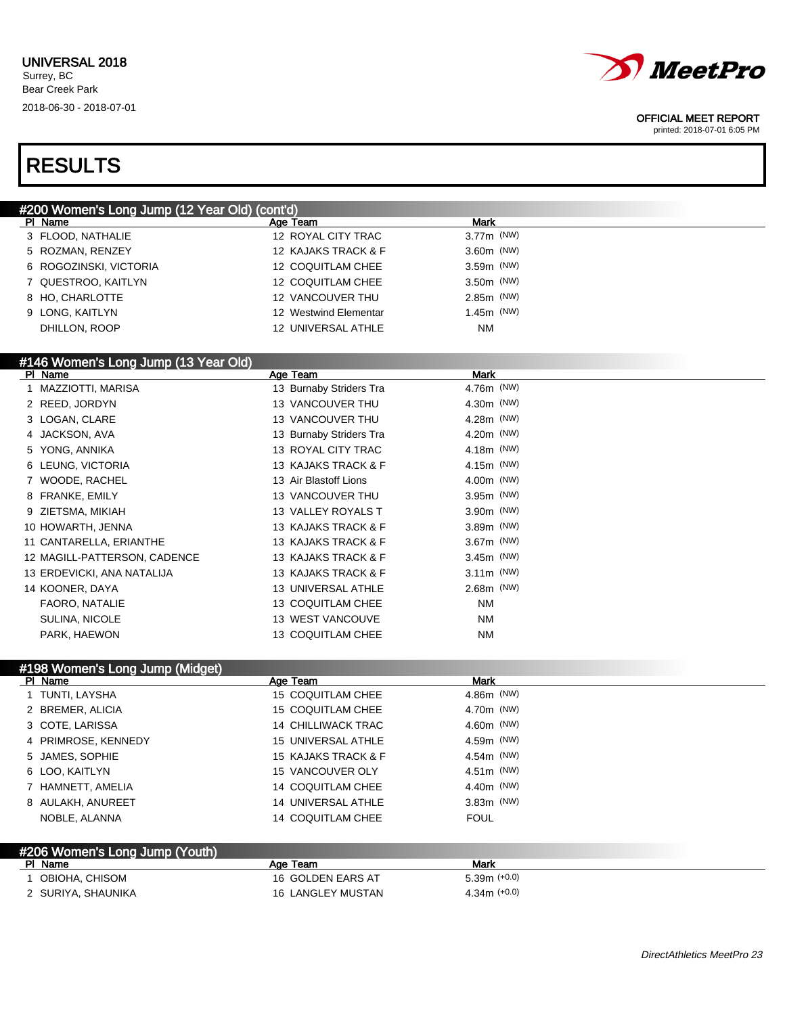

printed: 2018-07-01 6:05 PM

# RESULTS

| #200 Women's Long Jump (12 Year Old) (cont'd) |                           |              |
|-----------------------------------------------|---------------------------|--------------|
| PI Name                                       | Age Team                  | <b>Mark</b>  |
| 3 FLOOD, NATHALIE                             | 12 ROYAL CITY TRAC        | 3.77m (NW)   |
| 5 ROZMAN, RENZEY                              | 12 KAJAKS TRACK & F       | 3.60m (NW)   |
| 6 ROGOZINSKI, VICTORIA                        | 12 COQUITLAM CHEE         | 3.59m (NW)   |
| 7 QUESTROO, KAITLYN                           | 12 COQUITLAM CHEE         | 3.50m (NW)   |
| 8 HO, CHARLOTTE                               | 12 VANCOUVER THU          | 2.85m (NW)   |
| 9 LONG, KAITLYN                               | 12 Westwind Elementar     | 1.45m (NW)   |
| DHILLON, ROOP                                 | 12 UNIVERSAL ATHLE        | <b>NM</b>    |
|                                               |                           |              |
| #146 Women's Long Jump (13 Year Old)          |                           |              |
| PI Name                                       | Age Team                  | <b>Mark</b>  |
| 1 MAZZIOTTI, MARISA                           | 13 Burnaby Striders Tra   | 4.76m (NW)   |
| 2 REED, JORDYN                                | 13 VANCOUVER THU          | 4.30m (NW)   |
| 3 LOGAN, CLARE                                | 13 VANCOUVER THU          | 4.28m (NW)   |
| 4 JACKSON, AVA                                | 13 Burnaby Striders Tra   | 4.20m (NW)   |
| 5 YONG, ANNIKA                                | 13 ROYAL CITY TRAC        | 4.18m (NW)   |
| 6 LEUNG, VICTORIA                             | 13 KAJAKS TRACK & F       | 4.15m (NW)   |
| 7 WOODE, RACHEL                               | 13 Air Blastoff Lions     | 4.00m (NW)   |
| 8 FRANKE, EMILY                               | 13 VANCOUVER THU          | 3.95m (NW)   |
| 9 ZIETSMA, MIKIAH                             | 13 VALLEY ROYALS T        | 3.90m (NW)   |
| 10 HOWARTH, JENNA                             | 13 KAJAKS TRACK & F       | 3.89m (NW)   |
| 11 CANTARELLA, ERIANTHE                       | 13 KAJAKS TRACK & F       | 3.67m (NW)   |
| 12 MAGILL-PATTERSON, CADENCE                  | 13 KAJAKS TRACK & F       | 3.45m (NW)   |
| 13 ERDEVICKI, ANA NATALIJA                    | 13 KAJAKS TRACK & F       | $3.11m$ (NW) |
| 14 KOONER, DAYA                               | 13 UNIVERSAL ATHLE        | 2.68m (NW)   |
| FAORO, NATALIE                                | 13 COQUITLAM CHEE         | <b>NM</b>    |
| SULINA, NICOLE                                | 13 WEST VANCOUVE          | <b>NM</b>    |
| PARK, HAEWON                                  | 13 COQUITLAM CHEE         | ΝM           |
|                                               |                           |              |
| #198 Women's Long Jump (Midget)               |                           |              |
| PI Name                                       | Age Team                  | Mark         |
| 1 TUNTI, LAYSHA                               | 15 COQUITLAM CHEE         | 4.86m (NW)   |
| 2 BREMER, ALICIA                              | <b>15 COQUITLAM CHEE</b>  | 4.70m (NW)   |
| 3 COTE, LARISSA                               | <b>14 CHILLIWACK TRAC</b> | 4.60m (NW)   |
| 4 PRIMROSE, KENNEDY                           | <b>15 UNIVERSAL ATHLE</b> | 4.59m (NW)   |
| 5 JAMES, SOPHIE                               | 15 KAJAKS TRACK & F       | 4.54m (NW)   |
| 6 LOO, KAITLYN                                | 15 VANCOUVER OLY          | 4.51m (NW)   |
| 7 HAMNETT, AMELIA                             | 14 COQUITLAM CHEE         | 4.40m (NW)   |
| 8 AULAKH, ANUREET                             | 14 UNIVERSAL ATHLE        | 3.83m (NW)   |
| NOBLE, ALANNA                                 | 14 COQUITLAM CHEE         | <b>FOUL</b>  |
|                                               |                           |              |
| #206 Women's Long Jump (Youth)                |                           |              |
| PI Name                                       | Age Team                  | <b>Mark</b>  |

1 OBIOHA, CHISOM 16 GOLDEN EARS AT 5.39m (+0.0) 2 SURIYA, SHAUNIKA 16 LANGLEY MUSTAN 16 1.34m (+0.0)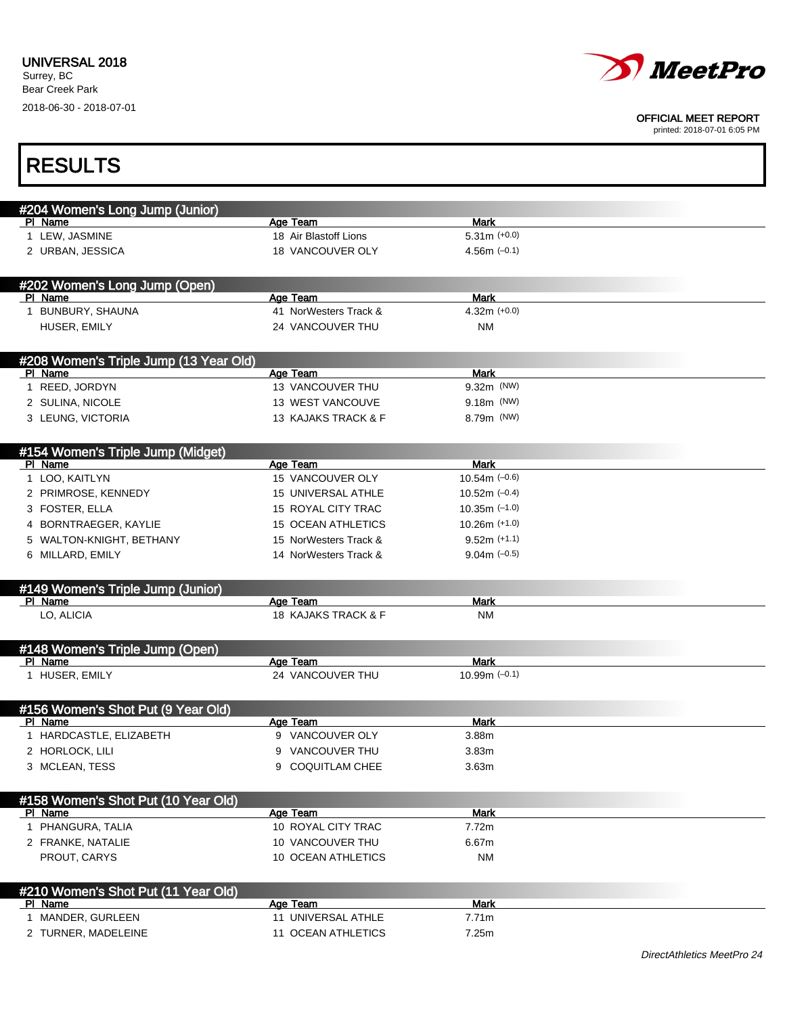

| <b>RESULTS</b>                                 |                              |                                |                            |
|------------------------------------------------|------------------------------|--------------------------------|----------------------------|
|                                                |                              |                                |                            |
| #204 Women's Long Jump (Junior)<br>PI Name     | Age Team                     | <b>Mark</b>                    |                            |
| 1 LEW, JASMINE                                 | 18 Air Blastoff Lions        | $5.31m (+0.0)$                 |                            |
| 2 URBAN, JESSICA                               | 18 VANCOUVER OLY             | 4.56m $(-0.1)$                 |                            |
|                                                |                              |                                |                            |
| #202 Women's Long Jump (Open)                  |                              |                                |                            |
| PI Name                                        | Age Team                     | <b>Mark</b>                    |                            |
| 1 BUNBURY, SHAUNA                              | 41 NorWesters Track &        | $4.32m (+0.0)$                 |                            |
| HUSER, EMILY                                   | 24 VANCOUVER THU             | <b>NM</b>                      |                            |
|                                                |                              |                                |                            |
| #208 Women's Triple Jump (13 Year Old)         |                              |                                |                            |
| PI Name                                        | Age Team                     | <b>Mark</b>                    |                            |
| 1 REED, JORDYN                                 | 13 VANCOUVER THU             | 9.32m (NW)                     |                            |
| 2 SULINA, NICOLE                               | 13 WEST VANCOUVE             | 9.18m (NW)                     |                            |
| 3 LEUNG, VICTORIA                              | 13 KAJAKS TRACK & F          | 8.79m (NW)                     |                            |
|                                                |                              |                                |                            |
| #154 Women's Triple Jump (Midget)              |                              |                                |                            |
| PI Name<br>1 LOO, KAITLYN                      | Age Team<br>15 VANCOUVER OLY | <b>Mark</b><br>$10.54m (-0.6)$ |                            |
| 2 PRIMROSE, KENNEDY                            | 15 UNIVERSAL ATHLE           | $10.52m$ (-0.4)                |                            |
| 3 FOSTER, ELLA                                 | 15 ROYAL CITY TRAC           | $10.35m$ (-1.0)                |                            |
| 4 BORNTRAEGER, KAYLIE                          | 15 OCEAN ATHLETICS           | $10.26m$ (+1.0)                |                            |
| 5 WALTON-KNIGHT, BETHANY                       | 15 NorWesters Track &        | $9.52m (+1.1)$                 |                            |
| 6 MILLARD, EMILY                               | 14 NorWesters Track &        | $9.04m$ (-0.5)                 |                            |
|                                                |                              |                                |                            |
| #149 Women's Triple Jump (Junior)              |                              |                                |                            |
| PI Name                                        | Age Team                     | <b>Mark</b>                    |                            |
| LO, ALICIA                                     | 18 KAJAKS TRACK & F          | <b>NM</b>                      |                            |
|                                                |                              |                                |                            |
| #148 Women's Triple Jump (Open)                |                              |                                |                            |
| PI Name                                        | Age Team                     | Mark                           |                            |
| 1 HUSER, EMILY                                 | 24 VANCOUVER THU             | $10.99m (-0.1)$                |                            |
|                                                |                              |                                |                            |
| #156 Women's Shot Put (9 Year Old)             |                              |                                |                            |
| <u>PI Name</u>                                 | Age Team                     | Mark                           |                            |
| 1 HARDCASTLE, ELIZABETH                        | 9 VANCOUVER OLY              | 3.88m                          |                            |
| 2 HORLOCK, LILI                                | VANCOUVER THU                | 3.83m                          |                            |
| 3 MCLEAN, TESS                                 | <b>COQUITLAM CHEE</b><br>9   | 3.63m                          |                            |
|                                                |                              |                                |                            |
| #158 Women's Shot Put (10 Year Old)<br>PI Name | Age Team                     | <b>Mark</b>                    |                            |
| 1 PHANGURA, TALIA                              | 10 ROYAL CITY TRAC           | 7.72m                          |                            |
| 2 FRANKE, NATALIE                              | 10 VANCOUVER THU             | 6.67m                          |                            |
| PROUT, CARYS                                   | 10 OCEAN ATHLETICS           | <b>NM</b>                      |                            |
|                                                |                              |                                |                            |
| #210 Women's Shot Put (11 Year Old)            |                              |                                |                            |
| PI Name                                        | Age Team                     | <b>Mark</b>                    |                            |
| 1 MANDER, GURLEEN                              | 11 UNIVERSAL ATHLE           | 7.71m                          |                            |
| 2 TURNER, MADELEINE                            | 11 OCEAN ATHLETICS           | 7.25m                          |                            |
|                                                |                              |                                | DirectAthletics MeetPro 24 |
|                                                |                              |                                |                            |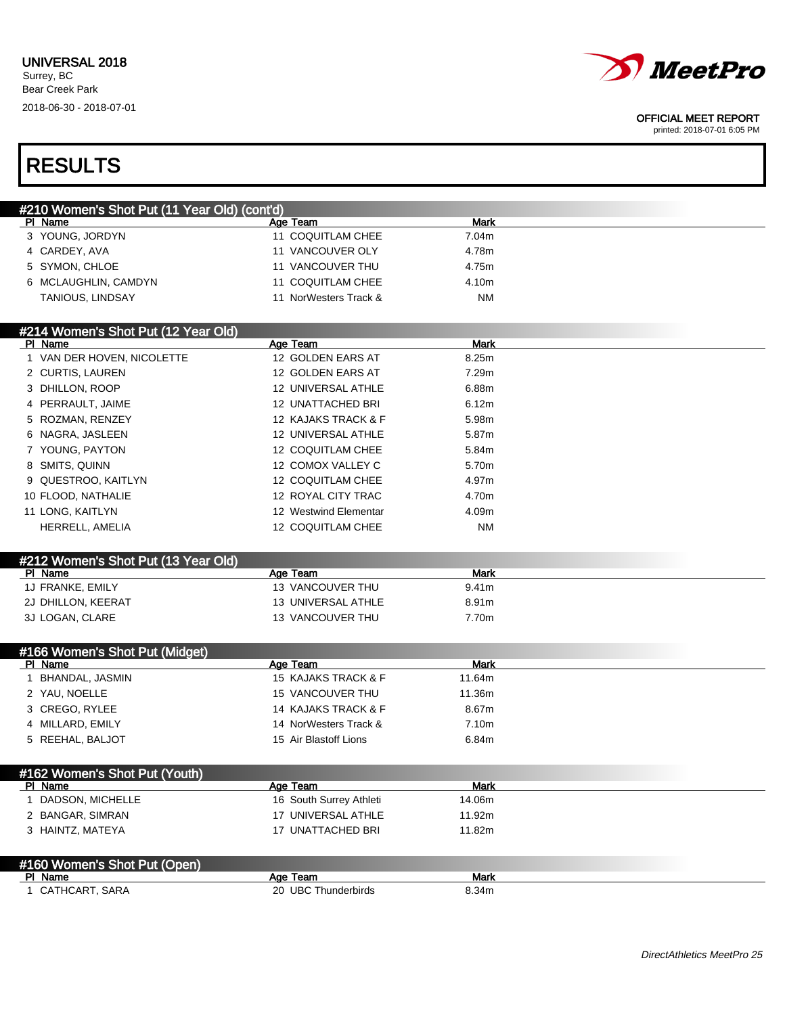

printed: 2018-07-01 6:05 PM

# RESULTS

| #210 Women's Shot Put (11 Year Old) (cont'd) |                       |       |  |
|----------------------------------------------|-----------------------|-------|--|
| PI Name                                      | Age Team              | Mark  |  |
| 3 YOUNG, JORDYN                              | 11 COQUITLAM CHEE     | 7.04m |  |
| 4 CARDEY, AVA                                | 11 VANCOUVER OLY      | 4.78m |  |
| 5 SYMON, CHLOE                               | 11 VANCOUVER THU      | 4.75m |  |
| MCLAUGHLIN, CAMDYN<br>6                      | 11 COQUITLAM CHEE     | 4.10m |  |
| <b>TANIOUS, LINDSAY</b>                      | 11 NorWesters Track & | NM    |  |

### #214 Women's Shot Put (12 Year Old)

| PI Name                    | Age Team              | <b>Mark</b> |  |
|----------------------------|-----------------------|-------------|--|
| 1 VAN DER HOVEN, NICOLETTE | 12 GOLDEN EARS AT     | 8.25m       |  |
| 2 CURTIS, LAUREN           | 12 GOLDEN EARS AT     | 7.29m       |  |
| 3 DHILLON, ROOP            | 12 UNIVERSAL ATHLE    | 6.88m       |  |
| 4 PERRAULT, JAIME          | 12 UNATTACHED BRI     | 6.12m       |  |
| 5 ROZMAN, RENZEY           | 12 KAJAKS TRACK & F   | 5.98m       |  |
| 6 NAGRA, JASLEEN           | 12 UNIVERSAL ATHLE    | 5.87m       |  |
| 7 YOUNG, PAYTON            | 12 COQUITLAM CHEE     | 5.84m       |  |
| 8 SMITS, QUINN             | 12 COMOX VALLEY C     | 5.70m       |  |
| 9 QUESTROO, KAITLYN        | 12 COQUITLAM CHEE     | 4.97m       |  |
| 10 FLOOD, NATHALIE         | 12 ROYAL CITY TRAC    | 4.70m       |  |
| 11 LONG. KAITLYN           | 12 Westwind Elementar | 4.09m       |  |
| HERRELL, AMELIA            | 12 COQUITLAM CHEE     | <b>NM</b>   |  |

### #212 Women's Shot Put (13 Year Old)

| Name<br>DI.        | Age Team           | Mark              |  |
|--------------------|--------------------|-------------------|--|
| 1J FRANKE. EMILY   | 13 VANCOUVER THU   | 9.41 <sub>m</sub> |  |
| 2J DHILLON, KEERAT | 13 UNIVERSAL ATHLE | 8.91m             |  |
| 3J LOGAN, CLARE    | 13 VANCOUVER THU   | 7.70m             |  |

| #166 Women's Shot Put (Midget) |                       |        |  |
|--------------------------------|-----------------------|--------|--|
| PI Name                        | Age Team              | Mark   |  |
| BHANDAL, JASMIN                | 15 KAJAKS TRACK & F   | 11.64m |  |
| 2 YAU, NOELLE                  | 15 VANCOUVER THU      | 11.36m |  |
| 3 CREGO, RYLEE                 | 14 KAJAKS TRACK & F   | 8.67m  |  |
| 4 MILLARD, EMILY               | 14 NorWesters Track & | 7.10m  |  |
| 5 REEHAL, BALJOT               | 15 Air Blastoff Lions | 6.84m  |  |

|    | #162 Women's Shot Put (Youth) |                         |        |
|----|-------------------------------|-------------------------|--------|
| ΡI | Name                          | Age Team                | Mark   |
|    | DADSON, MICHELLE              | 16 South Surrey Athleti | 14.06m |
|    | 2 BANGAR, SIMRAN              | 17 UNIVERSAL ATHLE      | 11.92m |
|    | 3 HAINTZ, MATEYA              | 17 UNATTACHED BRI       | 11.82m |

| #160 Women's Shot Put (Open) |                          |       |  |
|------------------------------|--------------------------|-------|--|
| PI Name                      | Aae<br>Team              | Mark  |  |
| CATHCART.<br>SARA            | 20 UBC T<br>Thunderbirds | 8.34m |  |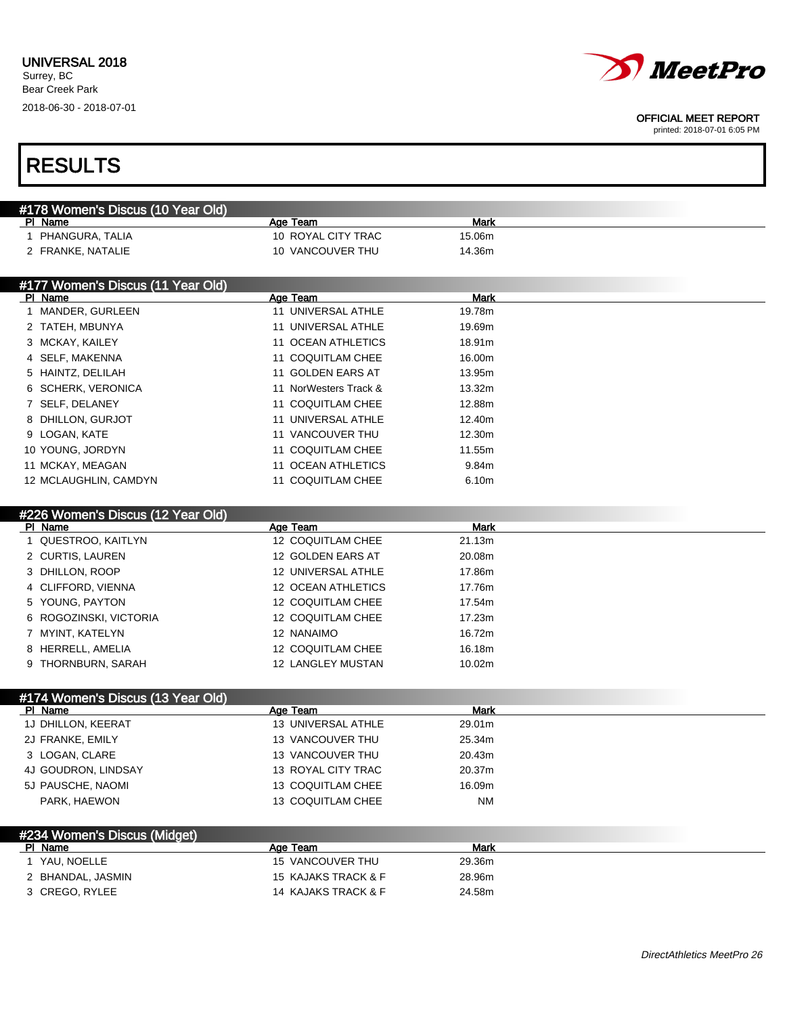

printed: 2018-07-01 6:05 PM

# RESULTS

| #178 Women's Discus (10 Year Old) |                       |             |  |
|-----------------------------------|-----------------------|-------------|--|
| PI Name                           | Age Team              | <b>Mark</b> |  |
| 1 PHANGURA, TALIA                 | 10 ROYAL CITY TRAC    | 15.06m      |  |
| 2 FRANKE, NATALIE                 | 10 VANCOUVER THU      | 14.36m      |  |
|                                   |                       |             |  |
| #177 Women's Discus (11 Year Old) |                       |             |  |
| PI Name                           | Age Team              | <b>Mark</b> |  |
| 1 MANDER, GURLEEN                 | 11 UNIVERSAL ATHLE    | 19.78m      |  |
| 2 TATEH, MBUNYA                   | 11 UNIVERSAL ATHLE    | 19.69m      |  |
| 3 MCKAY, KAILEY                   | 11 OCEAN ATHLETICS    | 18.91m      |  |
| 4 SELF, MAKENNA                   | 11 COQUITLAM CHEE     | 16.00m      |  |
| 5 HAINTZ, DELILAH                 | 11 GOLDEN EARS AT     | 13.95m      |  |
| 6 SCHERK, VERONICA                | 11 NorWesters Track & | 13.32m      |  |
| 7 SELF, DELANEY                   | 11 COQUITLAM CHEE     | 12.88m      |  |
| 8 DHILLON, GURJOT                 | 11 UNIVERSAL ATHLE    | 12.40m      |  |
| 9 LOGAN, KATE                     | 11 VANCOUVER THU      | 12.30m      |  |
| 10 YOUNG, JORDYN                  | 11 COQUITLAM CHEE     | 11.55m      |  |
| 11 MCKAY, MEAGAN                  | 11 OCEAN ATHLETICS    | 9.84m       |  |
| 12 MCLAUGHLIN, CAMDYN             | 11 COQUITLAM CHEE     | 6.10m       |  |
|                                   |                       |             |  |
| #226 Women's Discus (12 Year Old) |                       |             |  |
| PI Name                           | Age Team              | Mark        |  |
| 1 QUESTROO, KAITLYN               | 12 COQUITLAM CHEE     | 21.13m      |  |
| 2 CURTIS, LAUREN                  | 12 GOLDEN EARS AT     | 20.08m      |  |
| 3 DHILLON, ROOP                   | 12 UNIVERSAL ATHLE    | 17.86m      |  |
| 4 CLIFFORD, VIENNA                | 12 OCEAN ATHLETICS    | 17.76m      |  |
| 5 YOUNG, PAYTON                   | 12 COQUITLAM CHEE     | 17.54m      |  |
| 6 ROGOZINSKI, VICTORIA            | 12 COQUITLAM CHEE     | 17.23m      |  |
| 7 MYINT, KATELYN                  | 12 NANAIMO            | 16.72m      |  |
| 8 HERRELL, AMELIA                 | 12 COQUITLAM CHEE     | 16.18m      |  |
| 9 THORNBURN, SARAH                | 12 LANGLEY MUSTAN     | 10.02m      |  |
|                                   |                       |             |  |
| #174 Women's Discus (13 Year Old) |                       |             |  |
| PI Name                           | Age Team              | <b>Mark</b> |  |
| 1J DHILLON, KEERAT                | 13 UNIVERSAL ATHLE    | 29.01m      |  |
| 2J FRANKE, EMILY                  | 13 VANCOUVER THU      | 25.34m      |  |
| 3 LOGAN, CLARE                    | 13 VANCOUVER THU      | 20.43m      |  |
| 4J GOUDRON, LINDSAY               | 13 ROYAL CITY TRAC    | 20.37m      |  |
| 5J PAUSCHE, NAOMI                 | 13 COQUITLAM CHEE     | 16.09m      |  |
| PARK, HAEWON                      | 13 COQUITLAM CHEE     | <b>NM</b>   |  |
|                                   |                       |             |  |
| #234 Women's Discus (Midget)      |                       |             |  |
| PI Name                           | Age Team              | <b>Mark</b> |  |
| 1 YAU, NOELLE                     | 15 VANCOUVER THU      | 29.36m      |  |
| 2 BHANDAL, JASMIN                 | 15 KAJAKS TRACK & F   | 28.96m      |  |
| 3 CREGO, RYLEE                    | 14 KAJAKS TRACK & F   | 24.58m      |  |
|                                   |                       |             |  |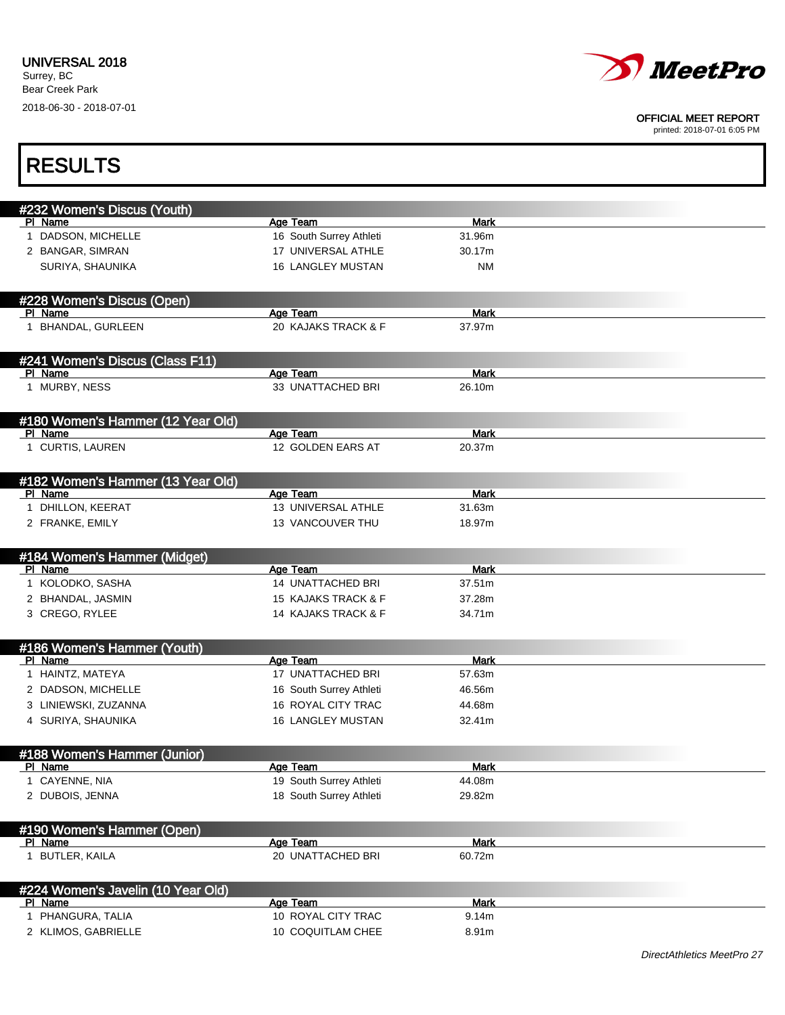Г



#### OFFICIAL MEET REPORT

printed: 2018-07-01 6:05 PM

٦

| <b>RESULTS</b>                                |                          |             |  |
|-----------------------------------------------|--------------------------|-------------|--|
|                                               |                          |             |  |
| #232 Women's Discus (Youth)                   |                          |             |  |
| PI Name                                       | Age Team                 | <b>Mark</b> |  |
| 1 DADSON, MICHELLE                            | 16 South Surrey Athleti  | 31.96m      |  |
| 2 BANGAR, SIMRAN                              | 17 UNIVERSAL ATHLE       | 30.17m      |  |
| SURIYA, SHAUNIKA                              | <b>16 LANGLEY MUSTAN</b> | <b>NM</b>   |  |
| #228 Women's Discus (Open)                    |                          |             |  |
| PI Name                                       | Age Team                 | <b>Mark</b> |  |
| 1 BHANDAL, GURLEEN                            | 20 KAJAKS TRACK & F      | 37.97m      |  |
| #241 Women's Discus (Class F11)               |                          |             |  |
| PI Name                                       | Age Team                 | Mark        |  |
| 1 MURBY, NESS                                 | 33 UNATTACHED BRI        | 26.10m      |  |
| #180 Women's Hammer (12 Year Old)             |                          |             |  |
| PI Name                                       | Age Team                 | <b>Mark</b> |  |
| 1 CURTIS, LAUREN                              | 12 GOLDEN EARS AT        | 20.37m      |  |
| #182 Women's Hammer (13 Year Old)             |                          |             |  |
| PI Name                                       | Age Team                 | <b>Mark</b> |  |
| 1 DHILLON, KEERAT                             | 13 UNIVERSAL ATHLE       | 31.63m      |  |
| 2 FRANKE, EMILY                               | 13 VANCOUVER THU         | 18.97m      |  |
| #184 Women's Hammer (Midget)                  |                          |             |  |
| PI Name                                       | Age Team                 | Mark        |  |
| 1 KOLODKO, SASHA                              | 14 UNATTACHED BRI        | 37.51m      |  |
| 2 BHANDAL, JASMIN                             | 15 KAJAKS TRACK & F      | 37.28m      |  |
| 3 CREGO, RYLEE                                | 14 KAJAKS TRACK & F      | 34.71m      |  |
| #186 Women's Hammer (Youth)                   |                          |             |  |
| PI Name                                       | Age Team                 | <b>Mark</b> |  |
| 1 HAINTZ, MATEYA                              | 17 UNATTACHED BRI        | 57.63m      |  |
| 2 DADSON, MICHELLE                            | 16 South Surrey Athleti  | 46.56m      |  |
| 3 LINIEWSKI, ZUZANNA                          | 16 ROYAL CITY TRAC       | 44.68m      |  |
| 4 SURIYA, SHAUNIKA                            | 16 LANGLEY MUSTAN        | 32.41m      |  |
| #188 Women's Hammer (Junior)                  |                          |             |  |
| PI Name                                       | Age Team                 | <b>Mark</b> |  |
| 1 CAYENNE, NIA                                | 19 South Surrey Athleti  | 44.08m      |  |
| 2 DUBOIS, JENNA                               | 18 South Surrey Athleti  | 29.82m      |  |
| #190 Women's Hammer (Open)                    |                          |             |  |
| PI Name                                       | Age Team                 | <b>Mark</b> |  |
| 1 BUTLER, KAILA                               | 20 UNATTACHED BRI        | 60.72m      |  |
|                                               |                          |             |  |
| #224 Women's Javelin (10 Year Old)<br>PI Name | Age Team                 | <b>Mark</b> |  |
| 1 PHANGURA, TALIA                             | 10 ROYAL CITY TRAC       | 9.14m       |  |
| 2 KLIMOS, GABRIELLE                           | 10 COQUITLAM CHEE        | 8.91m       |  |
|                                               |                          |             |  |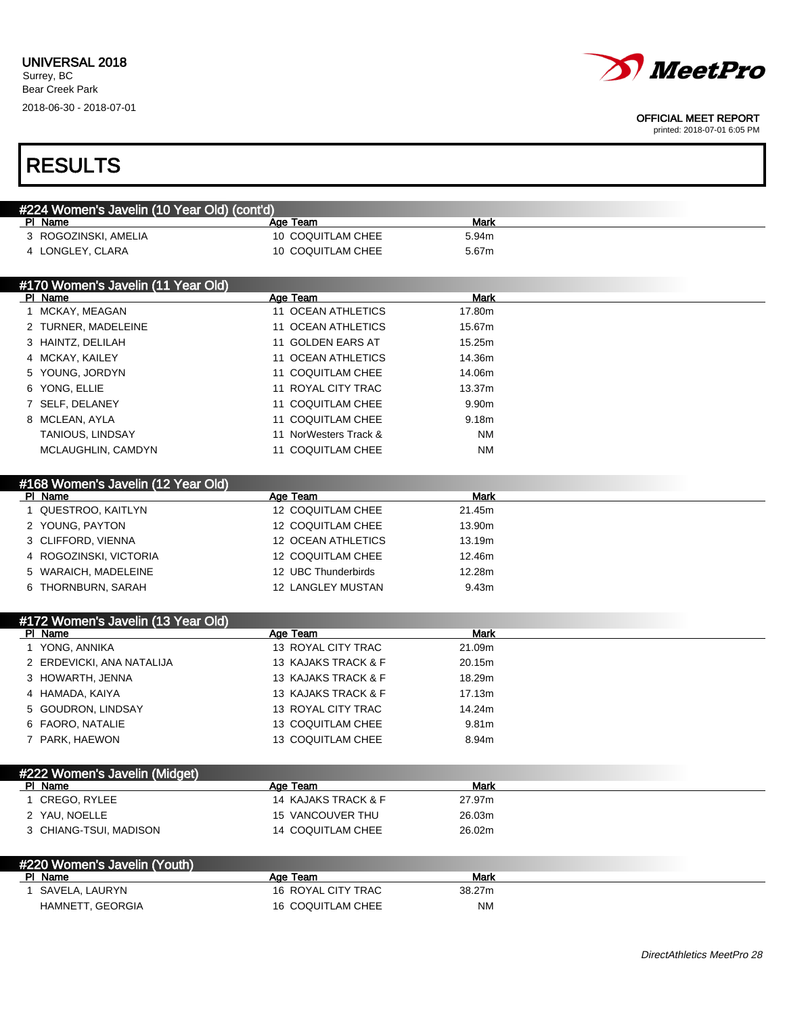

| <b>RESULTS</b>                                |                                |             |  |
|-----------------------------------------------|--------------------------------|-------------|--|
| #224 Women's Javelin (10 Year Old) (cont'd)   |                                |             |  |
| PI Name                                       | Age Team                       | <b>Mark</b> |  |
| 3 ROGOZINSKI, AMELIA                          | 10 COQUITLAM CHEE              | 5.94m       |  |
| 4 LONGLEY, CLARA                              | 10 COQUITLAM CHEE              | 5.67m       |  |
| #170 Women's Javelin (11 Year Old)<br>PI Name | Age Team                       | Mark        |  |
| 1 MCKAY, MEAGAN                               | 11 OCEAN ATHLETICS             | 17.80m      |  |
| 2 TURNER, MADELEINE                           | 11 OCEAN ATHLETICS             | 15.67m      |  |
| 3 HAINTZ, DELILAH                             | 11 GOLDEN EARS AT              | 15.25m      |  |
| 4 MCKAY, KAILEY                               | 11 OCEAN ATHLETICS             | 14.36m      |  |
| 5 YOUNG, JORDYN                               | 11 COQUITLAM CHEE              | 14.06m      |  |
| 6 YONG, ELLIE                                 | 11 ROYAL CITY TRAC             | 13.37m      |  |
| 7 SELF, DELANEY                               | 11 COQUITLAM CHEE              | 9.90m       |  |
| 8 MCLEAN, AYLA                                | 11 COQUITLAM CHEE              | 9.18m       |  |
| TANIOUS, LINDSAY                              | 11 NorWesters Track &          | NM          |  |
| MCLAUGHLIN, CAMDYN                            | 11 COQUITLAM CHEE              | <b>NM</b>   |  |
| #168 Women's Javelin (12 Year Old)            |                                |             |  |
| PI Name                                       | Age Team                       | Mark        |  |
| 1 QUESTROO, KAITLYN                           | 12 COQUITLAM CHEE              | 21.45m      |  |
| 2 YOUNG, PAYTON                               | 12 COQUITLAM CHEE              | 13.90m      |  |
| 3 CLIFFORD, VIENNA                            | 12 OCEAN ATHLETICS             | 13.19m      |  |
| 4 ROGOZINSKI, VICTORIA                        | 12 COQUITLAM CHEE              | 12.46m      |  |
| 5 WARAICH, MADELEINE                          | 12 UBC Thunderbirds            | 12.28m      |  |
| 6 THORNBURN, SARAH                            | 12 LANGLEY MUSTAN              | 9.43m       |  |
| #172 Women's Javelin (13 Year Old)<br>PI Name |                                | <b>Mark</b> |  |
| 1 YONG, ANNIKA                                | Age Team<br>13 ROYAL CITY TRAC | 21.09m      |  |
| 2 ERDEVICKI, ANA NATALIJA                     | 13 KAJAKS TRACK & F            | 20.15m      |  |
| 3 HOWARTH, JENNA                              | 13 KAJAKS TRACK & F            | 18.29m      |  |
| 4 HAMADA, KAIYA                               | 13 KAJAKS TRACK & F            | 17.13m      |  |
| 5 GOUDRON, LINDSAY                            | 13 ROYAL CITY TRAC             | 14.24m      |  |
| 6 FAORO, NATALIE                              | 13 COQUITLAM CHEE              | 9.81m       |  |
| 7 PARK, HAEWON                                | 13 COQUITLAM CHEE              | 8.94m       |  |
| #222 Women's Javelin (Midget)                 |                                |             |  |
| PI Name                                       | Age Team                       | <b>Mark</b> |  |
| 1 CREGO, RYLEE                                | 14 KAJAKS TRACK & F            | 27.97m      |  |
| 2 YAU, NOELLE                                 | 15 VANCOUVER THU               | 26.03m      |  |
| 3 CHIANG-TSUI, MADISON                        | 14 COQUITLAM CHEE              | 26.02m      |  |
| #220 Women's Javelin (Youth)                  |                                |             |  |
| PI Name                                       | Age Team                       | <b>Mark</b> |  |
| 1 SAVELA, LAURYN                              | 16 ROYAL CITY TRAC             | 38.27m      |  |
| HAMNETT, GEORGIA                              | 16 COQUITLAM CHEE              | <b>NM</b>   |  |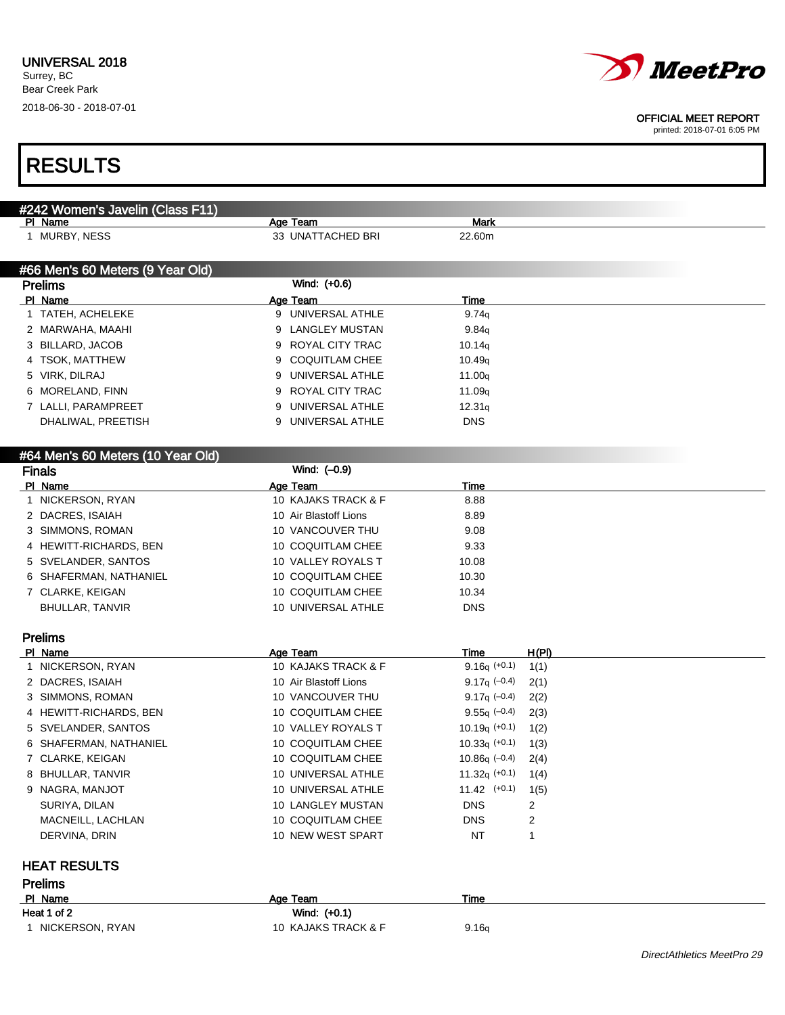

| #242 Women's Javelin (Class F11)  |                       |                          |
|-----------------------------------|-----------------------|--------------------------|
| PI Name                           | Age Team              | <b>Mark</b>              |
| 1 MURBY, NESS                     | 33 UNATTACHED BRI     | 22.60m                   |
| #66 Men's 60 Meters (9 Year Old)  |                       |                          |
| <b>Prelims</b>                    | Wind: (+0.6)          |                          |
| PI Name                           | Age Team              | Time                     |
| 1 TATEH, ACHELEKE                 | 9 UNIVERSAL ATHLE     | 9.74q                    |
| 2 MARWAHA, MAAHI                  | 9 LANGLEY MUSTAN      | 9.84q                    |
| 3 BILLARD, JACOB                  | 9 ROYAL CITY TRAC     | 10.14q                   |
| 4 TSOK, MATTHEW                   | 9 COQUITLAM CHEE      | 10.49q                   |
| 5 VIRK, DILRAJ                    | 9 UNIVERSAL ATHLE     | 11.00q                   |
| 6 MORELAND, FINN                  | 9 ROYAL CITY TRAC     | 11.09 <sub>q</sub>       |
| 7 LALLI, PARAMPREET               | 9 UNIVERSAL ATHLE     | 12.31q                   |
| DHALIWAL, PREETISH                | 9 UNIVERSAL ATHLE     | <b>DNS</b>               |
|                                   |                       |                          |
| #64 Men's 60 Meters (10 Year Old) |                       |                          |
| <b>Finals</b>                     | Wind: (-0.9)          |                          |
| PI Name                           | Age Team              | Time                     |
| 1 NICKERSON, RYAN                 | 10 KAJAKS TRACK & F   | 8.88                     |
| 2 DACRES, ISAIAH                  | 10 Air Blastoff Lions | 8.89                     |
| 3 SIMMONS, ROMAN                  | 10 VANCOUVER THU      | 9.08                     |
| 4 HEWITT-RICHARDS, BEN            | 10 COQUITLAM CHEE     | 9.33                     |
| 5 SVELANDER, SANTOS               | 10 VALLEY ROYALS T    | 10.08                    |
| 6 SHAFERMAN, NATHANIEL            | 10 COQUITLAM CHEE     | 10.30                    |
| 7 CLARKE, KEIGAN                  | 10 COQUITLAM CHEE     | 10.34                    |
| <b>BHULLAR, TANVIR</b>            | 10 UNIVERSAL ATHLE    | <b>DNS</b>               |
| <b>Prelims</b>                    |                       |                          |
| PI Name                           | Age Team              | Time<br>H(PI)            |
| 1 NICKERSON, RYAN                 | 10 KAJAKS TRACK & F   | $9.16q (+0.1)$<br>1(1)   |
| 2 DACRES, ISAIAH                  | 10 Air Blastoff Lions | 9.17q $(-0.4)$<br>2(1)   |
| 3 SIMMONS, ROMAN                  | 10 VANCOUVER THU      | 9.17q $(-0.4)$<br>2(2)   |
| 4 HEWITT-RICHARDS, BEN            | 10 COQUITLAM CHEE     | $9.55q (-0.4)$<br>2(3)   |
| 5 SVELANDER, SANTOS               | 10 VALLEY ROYALS T    | $10.19q (+0.1)$<br>1(2)  |
| 6 SHAFERMAN, NATHANIEL            | 10 COQUITLAM CHEE     | $10.33q (+0.1)$<br>1(3)  |
| 7 CLARKE, KEIGAN                  | 10 COQUITLAM CHEE     | $10.86q (-0.4)$<br>2(4)  |
| 8 BHULLAR, TANVIR                 | 10 UNIVERSAL ATHLE    | 11.32 $q (+0.1)$<br>1(4) |
| 9 NAGRA, MANJOT                   | 10 UNIVERSAL ATHLE    | $11.42$ $(+0.1)$<br>1(5) |
| SURIYA, DILAN                     | 10 LANGLEY MUSTAN     | <b>DNS</b><br>2          |
| MACNEILL, LACHLAN                 | 10 COQUITLAM CHEE     | <b>DNS</b><br>2          |
| DERVINA, DRIN                     | 10 NEW WEST SPART     | NT<br>1                  |
|                                   |                       |                          |
| <b>HEAT RESULTS</b>               |                       |                          |
| <b>Prelims</b>                    |                       |                          |
| PI Name                           | Age Team              | Time                     |
| Heat 1 of 2                       | Wind: (+0.1)          |                          |
| 1 NICKERSON, RYAN                 | 10 KAJAKS TRACK & F   | 9.16q                    |
|                                   |                       |                          |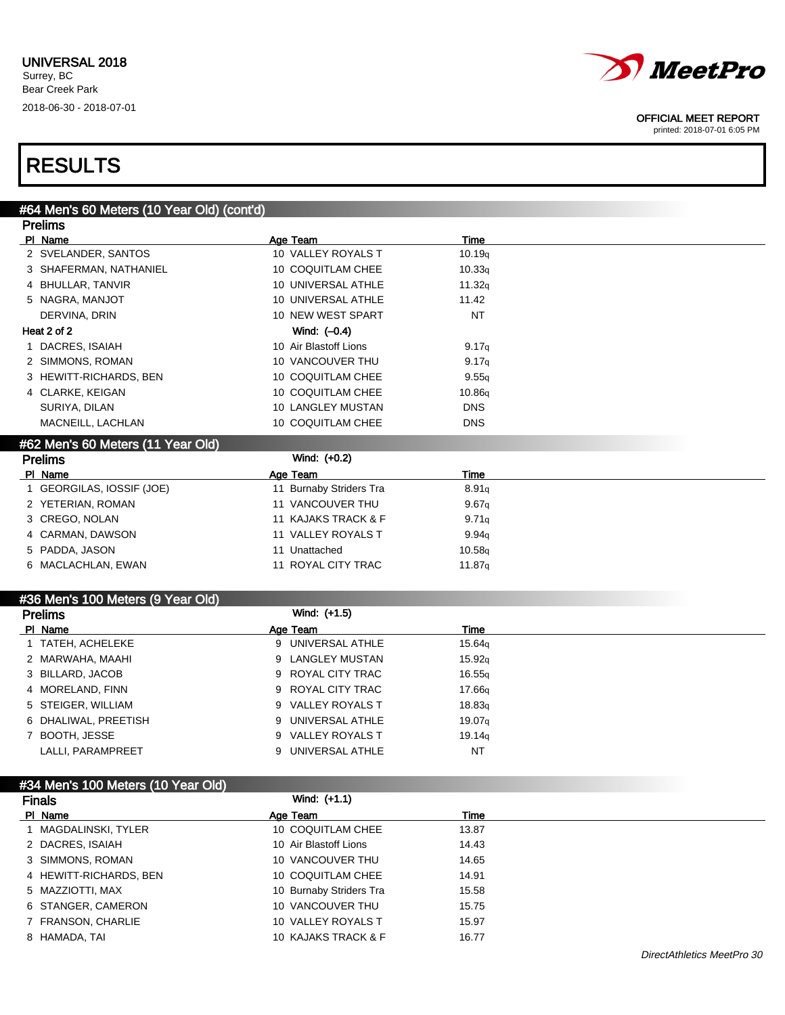

printed: 2018-07-01 6:05 PM

# RESULTS

| #64 Men's 60 Meters (10 Year Old) (cont'd) |                            |                   |  |
|--------------------------------------------|----------------------------|-------------------|--|
| <b>Prelims</b>                             |                            |                   |  |
| PI Name                                    | Age Team                   | Time              |  |
| 2 SVELANDER, SANTOS                        | 10 VALLEY ROYALS T         | 10.19q            |  |
| 3 SHAFERMAN, NATHANIEL                     | 10 COQUITLAM CHEE          | 10.33q            |  |
| 4 BHULLAR, TANVIR                          | 10 UNIVERSAL ATHLE         | 11.32q            |  |
| 5 NAGRA, MANJOT                            | 10 UNIVERSAL ATHLE         | 11.42             |  |
| DERVINA, DRIN                              | 10 NEW WEST SPART          | <b>NT</b>         |  |
| Heat 2 of 2                                | Wind: $(-0.4)$             |                   |  |
| 1 DACRES, ISAIAH                           | 10 Air Blastoff Lions      | 9.17q             |  |
| 2 SIMMONS, ROMAN                           | 10 VANCOUVER THU           | 9.17 <sub>q</sub> |  |
| 3 HEWITT-RICHARDS, BEN                     | 10 COQUITLAM CHEE          | 9.55q             |  |
| 4 CLARKE, KEIGAN                           | 10 COQUITLAM CHEE          | 10.86q            |  |
| SURIYA, DILAN                              | 10 LANGLEY MUSTAN          | <b>DNS</b>        |  |
| MACNEILL, LACHLAN                          | 10 COQUITLAM CHEE          | <b>DNS</b>        |  |
| #62 Men's 60 Meters (11 Year Old)          |                            |                   |  |
| <b>Prelims</b>                             | Wind: (+0.2)               |                   |  |
| PI Name                                    | Age Team                   | Time              |  |
| 1 GEORGILAS, IOSSIF (JOE)                  | 11 Burnaby Striders Tra    | 8.91q             |  |
| 2 YETERIAN, ROMAN                          | 11 VANCOUVER THU           | 9.67q             |  |
| 3 CREGO, NOLAN                             | 11 KAJAKS TRACK & F        | 9.71q             |  |
| 4 CARMAN, DAWSON                           | 11 VALLEY ROYALS T         | 9.94q             |  |
| 5 PADDA, JASON                             | 11 Unattached              | 10.58q            |  |
| 6 MACLACHLAN, EWAN                         | 11 ROYAL CITY TRAC         | 11.87q            |  |
|                                            |                            |                   |  |
| #36 Men's 100 Meters (9 Year Old)          |                            |                   |  |
| <b>Prelims</b>                             | Wind: (+1.5)               |                   |  |
| PI Name                                    | Age Team                   | Time              |  |
| 1 TATEH, ACHELEKE                          | UNIVERSAL ATHLE<br>9       | 15.64g            |  |
| 2 MARWAHA, MAAHI                           | <b>LANGLEY MUSTAN</b><br>9 | 15.92q            |  |
| 3 BILLARD, JACOB                           | 9 ROYAL CITY TRAC          | 16.55q            |  |
| A MODELAND EINNI                           | 0 DAVNI PITV TDAP          | 1700              |  |

| 4 MORELAND, FINN     | 9 ROYAL CITY TRAC | 17.66a             |
|----------------------|-------------------|--------------------|
| 5 STEIGER, WILLIAM   | 9 VALLEY ROYALS T | 18.83 <sub>a</sub> |
| 6 DHALIWAL, PREETISH | 9 UNIVERSAL ATHLE | 19.07a             |
| 7 BOOTH, JESSE       | 9 VALLEY ROYALS T | 19.14a             |
| LALLI, PARAMPREET    | 9 UNIVERSAL ATHLE | NT                 |
|                      |                   |                    |

| #34 Men's 100 Meters (10 Year Old) |                         |       |  |  |
|------------------------------------|-------------------------|-------|--|--|
| <b>Finals</b>                      | Wind: (+1.1)            |       |  |  |
| PI Name                            | Age Team                | Time  |  |  |
| 1 MAGDALINSKI, TYLER               | 10 COQUITLAM CHEE       | 13.87 |  |  |
| 2 DACRES, ISAIAH                   | 10 Air Blastoff Lions   | 14.43 |  |  |
| 3 SIMMONS, ROMAN                   | 10 VANCOUVER THU        | 14.65 |  |  |
| 4 HEWITT-RICHARDS, BEN             | 10 COQUITLAM CHEE       | 14.91 |  |  |
| 5 MAZZIOTTI, MAX                   | 10 Burnaby Striders Tra | 15.58 |  |  |
| 6 STANGER, CAMERON                 | 10 VANCOUVER THU        | 15.75 |  |  |
| 7 FRANSON, CHARLIE                 | 10 VALLEY ROYALS T      | 15.97 |  |  |
| 8 HAMADA, TAI                      | 10 KAJAKS TRACK & F     | 16.77 |  |  |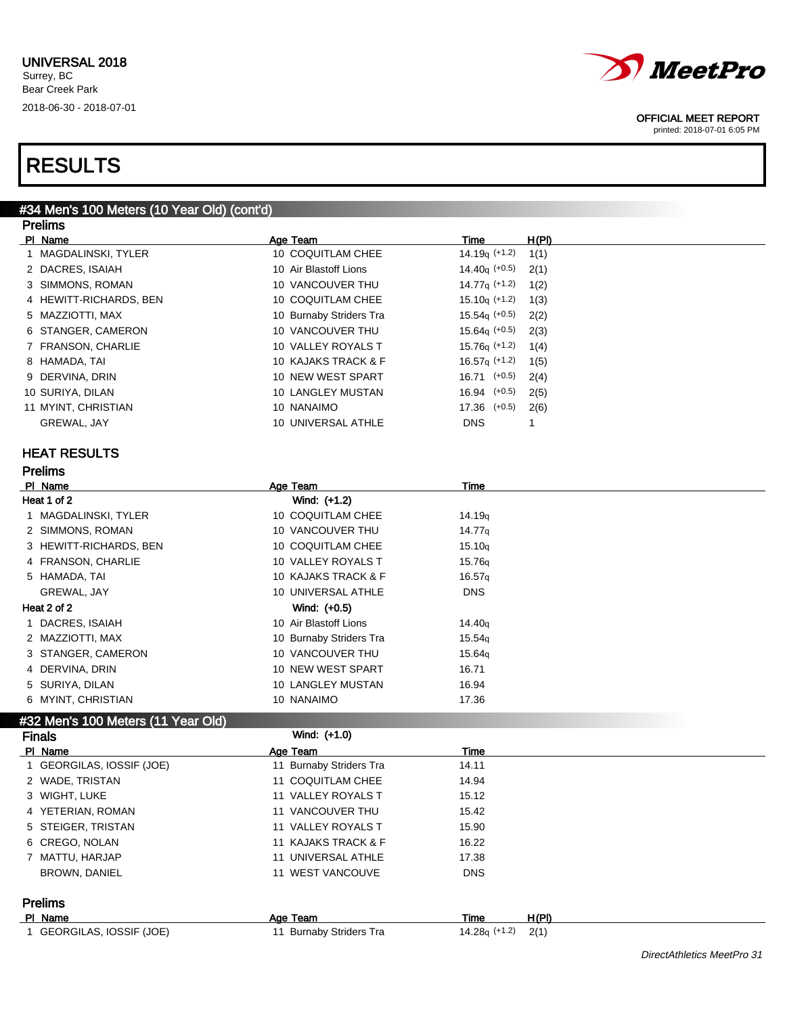

printed: 2018-07-01 6:05 PM

# RESULTS

#### #34 Men's 100 Meters (10 Year Old) (cont'd) Prelims

| <u>Fiellins</u>        |                         |                       |       |
|------------------------|-------------------------|-----------------------|-------|
| PI Name                | Age Team                | Time                  | H(PI) |
| 1 MAGDALINSKI, TYLER   | 10 COQUITLAM CHEE       | 14.19 $\sigma$ (+1.2) | 1(1)  |
| 2 DACRES, ISAIAH       | 10 Air Blastoff Lions   | $14.40q (+0.5)$       | 2(1)  |
| 3 SIMMONS, ROMAN       | 10 VANCOUVER THU        | $14.77q$ (+1.2)       | 1(2)  |
| 4 HEWITT-RICHARDS, BEN | 10 COQUITLAM CHEE       | $15.10q$ (+1.2)       | 1(3)  |
| 5 MAZZIOTTI, MAX       | 10 Burnaby Striders Tra | $15.54q$ (+0.5)       | 2(2)  |
| 6 STANGER, CAMERON     | 10 VANCOUVER THU        | $15.64q$ (+0.5)       | 2(3)  |
| 7 FRANSON, CHARLIE     | 10 VALLEY ROYALS T      | $15.76a$ (+1.2)       | 1(4)  |
| 8 HAMADA, TAI          | 10 KAJAKS TRACK & F     | $16.57q$ (+1.2)       | 1(5)  |
| 9 DERVINA, DRIN        | 10 NEW WEST SPART       | $16.71$ $(+0.5)$      | 2(4)  |
| 10 SURIYA, DILAN       | 10 LANGLEY MUSTAN       | $16.94$ $(+0.5)$      | 2(5)  |
| 11 MYINT, CHRISTIAN    | 10 NANAIMO              | $17.36$ $(+0.5)$      | 2(6)  |
| GREWAL, JAY            | 10 UNIVERSAL ATHLE      | <b>DNS</b>            |       |
|                        |                         |                       |       |

### HEAT RESULTS

| <b>Prelims</b> |
|----------------|
| <b>DI NASA</b> |

| PI Name                | Age Team                | Time               |
|------------------------|-------------------------|--------------------|
| Heat 1 of 2            | Wind: (+1.2)            |                    |
| 1 MAGDALINSKI, TYLER   | 10 COQUITLAM CHEE       | 14.19 <sub>g</sub> |
| 2 SIMMONS, ROMAN       | 10 VANCOUVER THU        | 14.77 <sub>g</sub> |
| 3 HEWITT-RICHARDS, BEN | 10 COQUITLAM CHEE       | 15.10q             |
| 4 FRANSON, CHARLIE     | 10 VALLEY ROYALS T      | 15.76q             |
| 5 HAMADA, TAI          | 10 KAJAKS TRACK & F     | 16.57q             |
| GREWAL, JAY            | 10 UNIVERSAL ATHLE      | <b>DNS</b>         |
| Heat 2 of 2            | Wind: (+0.5)            |                    |
| 1 DACRES, ISAIAH       | 10 Air Blastoff Lions   | 14.40 <sub>g</sub> |
| 2 MAZZIOTTI, MAX       | 10 Burnaby Striders Tra | 15.54q             |
| 3 STANGER, CAMERON     | 10 VANCOUVER THU        | 15.64 <sub>q</sub> |
| 4 DERVINA, DRIN        | 10 NEW WEST SPART       | 16.71              |
| 5 SURIYA, DILAN        | 10 LANGLEY MUSTAN       | 16.94              |
| 6 MYINT, CHRISTIAN     | 10 NANAIMO              | 17.36              |

### #32 Men's 100 Meters (11 Year Old)

Finals Wind: (+1.0)

| PI Name                   | Age Team                | Time       |  |
|---------------------------|-------------------------|------------|--|
| 1 GEORGILAS, IOSSIF (JOE) | 11 Burnaby Striders Tra | 14.11      |  |
| 2 WADE, TRISTAN           | 11 COQUITLAM CHEE       | 14.94      |  |
| 3 WIGHT, LUKE             | 11 VALLEY ROYALS T      | 15.12      |  |
| 4 YETERIAN, ROMAN         | 11 VANCOUVER THU        | 15.42      |  |
| 5 STEIGER, TRISTAN        | 11 VALLEY ROYALS T      | 15.90      |  |
| 6 CREGO, NOLAN            | 11 KAJAKS TRACK & F     | 16.22      |  |
| 7 MATTU, HARJAP           | 11 UNIVERSAL ATHLE      | 17.38      |  |
| <b>BROWN, DANIEL</b>      | 11 WEST VANCOUVE        | <b>DNS</b> |  |
| <b>Prelims</b>            |                         |            |  |

| PI Name                   | Age Team                           | Time                 | H(PI) |
|---------------------------|------------------------------------|----------------------|-------|
| 1 GEORGILAS, IOSSIF (JOE) | <sup>11</sup> Burnaby Striders Tra | $14.28q$ (+1.2) 2(1) |       |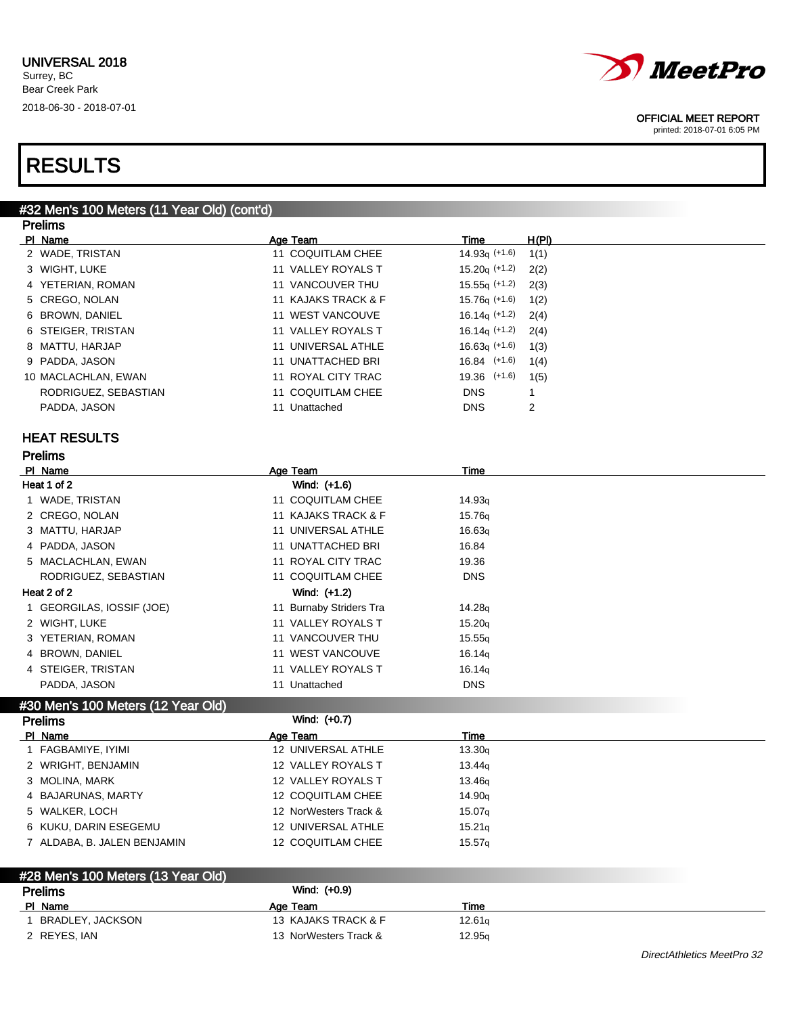

printed: 2018-07-01 6:05 PM

# RESULTS

#### #32 Men's 100 Meters (11 Year Old) (cont'd) **Dralims**

| гтышэ                |                     |                  |       |
|----------------------|---------------------|------------------|-------|
| PI Name              | Age Team            | Time             | H(PI) |
| 2 WADE, TRISTAN      | 11 COQUITLAM CHEE   | $14.93q$ (+1.6)  | 1(1)  |
| 3 WIGHT, LUKE        | 11 VALLEY ROYALS T  | $15.20q (+1.2)$  | 2(2)  |
| 4 YETERIAN, ROMAN    | 11 VANCOUVER THU    | $15.55q (+1.2)$  | 2(3)  |
| 5 CREGO, NOLAN       | 11 KAJAKS TRACK & F | $15.76q (+1.6)$  | 1(2)  |
| 6 BROWN, DANIEL      | 11 WEST VANCOUVE    | $16.14q$ (+1.2)  | 2(4)  |
| 6 STEIGER, TRISTAN   | 11 VALLEY ROYALS T  | $16.14q$ (+1.2)  | 2(4)  |
| 8 MATTU, HARJAP      | 11 UNIVERSAL ATHLE  | $16.63q$ (+1.6)  | 1(3)  |
| 9 PADDA, JASON       | 11 UNATTACHED BRI   | $16.84$ $(+1.6)$ | 1(4)  |
| 10 MACLACHLAN, EWAN  | 11 ROYAL CITY TRAC  | $19.36$ $(+1.6)$ | 1(5)  |
| RODRIGUEZ, SEBASTIAN | 11 COQUITLAM CHEE   | <b>DNS</b>       |       |
| PADDA, JASON         | 11 Unattached       | <b>DNS</b>       | 2     |
|                      |                     |                  |       |

### HEAT RESULTS

Prelims

| PI Name                   | Age Team                | Time               |  |
|---------------------------|-------------------------|--------------------|--|
| Heat 1 of 2               | Wind: (+1.6)            |                    |  |
| 1 WADE, TRISTAN           | 11 COQUITLAM CHEE       | 14.93q             |  |
| 2 CREGO, NOLAN            | 11 KAJAKS TRACK & F     | 15.76 <sub>g</sub> |  |
| 3 MATTU, HARJAP           | 11 UNIVERSAL ATHLE      | 16.63 <sub>g</sub> |  |
| 4 PADDA, JASON            | 11 UNATTACHED BRI       | 16.84              |  |
| 5 MACLACHLAN, EWAN        | 11 ROYAL CITY TRAC      | 19.36              |  |
| RODRIGUEZ, SEBASTIAN      | 11 COQUITLAM CHEE       | <b>DNS</b>         |  |
| Heat 2 of 2               | Wind: (+1.2)            |                    |  |
| 1 GEORGILAS, IOSSIF (JOE) | 11 Burnaby Striders Tra | 14.28 <sub>g</sub> |  |
| 2 WIGHT, LUKE             | 11 VALLEY ROYALS T      | 15.20q             |  |
| 3 YETERIAN, ROMAN         | 11 VANCOUVER THU        | 15.55q             |  |
| 4 BROWN, DANIEL           | 11 WEST VANCOUVE        | 16.14 <sub>g</sub> |  |
| 4 STEIGER, TRISTAN        | 11 VALLEY ROYALS T      | 16.14q             |  |
| PADDA, JASON              | 11 Unattached           | <b>DNS</b>         |  |

### #30 Men's 100 Meters (12 Year Old)

| <b>Prelims</b>              | Wind: (+0.7)          |                    |  |
|-----------------------------|-----------------------|--------------------|--|
| PI Name                     | Age Team              | Time               |  |
| 1 FAGBAMIYE, IYIMI          | 12 UNIVERSAL ATHLE    | 13.30 <sub>g</sub> |  |
| 2 WRIGHT, BENJAMIN          | 12 VALLEY ROYALS T    | 13.44 <sub>g</sub> |  |
| 3 MOLINA, MARK              | 12 VALLEY ROYALS T    | 13.46 <sub>g</sub> |  |
| 4 BAJARUNAS, MARTY          | 12 COQUITLAM CHEE     | 14.90 <sub>g</sub> |  |
| 5 WALKER, LOCH              | 12 NorWesters Track & | 15.07 <sub>q</sub> |  |
| 6 KUKU, DARIN ESEGEMU       | 12 UNIVERSAL ATHLE    | 15.21q             |  |
| 7 ALDABA, B. JALEN BENJAMIN | 12 COQUITLAM CHEE     | 15.57q             |  |
|                             |                       |                    |  |

| #28 Men's 100 Meters (13 Year Old) |                       |                    |  |  |  |
|------------------------------------|-----------------------|--------------------|--|--|--|
| <b>Prelims</b>                     | Wind: (+0.9)          |                    |  |  |  |
| PI Name                            | Age Team              | Time               |  |  |  |
| BRADLEY, JACKSON                   | 13 KAJAKS TRACK & F   | 12.61a             |  |  |  |
| 2 REYES, IAN                       | 13 NorWesters Track & | 12.95 <sub>a</sub> |  |  |  |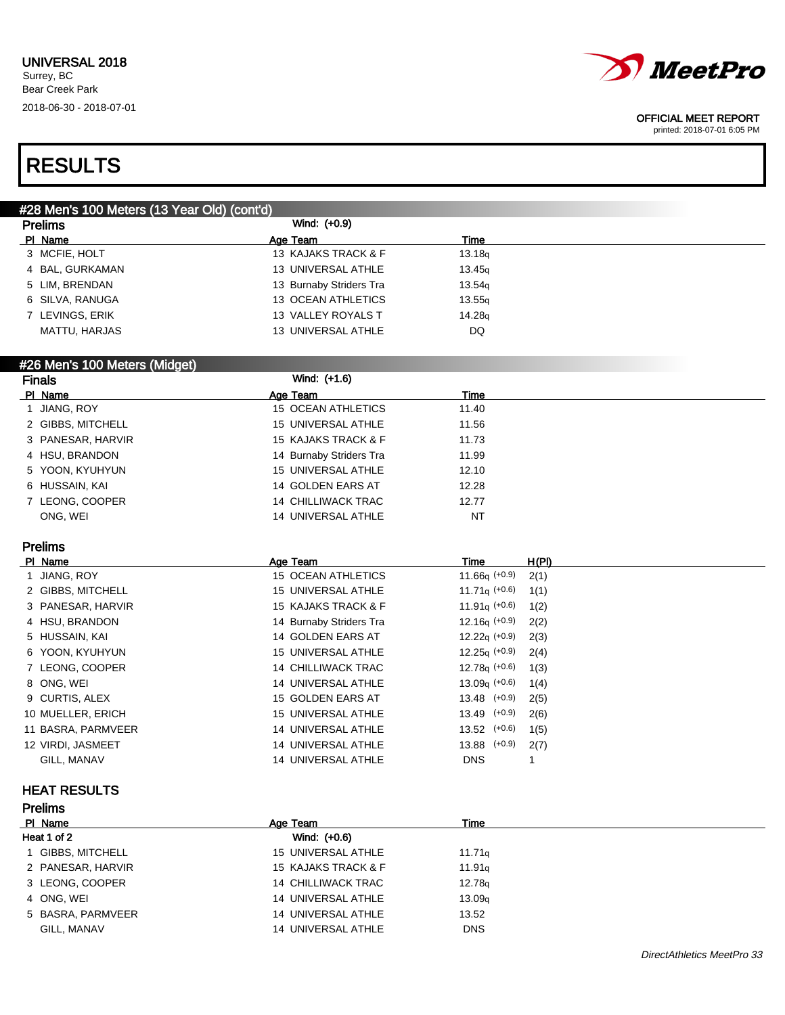

printed: 2018-07-01 6:05 PM

# RESULTS

| #28 Men's 100 Meters (13 Year Old) (cont'd)    |                           |                               |
|------------------------------------------------|---------------------------|-------------------------------|
| <b>Prelims</b>                                 | Wind: (+0.9)              |                               |
| PI Name                                        | Age Team                  | Time                          |
| 3 MCFIE, HOLT                                  | 13 KAJAKS TRACK & F       | 13.18q                        |
| 4 BAL, GURKAMAN                                | 13 UNIVERSAL ATHLE        | 13.45q                        |
| 5 LIM, BRENDAN                                 | 13 Burnaby Striders Tra   | 13.54q                        |
| 6 SILVA, RANUGA                                | 13 OCEAN ATHLETICS        | 13.55q                        |
| 7 LEVINGS, ERIK                                | 13 VALLEY ROYALS T        | 14.28q                        |
| MATTU, HARJAS                                  | 13 UNIVERSAL ATHLE        | DQ                            |
|                                                |                           |                               |
| #26 Men's 100 Meters (Midget)<br><b>Finals</b> | Wind: (+1.6)              |                               |
| PI Name                                        | Age Team                  | Time                          |
| 1 JIANG, ROY                                   | <b>15 OCEAN ATHLETICS</b> | 11.40                         |
| 2 GIBBS, MITCHELL                              | 15 UNIVERSAL ATHLE        | 11.56                         |
| 3 PANESAR, HARVIR                              | 15 KAJAKS TRACK & F       | 11.73                         |
| 4 HSU, BRANDON                                 | 14 Burnaby Striders Tra   | 11.99                         |
| 5 YOON, KYUHYUN                                | 15 UNIVERSAL ATHLE        | 12.10                         |
| 6 HUSSAIN, KAI                                 | 14 GOLDEN EARS AT         | 12.28                         |
| 7 LEONG, COOPER                                | <b>14 CHILLIWACK TRAC</b> | 12.77                         |
| ONG, WEI                                       | 14 UNIVERSAL ATHLE        | <b>NT</b>                     |
|                                                |                           |                               |
| <b>Prelims</b>                                 |                           |                               |
| PI Name                                        | Age Team                  | Time<br>H(PI)                 |
| 1 JIANG, ROY                                   | 15 OCEAN ATHLETICS        | 11.66q $(+0.9)$<br>2(1)       |
| 2 GIBBS, MITCHELL                              | 15 UNIVERSAL ATHLE        | 11.71 $\sigma$ (+0.6)<br>1(1) |
| 3 PANESAR, HARVIR                              | 15 KAJAKS TRACK & F       | 11.91 $\rm q$ (+0.6)<br>1(2)  |
| 4 HSU, BRANDON                                 | 14 Burnaby Striders Tra   | $12.16q (+0.9)$<br>2(2)       |
| 5 HUSSAIN, KAI                                 | 14 GOLDEN EARS AT         | $12.22q (+0.9)$<br>2(3)       |
| 6 YOON, KYUHYUN                                | 15 UNIVERSAL ATHLE        | $12.25q (+0.9)$<br>2(4)       |
| 7 LEONG, COOPER                                | <b>14 CHILLIWACK TRAC</b> | $12.78q (+0.6)$<br>1(3)       |
| 8 ONG, WEI                                     | 14 UNIVERSAL ATHLE        | $13.09q$ (+0.6)<br>1(4)       |
| 9 CURTIS, ALEX                                 | 15 GOLDEN EARS AT         | $13.48$ (+0.9)<br>2(5)        |
| 10 MUELLER, ERICH                              | 15 UNIVERSAL ATHLE        | $13.49$ $(+0.9)$<br>2(6)      |
| 11 BASRA, PARMVEER                             | 14 UNIVERSAL ATHLE        | $13.52$ $(+0.6)$<br>1(5)      |
| 12 VIRDI, JASMEET                              | 14 UNIVERSAL ATHLE        | 13.88 (+0.9)<br>2(7)          |
| GILL, MANAV                                    | 14 UNIVERSAL ATHLE        | <b>DNS</b><br>1               |
| <b>HEAT RESULTS</b>                            |                           |                               |
| <b>Prelims</b>                                 |                           |                               |
| PI Name<br>Heat 1 of 2                         | Age Team<br>Wind: (+0.6)  | Time                          |

| - PI Name         | Ade ream                  | i ine              |
|-------------------|---------------------------|--------------------|
| Heat 1 of 2       | Wind: (+0.6)              |                    |
| I GIBBS. MITCHELL | 15 UNIVERSAL ATHLE        | 11.71 <sub>g</sub> |
| 2 PANESAR, HARVIR | 15 KAJAKS TRACK & F       | 11.91q             |
| 3 LEONG, COOPER   | <b>14 CHILLIWACK TRAC</b> | 12.78 <sub>q</sub> |
| 4 ONG. WEI        | 14 UNIVERSAL ATHLE        | 13.09 <sub>q</sub> |
| 5 BASRA, PARMVEER | 14 UNIVERSAL ATHLE        | 13.52              |
| GILL, MANAV       | 14 UNIVERSAL ATHLE        | <b>DNS</b>         |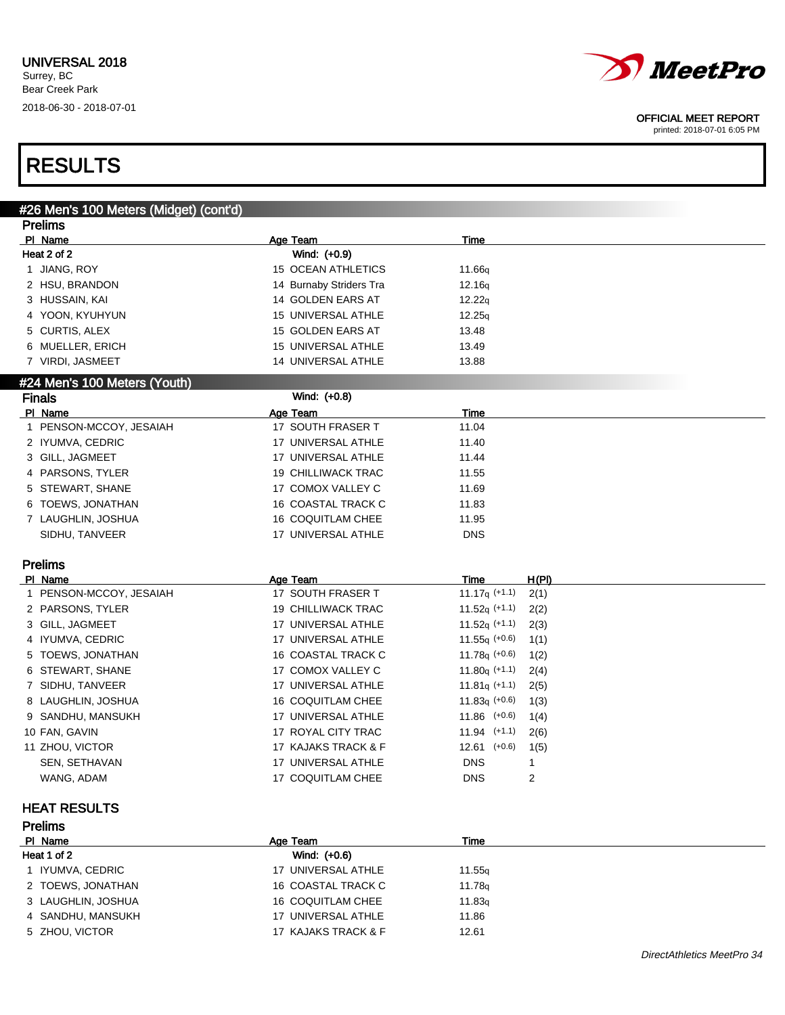

printed: 2018-07-01 6:05 PM

# RESULTS

| #26 Men's 100 Meters (Midget) (cont'd) |  |  |
|----------------------------------------|--|--|
| Prolime                                |  |  |

| PI Name<br>Age Team<br>Time<br>Wind: (+0.9)<br>Heat 2 of 2<br>15 OCEAN ATHLETICS<br>1 JIANG, ROY<br>11.66q<br>14 Burnaby Striders Tra<br>12.16q<br>2 HSU, BRANDON<br>3 HUSSAIN, KAI<br>14 GOLDEN EARS AT<br>12.22q<br>4 YOON, KYUHYUN<br>15 UNIVERSAL ATHLE<br>12.25q<br>15 GOLDEN EARS AT<br>5 CURTIS, ALEX<br>13.48<br>6 MUELLER, ERICH<br>15 UNIVERSAL ATHLE<br>13.49<br>7 VIRDI, JASMEET<br>14 UNIVERSAL ATHLE<br>13.88<br>#24 Men's 100 Meters (Youth)<br>Wind: (+0.8)<br><b>Finals</b><br>PI Name<br>Age Team<br><b>Time</b><br>1 PENSON-MCCOY, JESAIAH<br>17 SOUTH FRASER T<br>11.04<br>17 UNIVERSAL ATHLE<br>11.40<br>2 IYUMVA, CEDRIC<br>17 UNIVERSAL ATHLE<br>3 GILL, JAGMEET<br>11.44<br>19 CHILLIWACK TRAC<br>4 PARSONS, TYLER<br>11.55<br>17 COMOX VALLEY C<br>5 STEWART, SHANE<br>11.69<br>6 TOEWS, JONATHAN<br>16 COASTAL TRACK C<br>11.83<br>16 COQUITLAM CHEE<br>11.95<br>7 LAUGHLIN, JOSHUA<br>17 UNIVERSAL ATHLE<br><b>DNS</b><br>SIDHU, TANVEER<br><b>Prelims</b><br>H(PI)<br>PI Name<br>Age Team<br>Time<br>17 SOUTH FRASER T<br>1 PENSON-MCCOY, JESAIAH<br>$11.17q (+1.1)$<br>2(1)<br>$11.52q$ (+1.1)<br>2 PARSONS, TYLER<br>19 CHILLIWACK TRAC<br>2(2)<br>$11.52q (+1.1)$<br>3 GILL, JAGMEET<br>17 UNIVERSAL ATHLE<br>2(3)<br>$11.55q (+0.6)$<br>4 IYUMVA, CEDRIC<br>17 UNIVERSAL ATHLE<br>1(1)<br>$11.78q (+0.6)$<br>16 COASTAL TRACK C<br>5 TOEWS, JONATHAN<br>1(2)<br>$11.80q (+1.1)$<br>6 STEWART, SHANE<br>17 COMOX VALLEY C<br>2(4)<br>$11.81q (+1.1)$<br>7 SIDHU, TANVEER<br>17 UNIVERSAL ATHLE<br>2(5)<br>16 COQUITLAM CHEE<br>$11.83q (+0.6)$<br>8 LAUGHLIN, JOSHUA<br>1(3)<br>17 UNIVERSAL ATHLE<br>$11.86$ $(+0.6)$<br>9 SANDHU, MANSUKH<br>1(4)<br>$11.94$ (+1.1)<br>10 FAN, GAVIN<br>17 ROYAL CITY TRAC<br>2(6)<br>17 KAJAKS TRACK & F<br>$12.61$ $(+0.6)$<br>11 ZHOU, VICTOR<br>1(5)<br>17 UNIVERSAL ATHLE<br><b>DNS</b><br>SEN, SETHAVAN<br>1<br>17 COQUITLAM CHEE<br><b>DNS</b><br>$\overline{c}$<br>WANG, ADAM<br><b>HEAT RESULTS</b> | гісшіз |  |  |
|-------------------------------------------------------------------------------------------------------------------------------------------------------------------------------------------------------------------------------------------------------------------------------------------------------------------------------------------------------------------------------------------------------------------------------------------------------------------------------------------------------------------------------------------------------------------------------------------------------------------------------------------------------------------------------------------------------------------------------------------------------------------------------------------------------------------------------------------------------------------------------------------------------------------------------------------------------------------------------------------------------------------------------------------------------------------------------------------------------------------------------------------------------------------------------------------------------------------------------------------------------------------------------------------------------------------------------------------------------------------------------------------------------------------------------------------------------------------------------------------------------------------------------------------------------------------------------------------------------------------------------------------------------------------------------------------------------------------------------------------------------------------------------------------------------------------------------------------------------------------------------------------------------------------------------------------------------------------------------|--------|--|--|
|                                                                                                                                                                                                                                                                                                                                                                                                                                                                                                                                                                                                                                                                                                                                                                                                                                                                                                                                                                                                                                                                                                                                                                                                                                                                                                                                                                                                                                                                                                                                                                                                                                                                                                                                                                                                                                                                                                                                                                               |        |  |  |
|                                                                                                                                                                                                                                                                                                                                                                                                                                                                                                                                                                                                                                                                                                                                                                                                                                                                                                                                                                                                                                                                                                                                                                                                                                                                                                                                                                                                                                                                                                                                                                                                                                                                                                                                                                                                                                                                                                                                                                               |        |  |  |
|                                                                                                                                                                                                                                                                                                                                                                                                                                                                                                                                                                                                                                                                                                                                                                                                                                                                                                                                                                                                                                                                                                                                                                                                                                                                                                                                                                                                                                                                                                                                                                                                                                                                                                                                                                                                                                                                                                                                                                               |        |  |  |
|                                                                                                                                                                                                                                                                                                                                                                                                                                                                                                                                                                                                                                                                                                                                                                                                                                                                                                                                                                                                                                                                                                                                                                                                                                                                                                                                                                                                                                                                                                                                                                                                                                                                                                                                                                                                                                                                                                                                                                               |        |  |  |
|                                                                                                                                                                                                                                                                                                                                                                                                                                                                                                                                                                                                                                                                                                                                                                                                                                                                                                                                                                                                                                                                                                                                                                                                                                                                                                                                                                                                                                                                                                                                                                                                                                                                                                                                                                                                                                                                                                                                                                               |        |  |  |
|                                                                                                                                                                                                                                                                                                                                                                                                                                                                                                                                                                                                                                                                                                                                                                                                                                                                                                                                                                                                                                                                                                                                                                                                                                                                                                                                                                                                                                                                                                                                                                                                                                                                                                                                                                                                                                                                                                                                                                               |        |  |  |
|                                                                                                                                                                                                                                                                                                                                                                                                                                                                                                                                                                                                                                                                                                                                                                                                                                                                                                                                                                                                                                                                                                                                                                                                                                                                                                                                                                                                                                                                                                                                                                                                                                                                                                                                                                                                                                                                                                                                                                               |        |  |  |
|                                                                                                                                                                                                                                                                                                                                                                                                                                                                                                                                                                                                                                                                                                                                                                                                                                                                                                                                                                                                                                                                                                                                                                                                                                                                                                                                                                                                                                                                                                                                                                                                                                                                                                                                                                                                                                                                                                                                                                               |        |  |  |
|                                                                                                                                                                                                                                                                                                                                                                                                                                                                                                                                                                                                                                                                                                                                                                                                                                                                                                                                                                                                                                                                                                                                                                                                                                                                                                                                                                                                                                                                                                                                                                                                                                                                                                                                                                                                                                                                                                                                                                               |        |  |  |
|                                                                                                                                                                                                                                                                                                                                                                                                                                                                                                                                                                                                                                                                                                                                                                                                                                                                                                                                                                                                                                                                                                                                                                                                                                                                                                                                                                                                                                                                                                                                                                                                                                                                                                                                                                                                                                                                                                                                                                               |        |  |  |
|                                                                                                                                                                                                                                                                                                                                                                                                                                                                                                                                                                                                                                                                                                                                                                                                                                                                                                                                                                                                                                                                                                                                                                                                                                                                                                                                                                                                                                                                                                                                                                                                                                                                                                                                                                                                                                                                                                                                                                               |        |  |  |
|                                                                                                                                                                                                                                                                                                                                                                                                                                                                                                                                                                                                                                                                                                                                                                                                                                                                                                                                                                                                                                                                                                                                                                                                                                                                                                                                                                                                                                                                                                                                                                                                                                                                                                                                                                                                                                                                                                                                                                               |        |  |  |
|                                                                                                                                                                                                                                                                                                                                                                                                                                                                                                                                                                                                                                                                                                                                                                                                                                                                                                                                                                                                                                                                                                                                                                                                                                                                                                                                                                                                                                                                                                                                                                                                                                                                                                                                                                                                                                                                                                                                                                               |        |  |  |
|                                                                                                                                                                                                                                                                                                                                                                                                                                                                                                                                                                                                                                                                                                                                                                                                                                                                                                                                                                                                                                                                                                                                                                                                                                                                                                                                                                                                                                                                                                                                                                                                                                                                                                                                                                                                                                                                                                                                                                               |        |  |  |
|                                                                                                                                                                                                                                                                                                                                                                                                                                                                                                                                                                                                                                                                                                                                                                                                                                                                                                                                                                                                                                                                                                                                                                                                                                                                                                                                                                                                                                                                                                                                                                                                                                                                                                                                                                                                                                                                                                                                                                               |        |  |  |
|                                                                                                                                                                                                                                                                                                                                                                                                                                                                                                                                                                                                                                                                                                                                                                                                                                                                                                                                                                                                                                                                                                                                                                                                                                                                                                                                                                                                                                                                                                                                                                                                                                                                                                                                                                                                                                                                                                                                                                               |        |  |  |
|                                                                                                                                                                                                                                                                                                                                                                                                                                                                                                                                                                                                                                                                                                                                                                                                                                                                                                                                                                                                                                                                                                                                                                                                                                                                                                                                                                                                                                                                                                                                                                                                                                                                                                                                                                                                                                                                                                                                                                               |        |  |  |
|                                                                                                                                                                                                                                                                                                                                                                                                                                                                                                                                                                                                                                                                                                                                                                                                                                                                                                                                                                                                                                                                                                                                                                                                                                                                                                                                                                                                                                                                                                                                                                                                                                                                                                                                                                                                                                                                                                                                                                               |        |  |  |
|                                                                                                                                                                                                                                                                                                                                                                                                                                                                                                                                                                                                                                                                                                                                                                                                                                                                                                                                                                                                                                                                                                                                                                                                                                                                                                                                                                                                                                                                                                                                                                                                                                                                                                                                                                                                                                                                                                                                                                               |        |  |  |
|                                                                                                                                                                                                                                                                                                                                                                                                                                                                                                                                                                                                                                                                                                                                                                                                                                                                                                                                                                                                                                                                                                                                                                                                                                                                                                                                                                                                                                                                                                                                                                                                                                                                                                                                                                                                                                                                                                                                                                               |        |  |  |
|                                                                                                                                                                                                                                                                                                                                                                                                                                                                                                                                                                                                                                                                                                                                                                                                                                                                                                                                                                                                                                                                                                                                                                                                                                                                                                                                                                                                                                                                                                                                                                                                                                                                                                                                                                                                                                                                                                                                                                               |        |  |  |
|                                                                                                                                                                                                                                                                                                                                                                                                                                                                                                                                                                                                                                                                                                                                                                                                                                                                                                                                                                                                                                                                                                                                                                                                                                                                                                                                                                                                                                                                                                                                                                                                                                                                                                                                                                                                                                                                                                                                                                               |        |  |  |
|                                                                                                                                                                                                                                                                                                                                                                                                                                                                                                                                                                                                                                                                                                                                                                                                                                                                                                                                                                                                                                                                                                                                                                                                                                                                                                                                                                                                                                                                                                                                                                                                                                                                                                                                                                                                                                                                                                                                                                               |        |  |  |
|                                                                                                                                                                                                                                                                                                                                                                                                                                                                                                                                                                                                                                                                                                                                                                                                                                                                                                                                                                                                                                                                                                                                                                                                                                                                                                                                                                                                                                                                                                                                                                                                                                                                                                                                                                                                                                                                                                                                                                               |        |  |  |
|                                                                                                                                                                                                                                                                                                                                                                                                                                                                                                                                                                                                                                                                                                                                                                                                                                                                                                                                                                                                                                                                                                                                                                                                                                                                                                                                                                                                                                                                                                                                                                                                                                                                                                                                                                                                                                                                                                                                                                               |        |  |  |
|                                                                                                                                                                                                                                                                                                                                                                                                                                                                                                                                                                                                                                                                                                                                                                                                                                                                                                                                                                                                                                                                                                                                                                                                                                                                                                                                                                                                                                                                                                                                                                                                                                                                                                                                                                                                                                                                                                                                                                               |        |  |  |
|                                                                                                                                                                                                                                                                                                                                                                                                                                                                                                                                                                                                                                                                                                                                                                                                                                                                                                                                                                                                                                                                                                                                                                                                                                                                                                                                                                                                                                                                                                                                                                                                                                                                                                                                                                                                                                                                                                                                                                               |        |  |  |
|                                                                                                                                                                                                                                                                                                                                                                                                                                                                                                                                                                                                                                                                                                                                                                                                                                                                                                                                                                                                                                                                                                                                                                                                                                                                                                                                                                                                                                                                                                                                                                                                                                                                                                                                                                                                                                                                                                                                                                               |        |  |  |
|                                                                                                                                                                                                                                                                                                                                                                                                                                                                                                                                                                                                                                                                                                                                                                                                                                                                                                                                                                                                                                                                                                                                                                                                                                                                                                                                                                                                                                                                                                                                                                                                                                                                                                                                                                                                                                                                                                                                                                               |        |  |  |
|                                                                                                                                                                                                                                                                                                                                                                                                                                                                                                                                                                                                                                                                                                                                                                                                                                                                                                                                                                                                                                                                                                                                                                                                                                                                                                                                                                                                                                                                                                                                                                                                                                                                                                                                                                                                                                                                                                                                                                               |        |  |  |
|                                                                                                                                                                                                                                                                                                                                                                                                                                                                                                                                                                                                                                                                                                                                                                                                                                                                                                                                                                                                                                                                                                                                                                                                                                                                                                                                                                                                                                                                                                                                                                                                                                                                                                                                                                                                                                                                                                                                                                               |        |  |  |
|                                                                                                                                                                                                                                                                                                                                                                                                                                                                                                                                                                                                                                                                                                                                                                                                                                                                                                                                                                                                                                                                                                                                                                                                                                                                                                                                                                                                                                                                                                                                                                                                                                                                                                                                                                                                                                                                                                                                                                               |        |  |  |
|                                                                                                                                                                                                                                                                                                                                                                                                                                                                                                                                                                                                                                                                                                                                                                                                                                                                                                                                                                                                                                                                                                                                                                                                                                                                                                                                                                                                                                                                                                                                                                                                                                                                                                                                                                                                                                                                                                                                                                               |        |  |  |
|                                                                                                                                                                                                                                                                                                                                                                                                                                                                                                                                                                                                                                                                                                                                                                                                                                                                                                                                                                                                                                                                                                                                                                                                                                                                                                                                                                                                                                                                                                                                                                                                                                                                                                                                                                                                                                                                                                                                                                               |        |  |  |
|                                                                                                                                                                                                                                                                                                                                                                                                                                                                                                                                                                                                                                                                                                                                                                                                                                                                                                                                                                                                                                                                                                                                                                                                                                                                                                                                                                                                                                                                                                                                                                                                                                                                                                                                                                                                                                                                                                                                                                               |        |  |  |
|                                                                                                                                                                                                                                                                                                                                                                                                                                                                                                                                                                                                                                                                                                                                                                                                                                                                                                                                                                                                                                                                                                                                                                                                                                                                                                                                                                                                                                                                                                                                                                                                                                                                                                                                                                                                                                                                                                                                                                               |        |  |  |

### Prelims Pl Name Time Age Team Age Team Time Time Heat 1 of 2 Wind: (+0.6) 1 IYUMVA, CEDRIC 11.55q 17 UNIVERSAL ATHLE 11.55q 2 TOEWS, JONATHAN 16 COASTAL TRACK C 11.78q 3 LAUGHLIN, JOSHUA 16 COQUITLAM CHEE 11.83q 4 SANDHU, MANSUKH 17 UNIVERSAL ATHLE 11.86 5 ZHOU, VICTOR 17 KAJAKS TRACK & F 12.61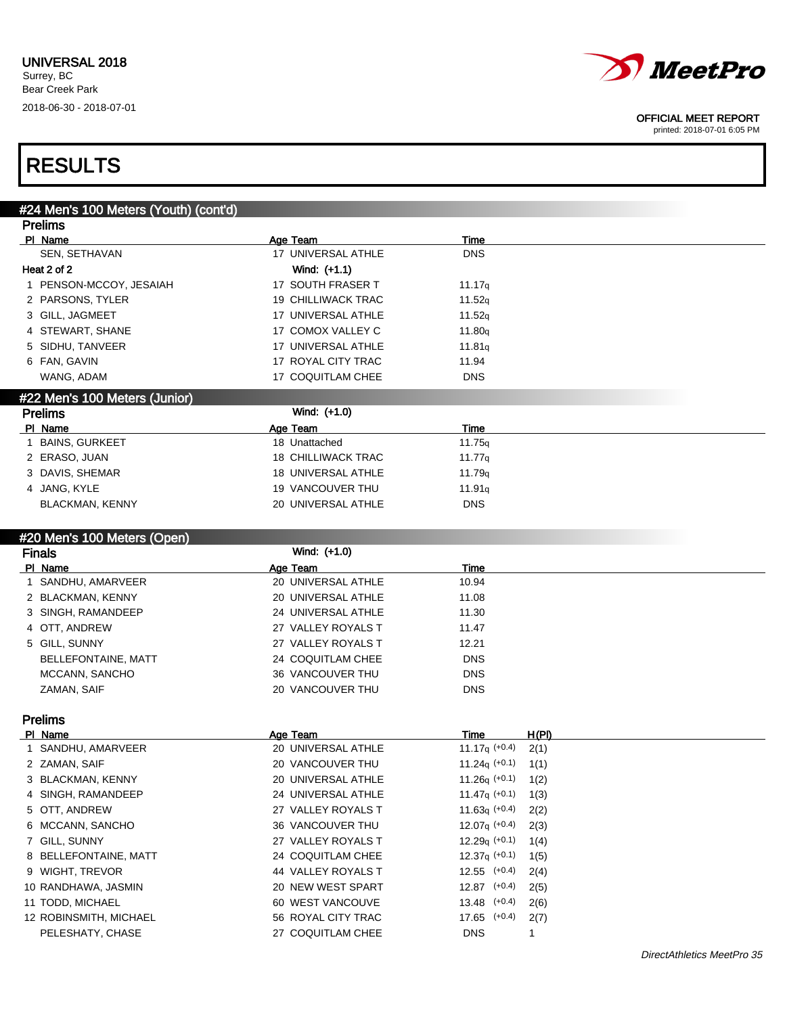

printed: 2018-07-01 6:05 PM

# RESULTS

#### #24 Men's 100 Meters (Youth) (cont'd) Prelims

| טוווויטו                      |                           |                    |  |
|-------------------------------|---------------------------|--------------------|--|
| PI Name                       | Age Team                  | Time               |  |
| SEN, SETHAVAN                 | 17 UNIVERSAL ATHLE        | <b>DNS</b>         |  |
| Heat 2 of 2                   | Wind: (+1.1)              |                    |  |
| 1 PENSON-MCCOY, JESAIAH       | 17 SOUTH FRASER T         | 11.17q             |  |
| 2 PARSONS, TYLER              | <b>19 CHILLIWACK TRAC</b> | 11.52q             |  |
| 3 GILL, JAGMEET               | 17 UNIVERSAL ATHLE        | 11.52q             |  |
| 4 STEWART, SHANE              | 17 COMOX VALLEY C         | 11.80g             |  |
| 5 SIDHU, TANVEER              | 17 UNIVERSAL ATHLE        | 11.81q             |  |
| 6 FAN, GAVIN                  | 17 ROYAL CITY TRAC        | 11.94              |  |
| WANG, ADAM                    | 17 COQUITLAM CHEE         | <b>DNS</b>         |  |
| #22 Men's 100 Meters (Junior) |                           |                    |  |
| <b>Prelims</b>                | Wind: (+1.0)              |                    |  |
| PI Name                       | Age Team                  | Time               |  |
| 1 BAINS, GURKEET              | 18 Unattached             | 11.75q             |  |
| 2 ERASO, JUAN                 | <b>18 CHILLIWACK TRAC</b> | 11.77q             |  |
| 3 DAVIS, SHEMAR               | 18 UNIVERSAL ATHLE        | 11.79 <sub>q</sub> |  |
| 4 JANG, KYLE                  | <b>19 VANCOUVER THU</b>   | 11.91q             |  |
| <b>BLACKMAN, KENNY</b>        | 20 UNIVERSAL ATHLE        | <b>DNS</b>         |  |
|                               |                           |                    |  |

### #20 Men's 100 Meters (Open)

| <b>Finals</b>              | Wind: (+1.0)       |            |  |
|----------------------------|--------------------|------------|--|
| PI Name                    | Age Team           | Time       |  |
| 1 SANDHU, AMARVEER         | 20 UNIVERSAL ATHLE | 10.94      |  |
| 2 BLACKMAN, KENNY          | 20 UNIVERSAL ATHLE | 11.08      |  |
| 3 SINGH, RAMANDEEP         | 24 UNIVERSAL ATHLE | 11.30      |  |
| 4 OTT, ANDREW              | 27 VALLEY ROYALS T | 11.47      |  |
| 5 GILL, SUNNY              | 27 VALLEY ROYALS T | 12.21      |  |
| <b>BELLEFONTAINE, MATT</b> | 24 COQUITLAM CHEE  | <b>DNS</b> |  |
| MCCANN, SANCHO             | 36 VANCOUVER THU   | <b>DNS</b> |  |
| ZAMAN, SAIF                | 20 VANCOUVER THU   | <b>DNS</b> |  |

| <b>Prelims</b>         |                    |                  |       |
|------------------------|--------------------|------------------|-------|
| PI Name                | Age Team           | Time             | H(PI) |
| 1 SANDHU, AMARVEER     | 20 UNIVERSAL ATHLE | $11.17q$ (+0.4)  | 2(1)  |
| 2 ZAMAN, SAIF          | 20 VANCOUVER THU   | $11.24a$ (+0.1)  | 1(1)  |
| 3 BLACKMAN, KENNY      | 20 UNIVERSAL ATHLE | $11.26q (+0.1)$  | 1(2)  |
| 4 SINGH, RAMANDEEP     | 24 UNIVERSAL ATHLE | $11.47q$ (+0.1)  | 1(3)  |
| 5 OTT, ANDREW          | 27 VALLEY ROYALS T | $11.63q$ (+0.4)  | 2(2)  |
| 6 MCCANN, SANCHO       | 36 VANCOUVER THU   | $12.07q$ (+0.4)  | 2(3)  |
| 7 GILL, SUNNY          | 27 VALLEY ROYALS T | $12.29q$ (+0.1)  | 1(4)  |
| 8 BELLEFONTAINE, MATT  | 24 COQUITLAM CHEE  | $12.37q$ (+0.1)  | 1(5)  |
| 9 WIGHT, TREVOR        | 44 VALLEY ROYALS T | $12.55$ $(+0.4)$ | 2(4)  |
| 10 RANDHAWA, JASMIN    | 20 NEW WEST SPART  | $12.87$ $(+0.4)$ | 2(5)  |
| 11 TODD, MICHAEL       | 60 WEST VANCOUVE   | $13.48$ $(+0.4)$ | 2(6)  |
| 12 ROBINSMITH, MICHAEL | 56 ROYAL CITY TRAC | $17.65$ $(+0.4)$ | 2(7)  |
| PELESHATY, CHASE       | 27 COQUITLAM CHEE  | <b>DNS</b>       |       |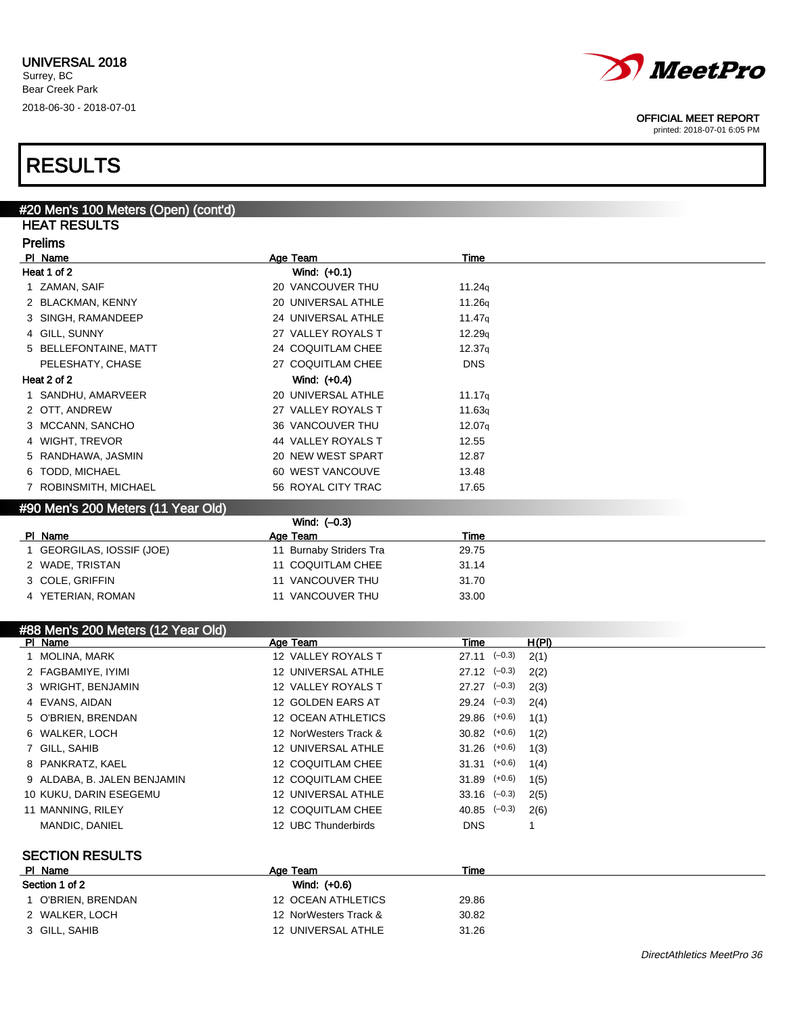

printed: 2018-07-01 6:05 PM

## RESULTS

|   | #20 Men's 100 Meters (Open) (cont'd) |                         |                    |                      |       |
|---|--------------------------------------|-------------------------|--------------------|----------------------|-------|
|   | <b>HEAT RESULTS</b>                  |                         |                    |                      |       |
|   | <b>Prelims</b>                       |                         |                    |                      |       |
|   | PI Name                              | Age Team                | <b>Time</b>        |                      |       |
|   | Heat 1 of 2                          | Wind: (+0.1)            |                    |                      |       |
|   | 1 ZAMAN, SAIF                        | 20 VANCOUVER THU        | 11.24q             |                      |       |
|   | 2 BLACKMAN, KENNY                    | 20 UNIVERSAL ATHLE      | 11.26g             |                      |       |
|   | 3 SINGH, RAMANDEEP                   | 24 UNIVERSAL ATHLE      | 11.47q             |                      |       |
|   | 4 GILL, SUNNY                        | 27 VALLEY ROYALS T      | 12.29q             |                      |       |
|   | 5 BELLEFONTAINE, MATT                | 24 COQUITLAM CHEE       | 12.37 <sub>q</sub> |                      |       |
|   | PELESHATY, CHASE                     | 27 COQUITLAM CHEE       | <b>DNS</b>         |                      |       |
|   | Heat 2 of 2                          | Wind: (+0.4)            |                    |                      |       |
|   | 1 SANDHU, AMARVEER                   | 20 UNIVERSAL ATHLE      | 11.17q             |                      |       |
|   | 2 OTT, ANDREW                        | 27 VALLEY ROYALS T      | 11.63q             |                      |       |
|   | 3 MCCANN, SANCHO                     | 36 VANCOUVER THU        | 12.07q             |                      |       |
|   | 4 WIGHT, TREVOR                      | 44 VALLEY ROYALS T      | 12.55              |                      |       |
|   | 5 RANDHAWA, JASMIN                   | 20 NEW WEST SPART       | 12.87              |                      |       |
|   | 6 TODD, MICHAEL                      | 60 WEST VANCOUVE        | 13.48              |                      |       |
|   | 7 ROBINSMITH, MICHAEL                | 56 ROYAL CITY TRAC      | 17.65              |                      |       |
|   | #90 Men's 200 Meters (11 Year Old)   |                         |                    |                      |       |
|   |                                      | Wind: (-0.3)            |                    |                      |       |
|   | PI Name                              | Age Team                | <b>Time</b>        |                      |       |
|   | 1 GEORGILAS, IOSSIF (JOE)            | 11 Burnaby Striders Tra | 29.75              |                      |       |
|   | 2 WADE, TRISTAN                      | 11 COQUITLAM CHEE       | 31.14              |                      |       |
|   | 3 COLE, GRIFFIN                      | 11 VANCOUVER THU        | 31.70              |                      |       |
|   | 4 YETERIAN, ROMAN                    | 11 VANCOUVER THU        | 33.00              |                      |       |
|   |                                      |                         |                    |                      |       |
|   | #88 Men's 200 Meters (12 Year Old)   |                         |                    |                      |       |
|   | PI Name                              | Age Team                | Time               |                      | H(PI) |
|   | 1 MOLINA, MARK                       | 12 VALLEY ROYALS T      |                    | 27.11 (-0.3)         | 2(1)  |
|   | 2 FAGBAMIYE, IYIMI                   | 12 UNIVERSAL ATHLE      |                    | $27.12 \quad (-0.3)$ | 2(2)  |
|   | 3 WRIGHT, BENJAMIN                   | 12 VALLEY ROYALS T      |                    | $27.27$ $(-0.3)$     | 2(3)  |
|   | 4 EVANS, AIDAN                       | 12 GOLDEN EARS AT       |                    | $29.24 \quad (-0.3)$ | 2(4)  |
|   | 5 O'BRIEN, BRENDAN                   | 12 OCEAN ATHLETICS      |                    | 29.86 (+0.6)         | 1(1)  |
|   | 6 WALKER, LOCH                       | 12 NorWesters Track &   |                    | $30.82$ $(+0.6)$     | 1(2)  |
|   | 7 GILL, SAHIB                        | 12 UNIVERSAL ATHLE      |                    | $31.26$ (+0.6)       | 1(3)  |
| 8 | PANKRATZ, KAEL                       | 12 COQUITLAM CHEE       |                    | $31.31$ (+0.6)       | 1(4)  |

| 9 ALDABA, B. JALEN BENJAMIN | 12 COQUITLAM CHEE   |       | $31.89$ (+0.6) 1(            |                |
|-----------------------------|---------------------|-------|------------------------------|----------------|
| 10 KUKU, DARIN ESEGEMU      | 12 UNIVERSAL ATHLE  |       | $33.16 \left(-0.3\right)$ 2( |                |
| 11 MANNING, RILEY           | 12 COQUITLAM CHEE   |       | 40.85 $(-0.3)$ 2(            |                |
| MANDIC. DANIEL              | 12 UBC Thunderbirds | DNS - |                              | $\overline{1}$ |

### SECTION RESULTS

| PI Name          | Age Team              | Time  |
|------------------|-----------------------|-------|
| Section 1 of 2   | Wind: (+0.6)          |       |
| O'BRIEN, BRENDAN | 12 OCEAN ATHLETICS    | 29.86 |
| 2 WALKER, LOCH   | 12 NorWesters Track & | 30.82 |
| 3 GILL, SAHIB    | 12 UNIVERSAL ATHLE    | 31.26 |

 $31.89$   $(+0.6)$  1(5)  $33.16 \quad (-0.3) \quad 2(5)$  $40.85$   $(-0.3)$   $2(6)$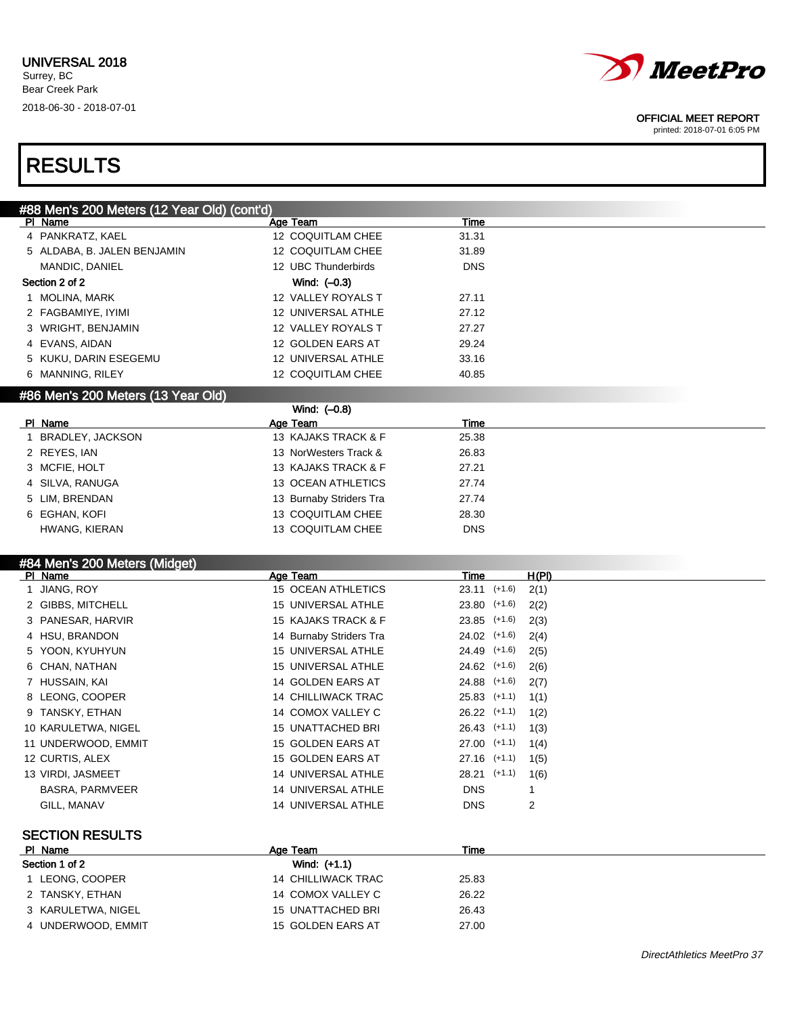

printed: 2018-07-01 6:05 PM

# RESULTS

| #88 Men's 200 Meters (12 Year Old) (cont'd)<br>PI Name | Age Team                  | <b>Time</b>      |                |
|--------------------------------------------------------|---------------------------|------------------|----------------|
| 4 PANKRATZ, KAEL                                       | 12 COQUITLAM CHEE         | 31.31            |                |
| 5 ALDABA, B. JALEN BENJAMIN                            | 12 COQUITLAM CHEE         | 31.89            |                |
| MANDIC, DANIEL                                         | 12 UBC Thunderbirds       | <b>DNS</b>       |                |
| Section 2 of 2                                         | Wind: $(-0.3)$            |                  |                |
| 1 MOLINA, MARK                                         | 12 VALLEY ROYALS T        | 27.11            |                |
| 2 FAGBAMIYE, IYIMI                                     | 12 UNIVERSAL ATHLE        | 27.12            |                |
| 3 WRIGHT, BENJAMIN                                     | 12 VALLEY ROYALS T        | 27.27            |                |
| 4 EVANS, AIDAN                                         | 12 GOLDEN EARS AT         | 29.24            |                |
| 5 KUKU, DARIN ESEGEMU                                  | 12 UNIVERSAL ATHLE        | 33.16            |                |
| 6 MANNING, RILEY                                       | 12 COQUITLAM CHEE         | 40.85            |                |
|                                                        |                           |                  |                |
| #86 Men's 200 Meters (13 Year Old)                     | Wind: (-0.8)              |                  |                |
| PI Name                                                | Age Team                  | Time             |                |
| 1 BRADLEY, JACKSON                                     | 13 KAJAKS TRACK & F       | 25.38            |                |
| 2 REYES, IAN                                           | 13 NorWesters Track &     | 26.83            |                |
| 3 MCFIE, HOLT                                          | 13 KAJAKS TRACK & F       | 27.21            |                |
| 4 SILVA, RANUGA                                        | 13 OCEAN ATHLETICS        | 27.74            |                |
| 5 LIM, BRENDAN                                         | 13 Burnaby Striders Tra   | 27.74            |                |
| 6 EGHAN, KOFI                                          | 13 COQUITLAM CHEE         | 28.30            |                |
| HWANG, KIERAN                                          | 13 COQUITLAM CHEE         | <b>DNS</b>       |                |
|                                                        |                           |                  |                |
| #84 Men's 200 Meters (Midget)                          |                           |                  |                |
| PI Name                                                | Age Team                  | Time             | H(PI)          |
| 1 JIANG, ROY                                           | <b>15 OCEAN ATHLETICS</b> | $23.11$ (+1.6)   | 2(1)           |
| 2 GIBBS, MITCHELL                                      | 15 UNIVERSAL ATHLE        | $23.80$ (+1.6)   | 2(2)           |
| 3 PANESAR, HARVIR                                      | 15 KAJAKS TRACK & F       | $23.85$ (+1.6)   | 2(3)           |
| 4 HSU, BRANDON                                         | 14 Burnaby Striders Tra   | 24.02 (+1.6)     | 2(4)           |
| 5 YOON, KYUHYUN                                        | 15 UNIVERSAL ATHLE        | 24.49 (+1.6)     | 2(5)           |
| 6 CHAN, NATHAN                                         | 15 UNIVERSAL ATHLE        | 24.62 (+1.6)     | 2(6)           |
| 7 HUSSAIN, KAI                                         | 14 GOLDEN EARS AT         | 24.88 (+1.6)     | 2(7)           |
| 8 LEONG, COOPER                                        | <b>14 CHILLIWACK TRAC</b> | $25.83$ $(+1.1)$ | 1(1)           |
| 9 TANSKY, ETHAN                                        | 14 COMOX VALLEY C         | $26.22$ (+1.1)   | 1(2)           |
| 10 KARULETWA, NIGEL                                    | 15 UNATTACHED BRI         | $26.43$ $(+1.1)$ | 1(3)           |
| 11 UNDERWOOD, EMMIT                                    | 15 GOLDEN EARS AT         | $27.00$ $(+1.1)$ | 1(4)           |
| 12 CURTIS, ALEX                                        | 15 GOLDEN EARS AT         | $27.16$ (+1.1)   | 1(5)           |
| 13 VIRDI, JASMEET                                      | 14 UNIVERSAL ATHLE        | 28.21 (+1.1)     | 1(6)           |
| BASRA, PARMVEER                                        | 14 UNIVERSAL ATHLE        | <b>DNS</b>       | 1              |
| GILL, MANAV                                            | 14 UNIVERSAL ATHLE        | <b>DNS</b>       | $\overline{c}$ |
| <b>SECTION RESULTS</b>                                 |                           |                  |                |
| PI Name                                                | Age Team                  | Time             |                |
| Section 1 of 2                                         | Wind: (+1.1)              |                  |                |
| 1 LEONG, COOPER                                        | 14 CHILLIWACK TRAC        | 25.83            |                |
| 2 TANSKY, ETHAN                                        | 14 COMOX VALLEY C         | 26.22            |                |
| 3 KARULETWA, NIGEL                                     | 15 UNATTACHED BRI         | 26.43            |                |
| 4 UNDERWOOD, EMMIT                                     | 15 GOLDEN EARS AT         | 27.00            |                |
|                                                        |                           |                  |                |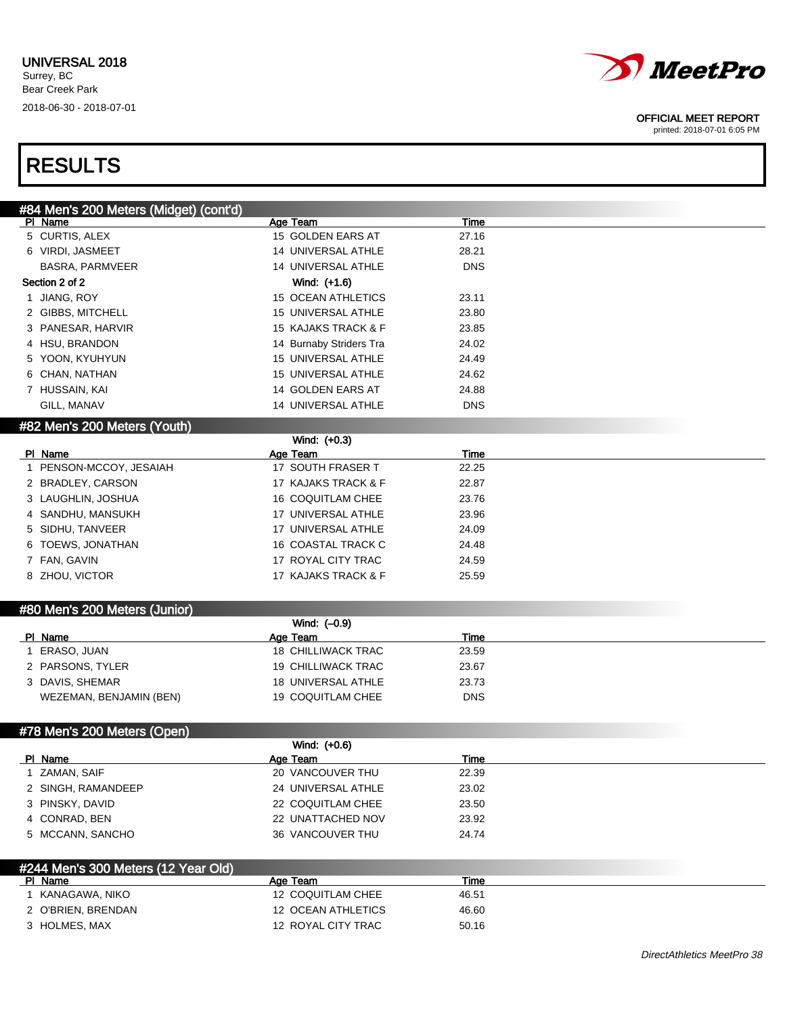

printed: 2018-07-01 6:05 PM

## RESULTS

| #84 Men's 200 Meters (Midget) (cont'd) |                           |            |  |
|----------------------------------------|---------------------------|------------|--|
| PI Name                                | Age Team                  | Time       |  |
| 5 CURTIS, ALEX                         | 15 GOLDEN EARS AT         | 27.16      |  |
| 6 VIRDI, JASMEET                       | 14 UNIVERSAL ATHLE        | 28.21      |  |
| BASRA, PARMVEER                        | <b>14 UNIVERSAL ATHLE</b> | <b>DNS</b> |  |
| Section 2 of 2                         | Wind: (+1.6)              |            |  |
| 1 JIANG, ROY                           | 15 OCEAN ATHLETICS        | 23.11      |  |
| 2 GIBBS, MITCHELL                      | 15 UNIVERSAL ATHLE        | 23.80      |  |
| 3 PANESAR, HARVIR                      | 15 KAJAKS TRACK & F       | 23.85      |  |
| 4 HSU, BRANDON                         | 14 Burnaby Striders Tra   | 24.02      |  |
| 5 YOON, KYUHYUN                        | 15 UNIVERSAL ATHLE        | 24.49      |  |
| 6 CHAN, NATHAN                         | 15 UNIVERSAL ATHLE        | 24.62      |  |
| 7 HUSSAIN, KAI                         | 14 GOLDEN EARS AT         | 24.88      |  |
| GILL, MANAV                            | 14 UNIVERSAL ATHLE        | <b>DNS</b> |  |
| #82 Men's 200 Meters (Youth)           |                           |            |  |
|                                        | Wind: (+0.3)              |            |  |
| PI Name                                | Age Team                  | Time       |  |
| 1 PENSON-MCCOY, JESAIAH                | 17 SOUTH FRASER T         | 22.25      |  |
| 2 BRADLEY, CARSON                      | 17 KAJAKS TRACK & F       | 22.87      |  |
| 3 LAUGHLIN, JOSHUA                     | 16 COQUITLAM CHEE         | 23.76      |  |
| 4 SANDHU, MANSUKH                      | 17 UNIVERSAL ATHLE        | 23.96      |  |
| 5 SIDHU, TANVEER                       | 17 UNIVERSAL ATHLE        | 24.09      |  |
| 6 TOEWS, JONATHAN                      | 16 COASTAL TRACK C        | 24.48      |  |
| 7 FAN, GAVIN                           | 17 ROYAL CITY TRAC        | 24.59      |  |
| 8 ZHOU, VICTOR                         | 17 KAJAKS TRACK & F       | 25.59      |  |
|                                        |                           |            |  |
| #80 Men's 200 Meters (Junior)          |                           |            |  |
|                                        | Wind: (-0.9)              |            |  |
| PI Name                                | Age Team                  | Time       |  |
| 1 ERASO, JUAN                          | 18 CHILLIWACK TRAC        | 23.59      |  |
| 2 PARSONS, TYLER                       | 19 CHILLIWACK TRAC        | 23.67      |  |
| 3 DAVIS, SHEMAR                        | 18 UNIVERSAL ATHLE        | 23.73      |  |
| WEZEMAN, BENJAMIN (BEN)                | 19 COQUITLAM CHEE         | <b>DNS</b> |  |
|                                        |                           |            |  |
| #78 Men's 200 Meters (Open)            |                           |            |  |
|                                        | Wind: (+0.6)              |            |  |
| PI Name                                | Age Team                  | Time       |  |
| 1 ZAMAN, SAIF                          | 20 VANCOUVER THU          | 22.39      |  |
| 2 SINGH, RAMANDEEP                     | 24 UNIVERSAL ATHLE        | 23.02      |  |
| 3 PINSKY, DAVID                        | 22 COQUITLAM CHEE         | 23.50      |  |
| 4 CONRAD, BEN                          | 22 UNATTACHED NOV         | 23.92      |  |
| 5 MCCANN, SANCHO                       | 36 VANCOUVER THU          | 24.74      |  |
|                                        |                           |            |  |
| #244 Men's 300 Meters (12 Year Old)    |                           |            |  |
| PI Name                                | Age Team                  | Time       |  |
| 1 KANAGAWA, NIKO                       | 12 COQUITLAM CHEE         | 46.51      |  |

2 O'BRIEN, BRENDAN 12 OCEAN ATHLETICS 46.60 3 HOLMES, MAX 12 ROYAL CITY TRAC 50.16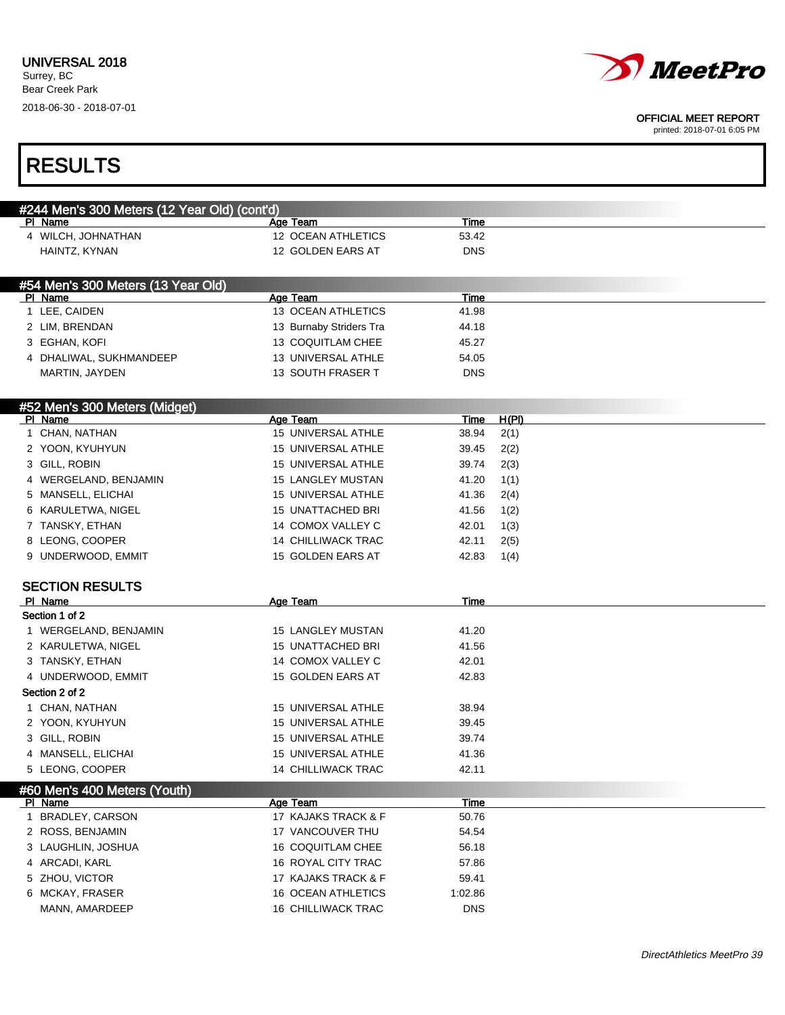

| <b>RESULTS</b>                               |                                         |                     |       |  |
|----------------------------------------------|-----------------------------------------|---------------------|-------|--|
| #244 Men's 300 Meters (12 Year Old) (cont'd) |                                         |                     |       |  |
| PI Name                                      | Age Team                                | Time                |       |  |
| 4 WILCH, JOHNATHAN                           | 12 OCEAN ATHLETICS                      | 53.42               |       |  |
| HAINTZ, KYNAN                                | 12 GOLDEN EARS AT                       | <b>DNS</b>          |       |  |
| #54 Men's 300 Meters (13 Year Old)           |                                         |                     |       |  |
| PI Name                                      | <b>Age Team</b>                         | Time                |       |  |
| 1 LEE, CAIDEN                                | 13 OCEAN ATHLETICS                      | 41.98               |       |  |
| 2 LIM, BRENDAN                               | 13 Burnaby Striders Tra                 | 44.18               |       |  |
| 3 EGHAN, KOFI                                | 13 COQUITLAM CHEE                       | 45.27               |       |  |
| 4 DHALIWAL, SUKHMANDEEP<br>MARTIN, JAYDEN    | 13 UNIVERSAL ATHLE<br>13 SOUTH FRASER T | 54.05<br><b>DNS</b> |       |  |
|                                              |                                         |                     |       |  |
| #52 Men's 300 Meters (Midget)<br>PI Name     |                                         | Time                | H(PI) |  |
| 1 CHAN, NATHAN                               | Age Team<br>15 UNIVERSAL ATHLE          | 38.94               | 2(1)  |  |
| 2 YOON, KYUHYUN                              | 15 UNIVERSAL ATHLE                      | 39.45               | 2(2)  |  |
| 3 GILL, ROBIN                                | 15 UNIVERSAL ATHLE                      | 39.74               | 2(3)  |  |
| 4 WERGELAND, BENJAMIN                        | <b>15 LANGLEY MUSTAN</b>                | 41.20               | 1(1)  |  |
| 5 MANSELL, ELICHAI                           | 15 UNIVERSAL ATHLE                      | 41.36               | 2(4)  |  |
| 6 KARULETWA, NIGEL                           | <b>15 UNATTACHED BRI</b>                | 41.56               | 1(2)  |  |
| 7 TANSKY, ETHAN                              | 14 COMOX VALLEY C                       | 42.01               | 1(3)  |  |
| 8 LEONG, COOPER                              | <b>14 CHILLIWACK TRAC</b>               | 42.11               | 2(5)  |  |
| 9 UNDERWOOD, EMMIT                           | 15 GOLDEN EARS AT                       | 42.83               | 1(4)  |  |
| <b>SECTION RESULTS</b>                       |                                         |                     |       |  |
| PI Name                                      | Age Team                                | <b>Time</b>         |       |  |
| Section 1 of 2                               |                                         |                     |       |  |
| 1 WERGELAND, BENJAMIN                        | 15 LANGLEY MUSTAN                       | 41.20               |       |  |
| 2 KARULETWA, NIGEL                           | 15 UNATTACHED BRI                       | 41.56               |       |  |
| 3 TANSKY, ETHAN                              | 14 COMOX VALLEY C                       | 42.01               |       |  |
| 4 UNDERWOOD, EMMIT                           | 15 GOLDEN EARS AT                       | 42.83               |       |  |
| Section 2 of 2                               |                                         |                     |       |  |
| 1 CHAN, NATHAN                               | 15 UNIVERSAL ATHLE                      | 38.94               |       |  |
| 2 YOON, KYUHYUN                              | 15 UNIVERSAL ATHLE                      | 39.45               |       |  |
| 3 GILL, ROBIN                                | 15 UNIVERSAL ATHLE                      | 39.74               |       |  |
| 4 MANSELL, ELICHAI                           | 15 UNIVERSAL ATHLE                      | 41.36               |       |  |
| 5 LEONG, COOPER                              | 14 CHILLIWACK TRAC                      | 42.11               |       |  |
| #60 Men's 400 Meters (Youth)                 |                                         |                     |       |  |
| PI Name                                      | Age Team                                | Time                |       |  |
| 1 BRADLEY, CARSON                            | 17 KAJAKS TRACK & F                     | 50.76               |       |  |
| 2 ROSS, BENJAMIN                             | 17 VANCOUVER THU                        | 54.54               |       |  |
| 3 LAUGHLIN, JOSHUA                           | 16 COQUITLAM CHEE<br>16 ROYAL CITY TRAC | 56.18               |       |  |
| 4 ARCADI, KARL                               |                                         | 57.86               |       |  |
| 5 ZHOU, VICTOR                               | 17 KAJAKS TRACK & F                     | 59.41               |       |  |
| 6 MCKAY, FRASER                              | 16 OCEAN ATHLETICS                      | 1:02.86             |       |  |
| MANN, AMARDEEP                               | 16 CHILLIWACK TRAC                      | <b>DNS</b>          |       |  |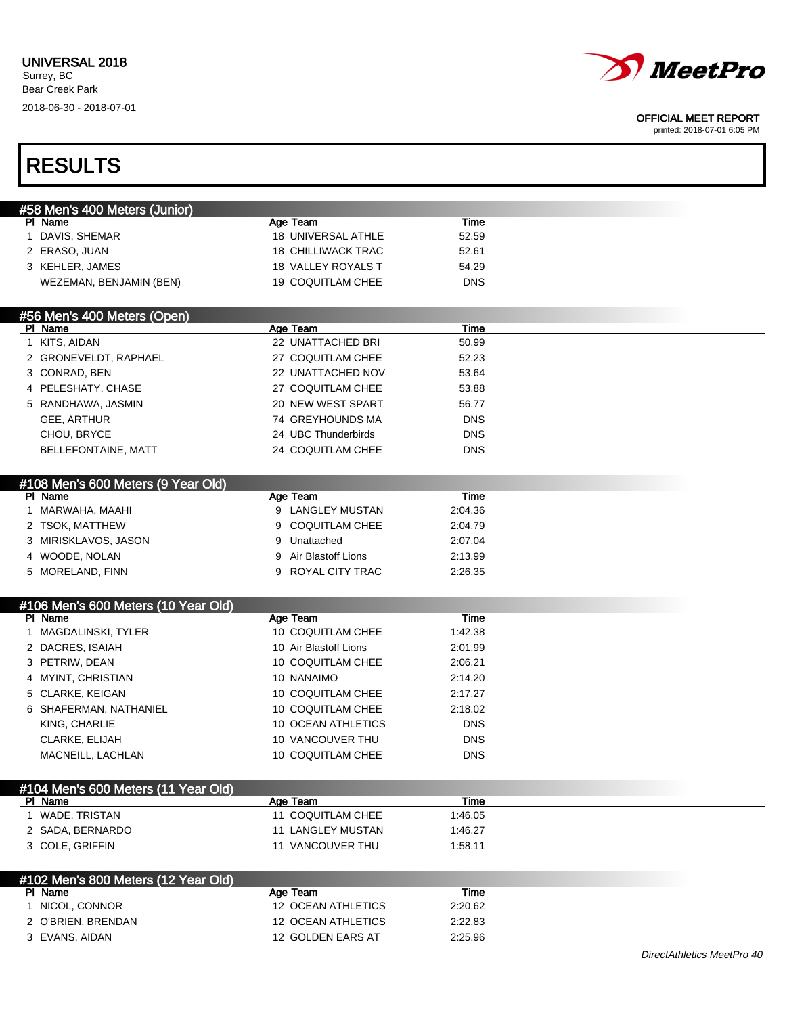

printed: 2018-07-01 6:05 PM

# RESULTS

| #58 Men's 400 Meters (Junior) |                           |            |  |
|-------------------------------|---------------------------|------------|--|
| PI Name                       | Age Team                  | Time       |  |
| DAVIS, SHEMAR                 | <b>18 UNIVERSAL ATHLE</b> | 52.59      |  |
| 2 ERASO, JUAN                 | <b>18 CHILLIWACK TRAC</b> | 52.61      |  |
| 3 KEHLER, JAMES               | 18 VALLEY ROYALS T        | 54.29      |  |
| WEZEMAN, BENJAMIN (BEN)       | 19 COQUITLAM CHEE         | <b>DNS</b> |  |
|                               |                           |            |  |
| #56 Men's 400 Meters (Open)   |                           |            |  |
| PI Name                       | Age Team                  | Time       |  |
| KITS, AIDAN                   | 22 UNATTACHED BRI         | 50.99      |  |
| 2 GRONEVELDT, RAPHAEL         | 27 COQUITLAM CHEE         | 52.23      |  |
| 3 CONRAD, BEN                 | 22 UNATTACHED NOV         | 53.64      |  |
| 4 PELESHATY, CHASE            | 27 COQUITLAM CHEE         | 53.88      |  |
| 5 RANDHAWA, JASMIN            | 20 NEW WEST SPART         | 56.77      |  |
| GEE, ARTHUR                   | 74 GREYHOUNDS MA          | <b>DNS</b> |  |
| CHOU, BRYCE                   | 24 UBC Thunderbirds       | <b>DNS</b> |  |
| <b>BELLEFONTAINE, MATT</b>    | 24 COQUITLAM CHEE         | <b>DNS</b> |  |
|                               |                           |            |  |

| #108 Men's 600 Meters (9 Year Old) |                    |         |  |
|------------------------------------|--------------------|---------|--|
| PI Name                            | Age Team           | Time    |  |
| MARWAHA, MAAHI                     | 9 LANGLEY MUSTAN   | 2:04.36 |  |
| 2 TSOK, MATTHEW                    | 9 COQUITLAM CHEE   | 2:04.79 |  |
| 3 MIRISKLAVOS, JASON               | Unattached         | 2:07.04 |  |
| 4 WOODE, NOLAN                     | Air Blastoff Lions | 2:13.99 |  |
| 5 MORELAND, FINN                   | 9 ROYAL CITY TRAC  | 2:26.35 |  |
|                                    |                    |         |  |

### #106 Men's 600 Meters (10 Year Old)

| PI Name                | Age Team              | Time       |  |
|------------------------|-----------------------|------------|--|
| MAGDALINSKI, TYLER     | 10 COQUITLAM CHEE     | 1:42.38    |  |
| 2 DACRES, ISAIAH       | 10 Air Blastoff Lions | 2:01.99    |  |
| 3 PETRIW, DEAN         | 10 COQUITLAM CHEE     | 2:06.21    |  |
| 4 MYINT, CHRISTIAN     | 10 NANAIMO            | 2:14.20    |  |
| 5 CLARKE, KEIGAN       | 10 COQUITLAM CHEE     | 2:17.27    |  |
| 6 SHAFERMAN, NATHANIEL | 10 COQUITLAM CHEE     | 2:18.02    |  |
| KING, CHARLIE          | 10 OCEAN ATHLETICS    | <b>DNS</b> |  |
| <b>CLARKE, ELIJAH</b>  | 10 VANCOUVER THU      | <b>DNS</b> |  |
| MACNEILL, LACHLAN      | 10 COQUITLAM CHEE     | <b>DNS</b> |  |

| #104 Men's 600 Meters (11 Year Old) |                   |             |  |  |  |
|-------------------------------------|-------------------|-------------|--|--|--|
| PI Name                             | Age Team          | <b>Time</b> |  |  |  |
| WADE. TRISTAN                       | 11 COQUITLAM CHEE | 1:46.05     |  |  |  |
| 2 SADA, BERNARDO                    | 11 LANGLEY MUSTAN | 1:46.27     |  |  |  |
| 3 COLE, GRIFFIN                     | 11 VANCOUVER THU  | 1:58.11     |  |  |  |

| #102 Men's 800 Meters (12 Year Old) |                    |         |  |
|-------------------------------------|--------------------|---------|--|
| PI.<br>Name                         | Age Team           | Time    |  |
| NICOL. CONNOR                       | 12 OCEAN ATHLETICS | 2:20.62 |  |
| 2 O'BRIEN, BRENDAN                  | 12 OCEAN ATHLETICS | 2:22.83 |  |
| 3 EVANS, AIDAN                      | 12 GOLDEN EARS AT  | 2:25.96 |  |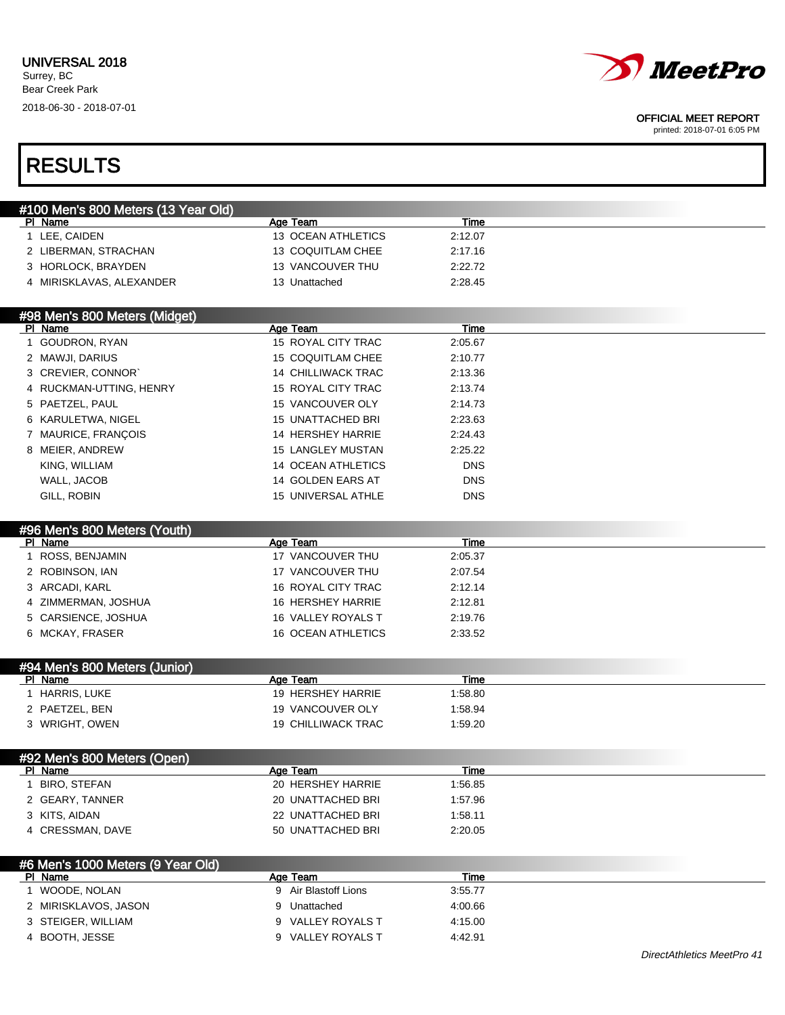

printed: 2018-07-01 6:05 PM

# RESULTS

| #100 Men's 800 Meters (13 Year Old) |                    |         |  |  |  |
|-------------------------------------|--------------------|---------|--|--|--|
| PI Name                             | Age Team           | Time    |  |  |  |
| LEE. CAIDEN                         | 13 OCEAN ATHLETICS | 2:12.07 |  |  |  |
| 2 LIBERMAN, STRACHAN                | 13 COQUITLAM CHEE  | 2:17.16 |  |  |  |
| 3 HORLOCK, BRAYDEN                  | 13 VANCOUVER THU   | 2:22.72 |  |  |  |
| 4 MIRISKLAVAS, ALEXANDER            | 13 Unattached      | 2:28.45 |  |  |  |

| #98 Men's 800 Meters (Midget) |                    |            |  |  |
|-------------------------------|--------------------|------------|--|--|
| PI Name                       | Age Team           | Time       |  |  |
| GOUDRON, RYAN                 | 15 ROYAL CITY TRAC | 2:05.67    |  |  |
| 2 MAWJI, DARIUS               | 15 COQUITLAM CHEE  | 2:10.77    |  |  |
| 3 CREVIER, CONNOR`            | 14 CHILLIWACK TRAC | 2:13.36    |  |  |
| 4 RUCKMAN-UTTING, HENRY       | 15 ROYAL CITY TRAC | 2:13.74    |  |  |
| 5 PAETZEL, PAUL               | 15 VANCOUVER OLY   | 2:14.73    |  |  |
| 6 KARULETWA, NIGEL            | 15 UNATTACHED BRI  | 2:23.63    |  |  |
| 7 MAURICE, FRANCOIS           | 14 HERSHEY HARRIE  | 2.24.43    |  |  |
| 8 MEIER, ANDREW               | 15 LANGLEY MUSTAN  | 2:25.22    |  |  |
| KING, WILLIAM                 | 14 OCEAN ATHLETICS | <b>DNS</b> |  |  |
| WALL, JACOB                   | 14 GOLDEN EARS AT  | <b>DNS</b> |  |  |
| GILL, ROBIN                   | 15 UNIVERSAL ATHLE | <b>DNS</b> |  |  |

| #96 Men's 800 Meters (Youth) |                    |         |  |
|------------------------------|--------------------|---------|--|
| PI Name                      | Age Team           | Time    |  |
| ROSS, BENJAMIN               | 17 VANCOUVER THU   | 2:05.37 |  |
| 2 ROBINSON, IAN              | 17 VANCOUVER THU   | 2:07.54 |  |
| 3 ARCADI, KARL               | 16 ROYAL CITY TRAC | 2:12.14 |  |
| 4 ZIMMERMAN, JOSHUA          | 16 HERSHEY HARRIE  | 2:12.81 |  |
| 5 CARSIENCE, JOSHUA          | 16 VALLEY ROYALS T | 2:19.76 |  |
| 6 MCKAY, FRASER              | 16 OCEAN ATHLETICS | 2:33.52 |  |

### #94 Men's 800 Meters (Junior)

| Name<br>DІ     | Age Team           | Time    |  |
|----------------|--------------------|---------|--|
| HARRIS, LUKE   | 19 HERSHEY HARRIE  | 1:58.80 |  |
| 2 PAETZEL, BEN | 19 VANCOUVER OLY   | 1:58.94 |  |
| 3 WRIGHT, OWEN | 19 CHILLIWACK TRAC | 1:59.20 |  |

| #92 Men's 800 Meters (Open) |                   |         |  |
|-----------------------------|-------------------|---------|--|
| PI Name                     | Age Team          | Time    |  |
| BIRO, STEFAN                | 20 HERSHEY HARRIE | 1:56.85 |  |
| 2 GEARY TANNER              | 20 UNATTACHED BRI | 1:57.96 |  |
| 3 KITS, AIDAN               | 22 UNATTACHED BRI | 1:58.11 |  |
| 4 CRESSMAN, DAVE            | 50 UNATTACHED BRI | 2:20.05 |  |

| #6 Men's 1000 Meters (9 Year Old) |                      |             |  |  |
|-----------------------------------|----------------------|-------------|--|--|
| PI.<br>Name                       | Age Team             | <b>Time</b> |  |  |
| WOODE, NOLAN                      | 9 Air Blastoff Lions | 3:55.77     |  |  |
| 2 MIRISKLAVOS, JASON              | Unattached<br>9.     | 4:00.66     |  |  |
| 3 STEIGER, WILLIAM                | 9 VALLEY ROYALS T    | 4:15.00     |  |  |
| 4 BOOTH, JESSE                    | 9 VALLEY ROYALS T    | 4:42.91     |  |  |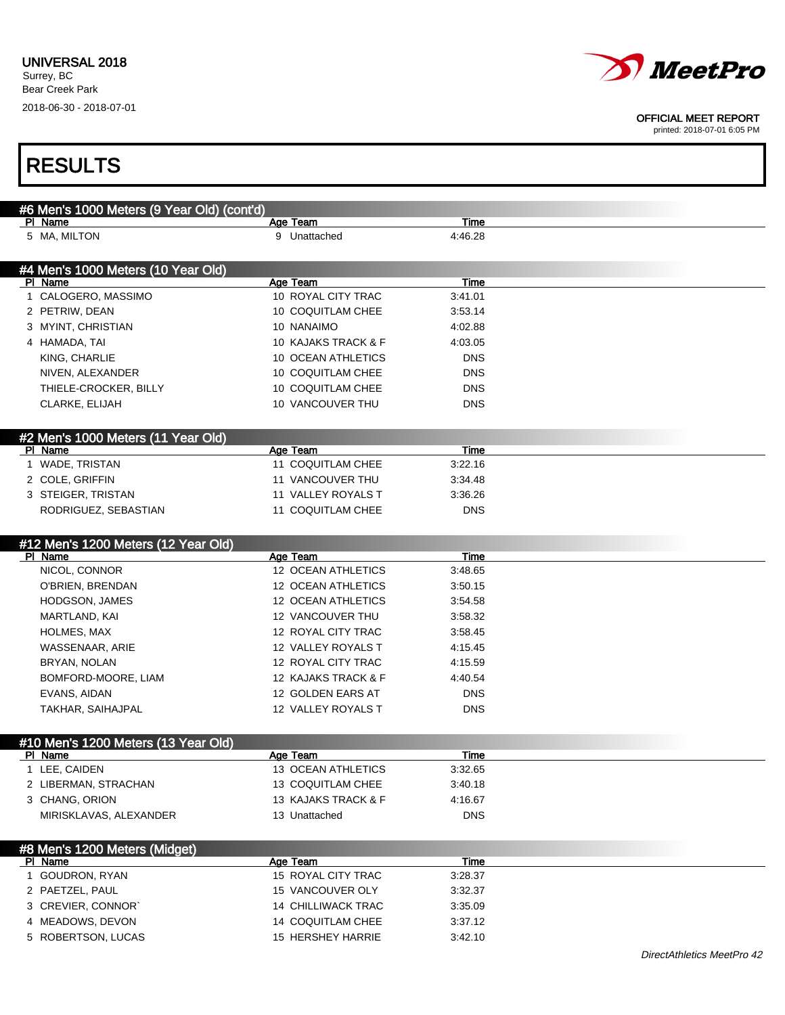

| <b>RESULTS</b>                             |                                           |                       |  |
|--------------------------------------------|-------------------------------------------|-----------------------|--|
| #6 Men's 1000 Meters (9 Year Old) (cont'd) |                                           |                       |  |
| PI Name                                    | Age Team                                  | Time                  |  |
| 5 MA, MILTON                               | 9 Unattached                              | 4:46.28               |  |
| #4 Men's 1000 Meters (10 Year Old)         |                                           |                       |  |
| PI Name<br>1 CALOGERO, MASSIMO             | Age Team<br>10 ROYAL CITY TRAC            | Time<br>3:41.01       |  |
| 2 PETRIW, DEAN                             | 10 COQUITLAM CHEE                         | 3:53.14               |  |
| 3 MYINT, CHRISTIAN                         | 10 NANAIMO                                | 4:02.88               |  |
| 4 HAMADA, TAI                              | 10 KAJAKS TRACK & F                       | 4:03.05               |  |
| KING, CHARLIE                              | 10 OCEAN ATHLETICS                        | <b>DNS</b>            |  |
| NIVEN, ALEXANDER                           | 10 COQUITLAM CHEE                         | <b>DNS</b>            |  |
| THIELE-CROCKER, BILLY                      | 10 COQUITLAM CHEE                         | <b>DNS</b>            |  |
| CLARKE, ELIJAH                             | 10 VANCOUVER THU                          | <b>DNS</b>            |  |
|                                            |                                           |                       |  |
| #2 Men's 1000 Meters (11 Year Old)         |                                           |                       |  |
| PI Name<br>1 WADE, TRISTAN                 | Age Team<br>11 COQUITLAM CHEE             | Time<br>3:22.16       |  |
| 2 COLE, GRIFFIN                            | 11 VANCOUVER THU                          | 3:34.48               |  |
| 3 STEIGER, TRISTAN                         | 11 VALLEY ROYALS T                        | 3:36.26               |  |
| RODRIGUEZ, SEBASTIAN                       | 11 COQUITLAM CHEE                         | <b>DNS</b>            |  |
|                                            |                                           |                       |  |
| #12 Men's 1200 Meters (12 Year Old)        |                                           |                       |  |
| PI Name                                    | Age Team                                  | Time                  |  |
| NICOL, CONNOR                              | 12 OCEAN ATHLETICS                        | 3:48.65               |  |
| O'BRIEN, BRENDAN                           | 12 OCEAN ATHLETICS                        | 3:50.15               |  |
| HODGSON, JAMES                             | 12 OCEAN ATHLETICS                        | 3:54.58               |  |
| MARTLAND, KAI                              | 12 VANCOUVER THU                          | 3:58.32               |  |
| HOLMES, MAX                                | 12 ROYAL CITY TRAC                        | 3:58.45               |  |
| WASSENAAR, ARIE                            | 12 VALLEY ROYALS T                        | 4:15.45               |  |
| BRYAN, NOLAN<br>BOMFORD-MOORE, LIAM        | 12 ROYAL CITY TRAC<br>12 KAJAKS TRACK & F | 4:15.59               |  |
| EVANS, AIDAN                               | 12 GOLDEN EARS AT                         | 4:40.54<br><b>DNS</b> |  |
| TAKHAR, SAIHAJPAL                          | 12 VALLEY ROYALS T                        | <b>DNS</b>            |  |
|                                            |                                           |                       |  |
| #10 Men's 1200 Meters (13 Year Old)        |                                           |                       |  |
| PI Name                                    | Age Team                                  | Time                  |  |
| 1 LEE, CAIDEN                              | 13 OCEAN ATHLETICS                        | 3:32.65               |  |
| 2 LIBERMAN, STRACHAN                       | 13 COQUITLAM CHEE                         | 3:40.18               |  |
| 3 CHANG, ORION                             | 13 KAJAKS TRACK & F                       | 4:16.67               |  |
| MIRISKLAVAS, ALEXANDER                     | 13 Unattached                             | <b>DNS</b>            |  |
| #8 Men's 1200 Meters (Midget)              |                                           |                       |  |
| PI Name                                    | Age Team                                  | Time                  |  |
| 1 GOUDRON, RYAN                            | 15 ROYAL CITY TRAC                        | 3:28.37               |  |
| 2 PAETZEL, PAUL                            |                                           |                       |  |
|                                            | 15 VANCOUVER OLY                          | 3:32.37               |  |
| 3 CREVIER, CONNOR`                         | <b>14 CHILLIWACK TRAC</b>                 | 3:35.09               |  |
| 4 MEADOWS, DEVON<br>5 ROBERTSON, LUCAS     | 14 COQUITLAM CHEE<br>15 HERSHEY HARRIE    | 3:37.12<br>3:42.10    |  |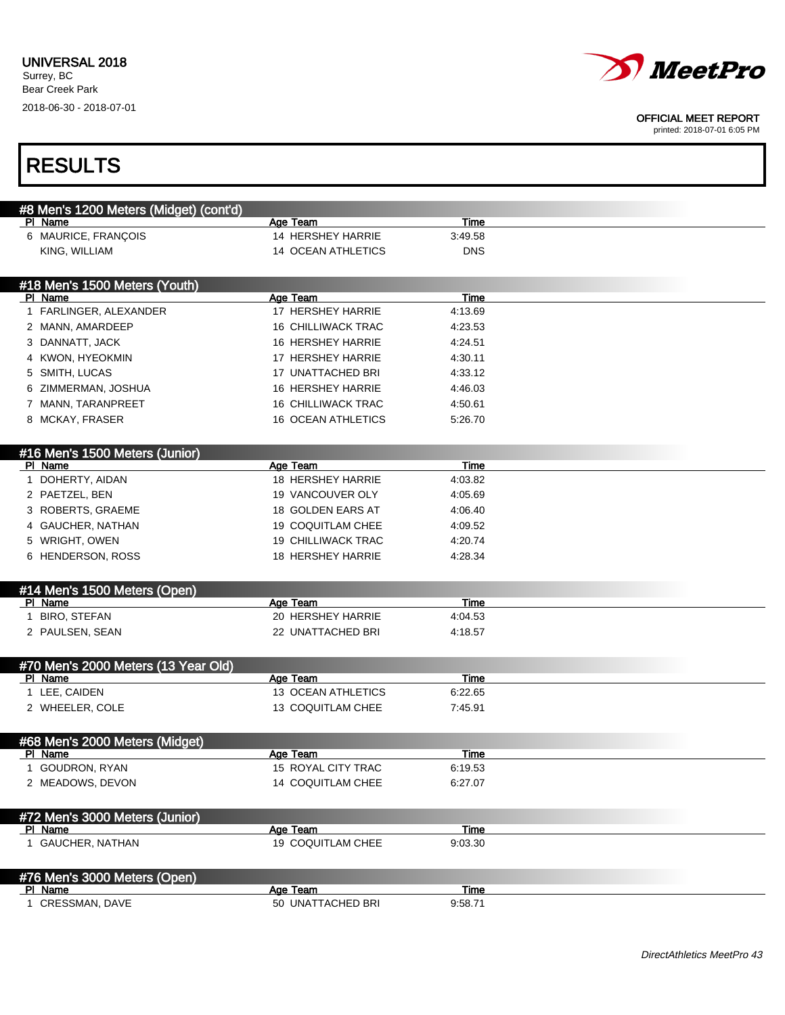

printed: 2018-07-01 6:05 PM

# RESULTS

| #8 Men's 1200 Meters (Midget) (cont'd)    |                               |             |  |
|-------------------------------------------|-------------------------------|-------------|--|
| PI Name                                   | Age Team                      | <b>Time</b> |  |
| 6 MAURICE, FRANÇOIS                       | 14 HERSHEY HARRIE             | 3:49.58     |  |
| KING, WILLIAM                             | <b>14 OCEAN ATHLETICS</b>     | <b>DNS</b>  |  |
|                                           |                               |             |  |
| #18 Men's 1500 Meters (Youth)             |                               |             |  |
| PI Name                                   | Age Team                      | Time        |  |
| 1 FARLINGER, ALEXANDER                    | 17 HERSHEY HARRIE             | 4:13.69     |  |
| 2 MANN, AMARDEEP                          | <b>16 CHILLIWACK TRAC</b>     | 4:23.53     |  |
| 3 DANNATT, JACK                           | 16 HERSHEY HARRIE             | 4:24.51     |  |
| 4 KWON, HYEOKMIN                          | 17 HERSHEY HARRIE             | 4:30.11     |  |
| 5 SMITH, LUCAS                            | 17 UNATTACHED BRI             | 4:33.12     |  |
| 6 ZIMMERMAN, JOSHUA                       | 16 HERSHEY HARRIE             | 4:46.03     |  |
| 7 MANN, TARANPREET                        | <b>16 CHILLIWACK TRAC</b>     | 4:50.61     |  |
| 8 MCKAY, FRASER                           | 16 OCEAN ATHLETICS            | 5:26.70     |  |
|                                           |                               |             |  |
| #16 Men's 1500 Meters (Junior)            |                               |             |  |
| PI Name                                   | Age Team                      | Time        |  |
| 1 DOHERTY, AIDAN                          | <b>18 HERSHEY HARRIE</b>      | 4:03.82     |  |
| 2 PAETZEL, BEN                            | 19 VANCOUVER OLY              | 4:05.69     |  |
| 3 ROBERTS, GRAEME                         | 18 GOLDEN EARS AT             | 4:06.40     |  |
| 4 GAUCHER, NATHAN                         | 19 COQUITLAM CHEE             | 4:09.52     |  |
| 5 WRIGHT, OWEN                            | <b>19 CHILLIWACK TRAC</b>     | 4:20.74     |  |
| 6 HENDERSON, ROSS                         | <b>18 HERSHEY HARRIE</b>      | 4:28.34     |  |
|                                           |                               |             |  |
| #14 Men's 1500 Meters (Open)              |                               |             |  |
| PI Name                                   | Age Team                      | Time        |  |
| 1 BIRO, STEFAN                            | 20 HERSHEY HARRIE             | 4:04.53     |  |
| 2 PAULSEN, SEAN                           | 22 UNATTACHED BRI             | 4:18.57     |  |
|                                           |                               |             |  |
| #70 Men's 2000 Meters (13 Year Old)       |                               |             |  |
| PI Name                                   | Age Team                      | Time        |  |
| 1 LEE, CAIDEN                             | 13 OCEAN ATHLETICS            | 6:22.65     |  |
| 2 WHEELER, COLE                           | 13 COQUITLAM CHEE             | 7:45.91     |  |
|                                           |                               |             |  |
| #68 Men's 2000 Meters (Midget)            |                               |             |  |
| PI Name                                   | Age Team                      | Time        |  |
| 1 GOUDRON, RYAN                           | 15 ROYAL CITY TRAC            | 6:19.53     |  |
| 2 MEADOWS, DEVON                          | 14 COQUITLAM CHEE             | 6:27.07     |  |
|                                           |                               |             |  |
|                                           |                               |             |  |
|                                           |                               |             |  |
| #72 Men's 3000 Meters (Junior)<br>PI Name |                               | Time        |  |
| 1 GAUCHER, NATHAN                         | Age Team<br>19 COQUITLAM CHEE | 9:03.30     |  |
|                                           |                               |             |  |
|                                           |                               |             |  |
| #76 Men's 3000 Meters (Open)<br>PI Name   | Age Team                      | Time        |  |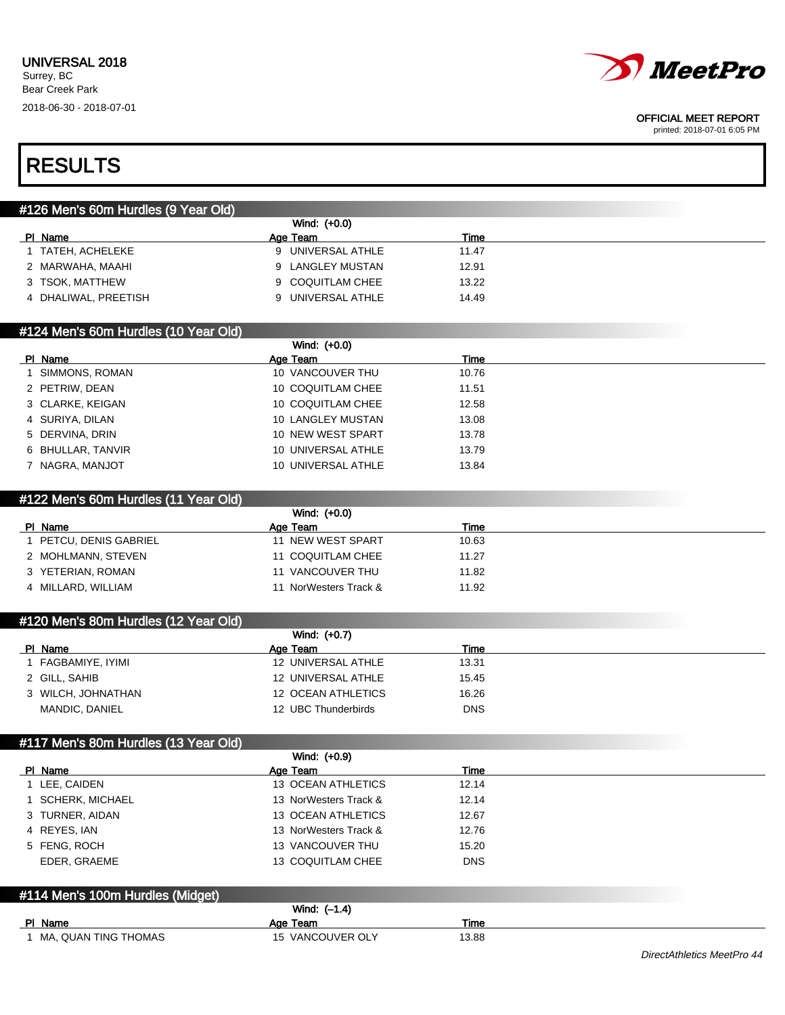

printed: 2018-07-01 6:05 PM

## RESULTS

### #126 Men's 60m Hurdles (9 Year Old)

|                      | Wind: (+0.0)      |       |
|----------------------|-------------------|-------|
| PI Name              | Age Team          | Time  |
| 1 TATEH, ACHELEKE    | 9 UNIVERSAL ATHLE | 11.47 |
| 2 MARWAHA, MAAHI     | 9 LANGLEY MUSTAN  | 12.91 |
| 3 TSOK, MATTHEW      | 9 COQUITLAM CHEE  | 13.22 |
| 4 DHALIWAL, PREETISH | 9 UNIVERSAL ATHLE | 14.49 |

### #124 Men's 60m Hurdles (10 Year Old)

|                   | Wind: (+0.0)       |       |  |
|-------------------|--------------------|-------|--|
| PI Name           | Age Team           | Time  |  |
| SIMMONS, ROMAN    | 10 VANCOUVER THU   | 10.76 |  |
| 2 PETRIW, DEAN    | 10 COQUITLAM CHEE  | 11.51 |  |
| 3 CLARKE, KEIGAN  | 10 COQUITLAM CHEE  | 12.58 |  |
| 4 SURIYA, DILAN   | 10 LANGLEY MUSTAN  | 13.08 |  |
| 5 DERVINA, DRIN   | 10 NEW WEST SPART  | 13.78 |  |
| 6 BHULLAR, TANVIR | 10 UNIVERSAL ATHLE | 13.79 |  |
| 7 NAGRA, MANJOT   | 10 UNIVERSAL ATHLE | 13.84 |  |

### #122 Men's 60m Hurdles (11 Year Old)

|                      | Wind: (+0.0)          |       |  |
|----------------------|-----------------------|-------|--|
| PI.<br>Name          | Age Team              | Time  |  |
| PETCU, DENIS GABRIEL | 11 NEW WEST SPART     | 10.63 |  |
| 2 MOHLMANN, STEVEN   | 11 COQUITLAM CHEE     | 11.27 |  |
| 3 YETERIAN, ROMAN    | 11 VANCOUVER THU      | 11.82 |  |
| 4 MILLARD, WILLIAM   | 11 NorWesters Track & | 11.92 |  |

### #120 Men's 80m Hurdles (12 Year Old)

|                    | Wind: (+0.7)        |            |  |
|--------------------|---------------------|------------|--|
| PI Name            | Age Team            | Time       |  |
| FAGBAMIYE, IYIMI   | 12 UNIVERSAL ATHLE  | 13.31      |  |
| 2 GILL, SAHIB      | 12 UNIVERSAL ATHLE  | 15.45      |  |
| 3 WILCH, JOHNATHAN | 12 OCEAN ATHLETICS  | 16.26      |  |
| MANDIC, DANIEL     | 12 UBC Thunderbirds | <b>DNS</b> |  |

### #117 Men's 80m Hurdles (13 Year Old)

|                 | Wind: (+0.9)          |             |  |
|-----------------|-----------------------|-------------|--|
| PI Name         | Age Team              | <b>Time</b> |  |
| 1 LEE, CAIDEN   | 13 OCEAN ATHLETICS    | 12.14       |  |
| SCHERK, MICHAEL | 13 NorWesters Track & | 12.14       |  |
| 3 TURNER, AIDAN | 13 OCEAN ATHLETICS    | 12.67       |  |
| 4 REYES, IAN    | 13 NorWesters Track & | 12.76       |  |
| 5 FENG, ROCH    | 13 VANCOUVER THU      | 15.20       |  |
| EDER, GRAEME    | 13 COQUITLAM CHEE     | <b>DNS</b>  |  |
|                 |                       |             |  |

### #114 Men's 100m Hurdles (Midget)

|                        | Wind: (-1.4)     |       |  |
|------------------------|------------------|-------|--|
| PI Name                | Age Team         | Time  |  |
| 1 MA, QUAN TING THOMAS | 15 VANCOUVER OLY | 13.88 |  |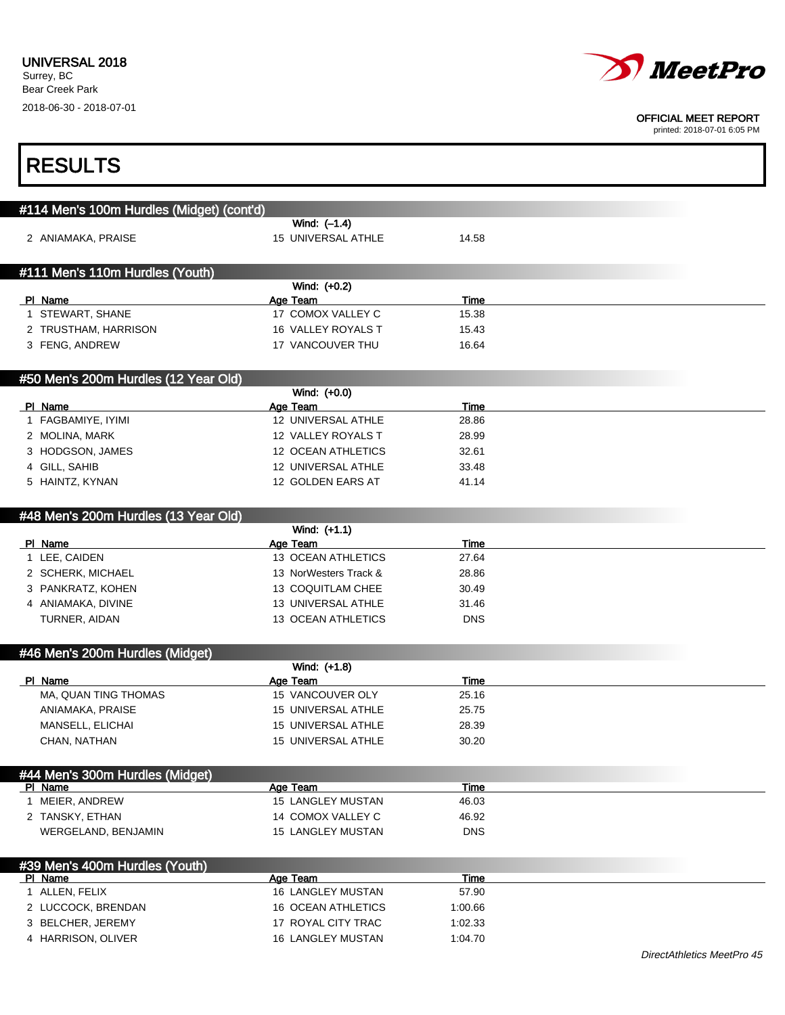

| <b>RESULTS</b>                            |                                        |                |  |
|-------------------------------------------|----------------------------------------|----------------|--|
| #114 Men's 100m Hurdles (Midget) (cont'd) |                                        |                |  |
|                                           | Wind: $(-1.4)$                         |                |  |
| 2 ANIAMAKA, PRAISE                        | 15 UNIVERSAL ATHLE                     | 14.58          |  |
| #111 Men's 110m Hurdles (Youth)           |                                        |                |  |
|                                           | Wind: (+0.2)                           |                |  |
| PI Name                                   | Age Team                               | <b>Time</b>    |  |
| 1 STEWART, SHANE                          | 17 COMOX VALLEY C                      | 15.38          |  |
| 2 TRUSTHAM, HARRISON                      | 16 VALLEY ROYALS T                     | 15.43          |  |
| 3 FENG, ANDREW                            | 17 VANCOUVER THU                       | 16.64          |  |
| #50 Men's 200m Hurdles (12 Year Old)      |                                        |                |  |
|                                           | Wind: (+0.0)                           |                |  |
| PI Name<br>1 FAGBAMIYE, IYIMI             | Age Team<br>12 UNIVERSAL ATHLE         | Time<br>28.86  |  |
| 2 MOLINA, MARK                            | 12 VALLEY ROYALS T                     | 28.99          |  |
| 3 HODGSON, JAMES                          | <b>12 OCEAN ATHLETICS</b>              | 32.61          |  |
| 4 GILL, SAHIB                             | 12 UNIVERSAL ATHLE                     | 33.48          |  |
| 5 HAINTZ, KYNAN                           | 12 GOLDEN EARS AT                      | 41.14          |  |
|                                           |                                        |                |  |
| #48 Men's 200m Hurdles (13 Year Old)      | Wind: (+1.1)                           |                |  |
| PI Name                                   | Age Team                               | Time           |  |
| 1 LEE, CAIDEN                             | 13 OCEAN ATHLETICS                     | 27.64          |  |
| 2 SCHERK, MICHAEL                         | 13 NorWesters Track &                  | 28.86          |  |
| 3 PANKRATZ, KOHEN                         | 13 COQUITLAM CHEE                      | 30.49          |  |
| 4 ANIAMAKA, DIVINE                        | 13 UNIVERSAL ATHLE                     | 31.46          |  |
| TURNER, AIDAN                             | 13 OCEAN ATHLETICS                     | <b>DNS</b>     |  |
| #46 Men's 200m Hurdles (Midget)           |                                        |                |  |
|                                           | Wind: (+1.8)                           |                |  |
| PI Name                                   | Age Team                               | Time           |  |
| MA, QUAN TING THOMAS                      | 15 VANCOUVER OLY                       | 25.16          |  |
| ANIAMAKA, PRAISE                          | 15 UNIVERSAL ATHLE                     | 25.75          |  |
| MANSELL, ELICHAI                          | 15 UNIVERSAL ATHLE                     | 28.39          |  |
| CHAN, NATHAN                              | 15 UNIVERSAL ATHLE                     | 30.20          |  |
| #44 Men's 300m Hurdles (Midget)           |                                        |                |  |
| PI Name<br>1 MEIER, ANDREW                | Age Team                               | Time           |  |
|                                           | 15 LANGLEY MUSTAN<br>14 COMOX VALLEY C | 46.03<br>46.92 |  |
| 2 TANSKY, ETHAN<br>WERGELAND, BENJAMIN    | 15 LANGLEY MUSTAN                      | <b>DNS</b>     |  |
|                                           |                                        |                |  |
| #39 Men's 400m Hurdles (Youth)<br>PI Name | Age Team                               | <b>Time</b>    |  |
| 1 ALLEN, FELIX                            | 16 LANGLEY MUSTAN                      | 57.90          |  |
| 2 LUCCOCK, BRENDAN                        | 16 OCEAN ATHLETICS                     | 1:00.66        |  |
| 3 BELCHER, JEREMY                         | 17 ROYAL CITY TRAC                     | 1:02.33        |  |
| 4 HARRISON, OLIVER                        | 16 LANGLEY MUSTAN                      | 1:04.70        |  |
|                                           |                                        |                |  |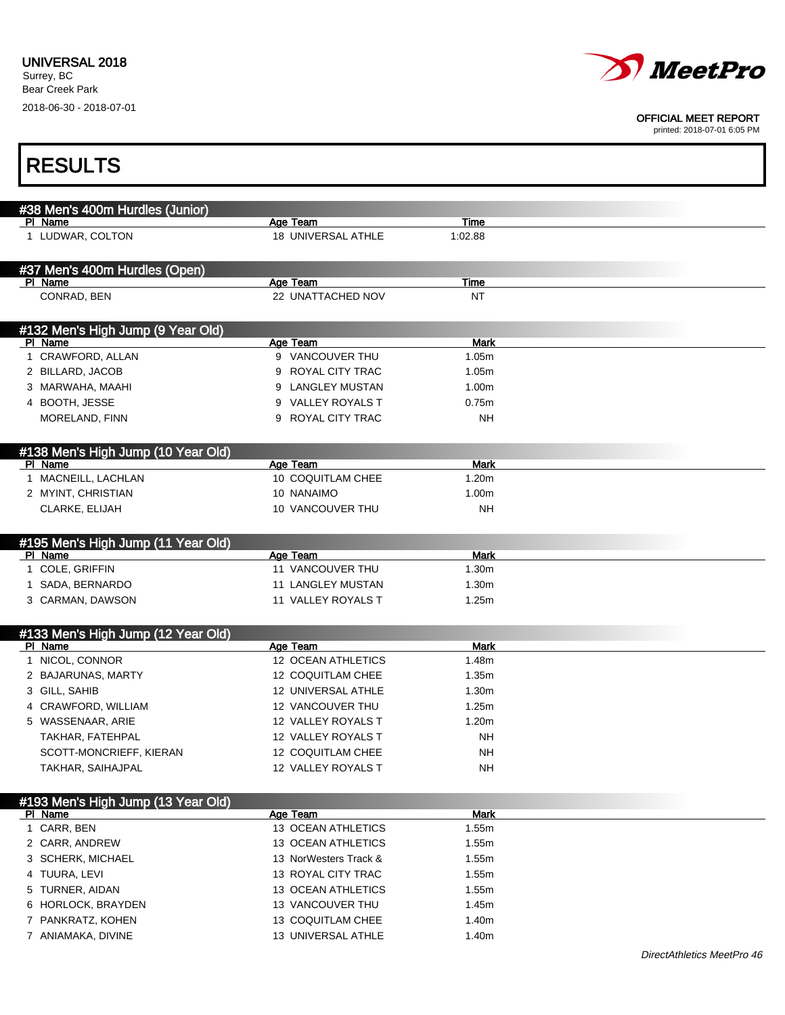

| <b>RESULTS</b>                                |                                         |                   |                            |
|-----------------------------------------------|-----------------------------------------|-------------------|----------------------------|
| #38 Men's 400m Hurdles (Junior)               |                                         |                   |                            |
| PI Name                                       | Age Team                                | Time              |                            |
| 1 LUDWAR, COLTON                              | 18 UNIVERSAL ATHLE                      | 1:02.88           |                            |
| #37 Men's 400m Hurdles (Open)                 |                                         |                   |                            |
| PI Name                                       | Age Team<br>22 UNATTACHED NOV           | Time              |                            |
| CONRAD, BEN                                   |                                         | <b>NT</b>         |                            |
| #132 Men's High Jump (9 Year Old)             |                                         |                   |                            |
| PI Name<br>1 CRAWFORD, ALLAN                  | Age Team<br>9 VANCOUVER THU             | Mark<br>1.05m     |                            |
| 2 BILLARD, JACOB                              | 9 ROYAL CITY TRAC                       | 1.05m             |                            |
| 3 MARWAHA, MAAHI                              | 9 LANGLEY MUSTAN                        | 1.00 <sub>m</sub> |                            |
| 4 BOOTH, JESSE                                | 9 VALLEY ROYALS T                       | 0.75m             |                            |
| MORELAND, FINN                                | 9 ROYAL CITY TRAC                       | NΗ                |                            |
|                                               |                                         |                   |                            |
| #138 Men's High Jump (10 Year Old)<br>PI Name | Age Team                                | <b>Mark</b>       |                            |
| 1 MACNEILL, LACHLAN                           | 10 COQUITLAM CHEE                       | 1.20m             |                            |
| 2 MYINT, CHRISTIAN                            | 10 NANAIMO                              | 1.00m             |                            |
| CLARKE, ELIJAH                                | 10 VANCOUVER THU                        | <b>NH</b>         |                            |
| #195 Men's High Jump (11 Year Old)            |                                         |                   |                            |
| PI Name                                       | Age Team                                | <b>Mark</b>       |                            |
| 1 COLE, GRIFFIN                               | 11 VANCOUVER THU                        | 1.30m             |                            |
| 1 SADA, BERNARDO                              | 11 LANGLEY MUSTAN                       | 1.30 <sub>m</sub> |                            |
| 3 CARMAN, DAWSON                              | 11 VALLEY ROYALS T                      | 1.25m             |                            |
| #133 Men's High Jump (12 Year Old)            |                                         |                   |                            |
| PI Name                                       | <b>Age Team</b>                         | Mark              |                            |
| 1 NICOL, CONNOR                               | 12 OCEAN ATHLETICS                      | 1.48m             |                            |
| 2 BAJARUNAS, MARTY                            | 12 COQUITLAM CHEE                       | 1.35m             |                            |
| 3 GILL, SAHIB                                 | 12 UNIVERSAL ATHLE                      | 1.30m             |                            |
| 4 CRAWFORD, WILLIAM                           | 12 VANCOUVER THU                        | 1.25m             |                            |
| 5 WASSENAAR, ARIE                             | 12 VALLEY ROYALS T                      | 1.20m             |                            |
| TAKHAR, FATEHPAL                              | 12 VALLEY ROYALS T                      | <b>NH</b>         |                            |
| SCOTT-MONCRIEFF, KIERAN                       | 12 COQUITLAM CHEE                       | <b>NH</b>         |                            |
| TAKHAR, SAIHAJPAL                             | 12 VALLEY ROYALS T                      | <b>NH</b>         |                            |
| #193 Men's High Jump (13 Year Old)            |                                         |                   |                            |
| PI Name<br>1 CARR, BEN                        | Age Team<br>13 OCEAN ATHLETICS          | Mark<br>1.55m     |                            |
|                                               | 13 OCEAN ATHLETICS                      |                   |                            |
| 2 CARR, ANDREW<br>3 SCHERK, MICHAEL           | 13 NorWesters Track &                   | 1.55m<br>1.55m    |                            |
|                                               | 13 ROYAL CITY TRAC                      |                   |                            |
| 4 TUURA, LEVI                                 | 13 OCEAN ATHLETICS                      | 1.55m             |                            |
| 5 TURNER, AIDAN                               | 13 VANCOUVER THU                        | 1.55m             |                            |
| 6 HORLOCK, BRAYDEN                            |                                         | 1.45m             |                            |
| 7 PANKRATZ, KOHEN                             | 13 COQUITLAM CHEE<br>13 UNIVERSAL ATHLE | 1.40m             |                            |
| 7 ANIAMAKA, DIVINE                            |                                         | 1.40m             |                            |
|                                               |                                         |                   | DirectAthletics MeetPro 46 |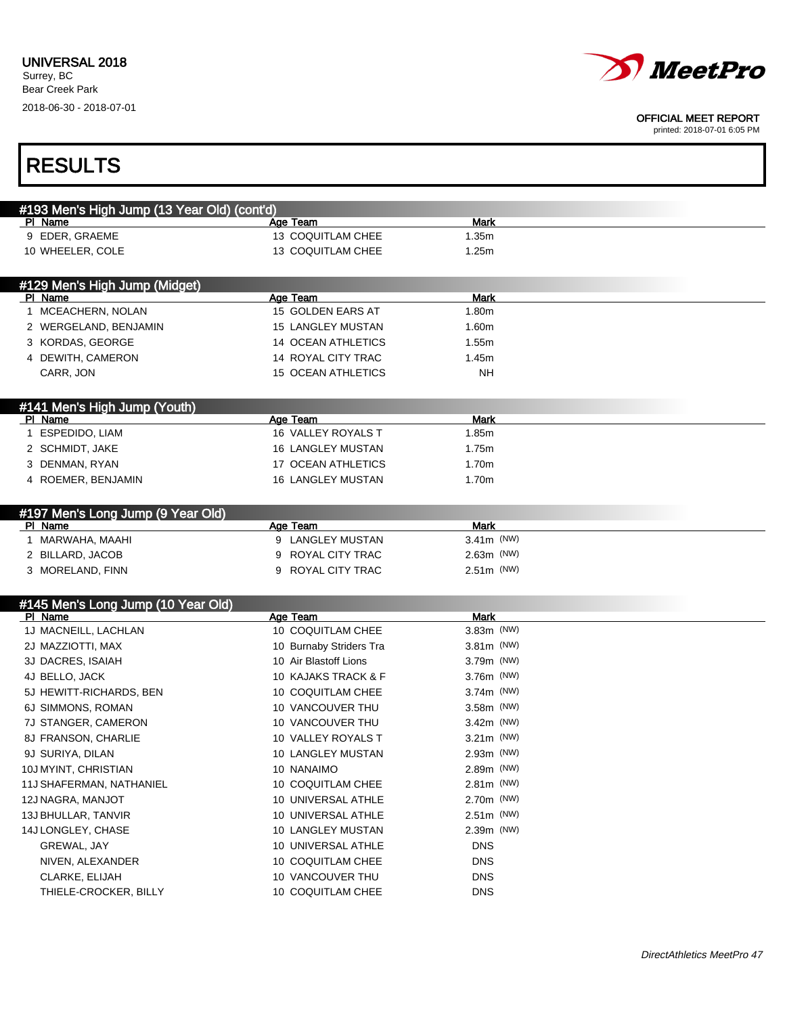

| <b>RESULTS</b>                                         |                              |                             |  |
|--------------------------------------------------------|------------------------------|-----------------------------|--|
|                                                        |                              |                             |  |
| #193 Men's High Jump (13 Year Old) (cont'd)<br>PI Name | Age Team                     | <b>Mark</b>                 |  |
| 9 EDER, GRAEME                                         | 13 COQUITLAM CHEE            | 1.35m                       |  |
| 10 WHEELER, COLE                                       | 13 COQUITLAM CHEE            | 1.25m                       |  |
|                                                        |                              |                             |  |
| #129 Men's High Jump (Midget)                          |                              |                             |  |
| PI Name                                                | Age Team                     | <b>Mark</b>                 |  |
| 1 MCEACHERN, NOLAN                                     | 15 GOLDEN EARS AT            | 1.80m                       |  |
| 2 WERGELAND, BENJAMIN                                  | <b>15 LANGLEY MUSTAN</b>     | 1.60m                       |  |
| 3 KORDAS, GEORGE                                       | 14 OCEAN ATHLETICS           | 1.55m                       |  |
| 4 DEWITH, CAMERON                                      | 14 ROYAL CITY TRAC           | 1.45m                       |  |
| CARR, JON                                              | 15 OCEAN ATHLETICS           | <b>NH</b>                   |  |
| #141 Men's High Jump (Youth)                           |                              |                             |  |
| PI Name                                                | Age Team                     | Mark                        |  |
| 1 ESPEDIDO, LIAM                                       | 16 VALLEY ROYALS T           | 1.85m                       |  |
| 2 SCHMIDT, JAKE                                        | <b>16 LANGLEY MUSTAN</b>     | 1.75m                       |  |
| 3 DENMAN, RYAN                                         | 17 OCEAN ATHLETICS           | 1.70m                       |  |
| 4 ROEMER, BENJAMIN                                     | <b>16 LANGLEY MUSTAN</b>     | 1.70m                       |  |
|                                                        |                              |                             |  |
| #197 Men's Long Jump (9 Year Old)                      |                              |                             |  |
| PI Name<br>1 MARWAHA, MAAHI                            | Age Team<br>9 LANGLEY MUSTAN | <b>Mark</b><br>$3.41m$ (NW) |  |
| 2 BILLARD, JACOB                                       | ROYAL CITY TRAC<br>9         | $2.63m$ (NW)                |  |
| 3 MORELAND, FINN                                       | ROYAL CITY TRAC<br>9         | $2.51m$ (NW)                |  |
|                                                        |                              |                             |  |
| #145 Men's Long Jump (10 Year Old)                     |                              |                             |  |
| PI_Name                                                | Age Team                     | <b>Mark</b>                 |  |
| 1J MACNEILL, LACHLAN                                   | 10 COQUITLAM CHEE            | $3.83m$ (NW)                |  |
| 2J MAZZIOTTI, MAX                                      | 10 Burnaby Striders Tra      | $3.81m$ (NW)                |  |
| 3J DACRES, ISAIAH                                      | 10 Air Blastoff Lions        | 3.79m (NW)                  |  |
| 4J BELLO, JACK                                         | 10 KAJAKS TRACK & F          | 3.76m (NW)                  |  |
| 5J HEWITT-RICHARDS, BEN                                | 10 COQUITLAM CHEE            | 3.74m (NW)                  |  |
| 6J SIMMONS, ROMAN                                      | 10 VANCOUVER THU             | 3.58m (NW)                  |  |
| 7J STANGER, CAMERON                                    | 10 VANCOUVER THU             | 3.42m (NW)                  |  |
| 8J FRANSON, CHARLIE                                    | 10 VALLEY ROYALS T           | $3.21m$ (NW)                |  |
| 9J SURIYA, DILAN                                       | 10 LANGLEY MUSTAN            | 2.93m (NW)                  |  |
| 10J MYINT, CHRISTIAN                                   | 10 NANAIMO                   | 2.89m (NW)                  |  |
| 11J SHAFERMAN, NATHANIEL                               | 10 COQUITLAM CHEE            | $2.81m$ (NW)                |  |
| 12J NAGRA, MANJOT                                      | 10 UNIVERSAL ATHLE           | 2.70m (NW)                  |  |
| 13J BHULLAR, TANVIR                                    | 10 UNIVERSAL ATHLE           | $2.51m$ (NW)                |  |
| 14J LONGLEY, CHASE                                     | 10 LANGLEY MUSTAN            | $2.39m$ (NW)                |  |
| GREWAL, JAY                                            | 10 UNIVERSAL ATHLE           | DNS                         |  |
| NIVEN, ALEXANDER                                       | 10 COQUITLAM CHEE            | DNS                         |  |
| CLARKE, ELIJAH                                         | 10 VANCOUVER THU             | DNS                         |  |
| THIELE-CROCKER, BILLY                                  | 10 COQUITLAM CHEE            | DNS                         |  |
|                                                        |                              |                             |  |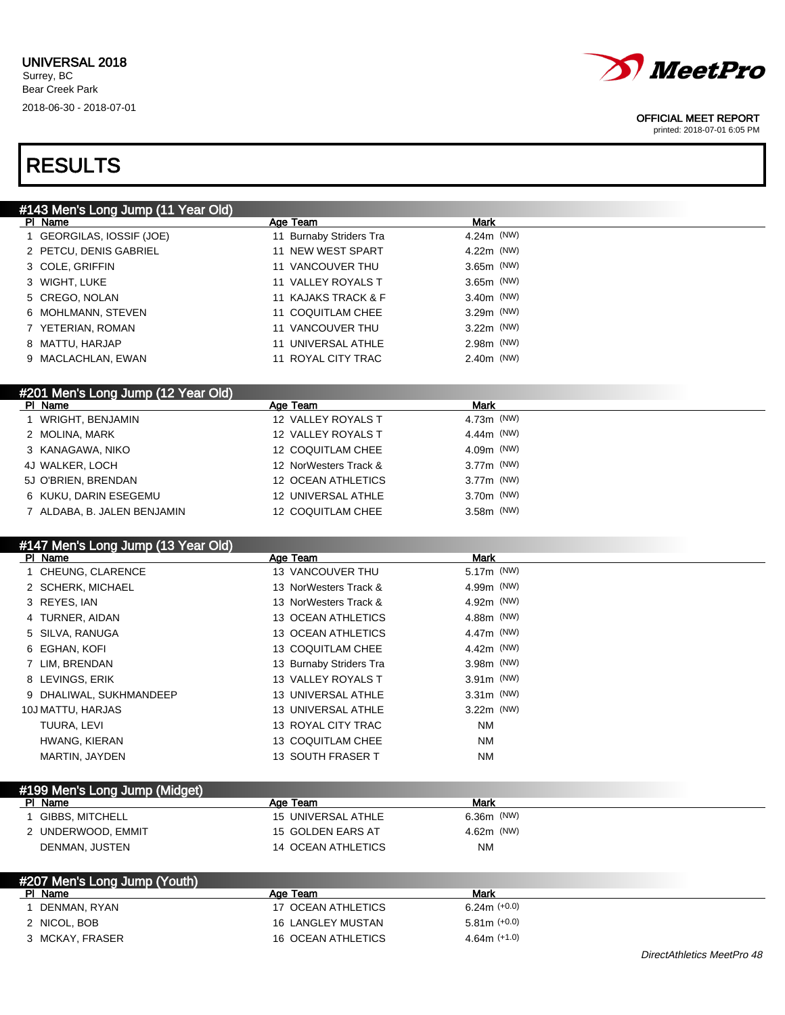

printed: 2018-07-01 6:05 PM

DirectAthletics MeetPro 48

# RESULTS

| #143 Men's Long Jump (11 Year Old) |                         |               |  |
|------------------------------------|-------------------------|---------------|--|
| PI Name                            | Age Team                | <b>Mark</b>   |  |
| 1 GEORGILAS, IOSSIF (JOE)          | 11 Burnaby Striders Tra | 4.24 $m$ (NW) |  |
| 2 PETCU, DENIS GABRIEL             | 11 NEW WEST SPART       | 4.22 $m$ (NW) |  |
| 3 COLE, GRIFFIN                    | 11 VANCOUVER THU        | $3.65m$ (NW)  |  |
| 3 WIGHT, LUKE                      | 11 VALLEY ROYALS T      | $3.65m$ (NW)  |  |
| 5 CREGO, NOLAN                     | 11 KAJAKS TRACK & F     | $3.40m$ (NW)  |  |
| 6 MOHLMANN, STEVEN                 | 11 COQUITLAM CHEE       | $3.29m$ (NW)  |  |
| 7 YETERIAN, ROMAN                  | 11 VANCOUVER THU        | $3.22m$ (NW)  |  |
| 8 MATTU, HARJAP                    | 11 UNIVERSAL ATHLE      | $2.98m$ (NW)  |  |
| 9 MACLACHLAN, EWAN                 | 11 ROYAL CITY TRAC      | $2.40m$ (NW)  |  |
|                                    |                         |               |  |

| #201 Men's Long Jump (12 Year Old) |  |
|------------------------------------|--|
|------------------------------------|--|

| PI Name                     | Age Team              | <b>Mark</b>   |  |
|-----------------------------|-----------------------|---------------|--|
| WRIGHT, BENJAMIN            | 12 VALLEY ROYALS T    | 4.73 $m$ (NW) |  |
| 2 MOLINA, MARK              | 12 VALLEY ROYALS T    | 4.44m (NW)    |  |
| 3 KANAGAWA, NIKO            | 12 COQUITLAM CHEE     | 4.09 $m$ (NW) |  |
| 4J WALKER, LOCH             | 12 NorWesters Track & | $3.77m$ (NW)  |  |
| 5J O'BRIEN, BRENDAN         | 12 OCEAN ATHLETICS    | $3.77m$ (NW)  |  |
| 6 KUKU, DARIN ESEGEMU       | 12 UNIVERSAL ATHLE    | $3.70m$ (NW)  |  |
| 7 ALDABA, B. JALEN BENJAMIN | 12 COQUITLAM CHEE     | $3.58m$ (NW)  |  |

### #147 Men's Long Jump (13 Year Old)

| PI Name                 | Age Team                | Mark         |
|-------------------------|-------------------------|--------------|
| 1 CHEUNG, CLARENCE      | 13 VANCOUVER THU        | 5.17m (NW)   |
| 2 SCHERK, MICHAEL       | 13 NorWesters Track &   | 4.99m (NW)   |
| 3 REYES, IAN            | 13 NorWesters Track &   | 4.92m (NW)   |
| 4 TURNER, AIDAN         | 13 OCEAN ATHLETICS      | 4.88m (NW)   |
| 5 SILVA, RANUGA         | 13 OCEAN ATHLETICS      | 4.47m (NW)   |
| 6 EGHAN, KOFI           | 13 COQUITLAM CHEE       | 4.42m (NW)   |
| 7 LIM, BRENDAN          | 13 Burnaby Striders Tra | $3.98m$ (NW) |
| 8 LEVINGS, ERIK         | 13 VALLEY ROYALS T      | $3.91m$ (NW) |
| 9 DHALIWAL, SUKHMANDEEP | 13 UNIVERSAL ATHLE      | $3.31m$ (NW) |
| 10J MATTU, HARJAS       | 13 UNIVERSAL ATHLE      | $3.22m$ (NW) |
| TUURA, LEVI             | 13 ROYAL CITY TRAC      | <b>NM</b>    |
| HWANG, KIERAN           | 13 COQUITLAM CHEE       | <b>NM</b>    |
| MARTIN, JAYDEN          | 13 SOUTH FRASER T       | <b>NM</b>    |

| #199 Men's Long Jump (Midget) |                    |              |  |
|-------------------------------|--------------------|--------------|--|
| PI Name                       | Age Team           | Mark         |  |
| GIBBS, MITCHELL               | 15 UNIVERSAL ATHLE | $6.36m$ (NW) |  |
| 2 UNDERWOOD, EMMIT            | 15 GOLDEN EARS AT  | 4.62m (NW)   |  |
| DENMAN, JUSTEN                | 14 OCEAN ATHLETICS | <b>NM</b>    |  |

| #207 Men's Long Jump (Youth) |                    |                |  |
|------------------------------|--------------------|----------------|--|
| PI Name                      | Age Team           | Mark           |  |
| DENMAN, RYAN                 | 17 OCEAN ATHLETICS | $6.24m (+0.0)$ |  |
| 2 NICOL, BOB                 | 16 LANGLEY MUSTAN  | $5.81m (+0.0)$ |  |
| 3 MCKAY, FRASER              | 16 OCEAN ATHLETICS | $4.64m (+1.0)$ |  |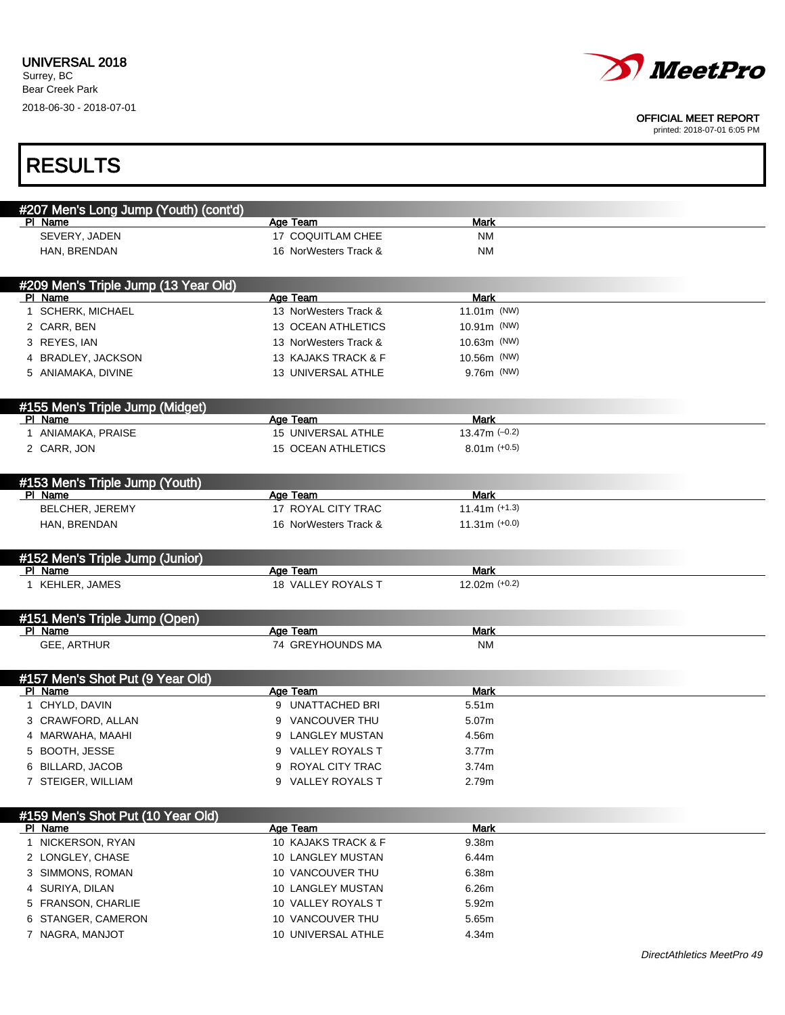

printed: 2018-07-01 6:05 PM

| <b>RESULTS</b>                           |                                |                         |  |
|------------------------------------------|--------------------------------|-------------------------|--|
| #207 Men's Long Jump (Youth) (cont'd)    |                                |                         |  |
| PI Name                                  | Age Team                       | Mark                    |  |
| SEVERY, JADEN                            | 17 COQUITLAM CHEE              | <b>NM</b>               |  |
| HAN, BRENDAN                             | 16 NorWesters Track &          | <b>NM</b>               |  |
|                                          |                                |                         |  |
| #209 Men's Triple Jump (13 Year Old)     |                                |                         |  |
| PI Name                                  | Age Team                       | Mark                    |  |
| 1 SCHERK, MICHAEL                        | 13 NorWesters Track &          | 11.01 $m$ (NW)          |  |
| 2 CARR, BEN                              | 13 OCEAN ATHLETICS             | 10.91m (NW)             |  |
| 3 REYES, IAN                             | 13 NorWesters Track &          | 10.63m (NW)             |  |
| 4 BRADLEY, JACKSON                       | 13 KAJAKS TRACK & F            | 10.56m (NW)             |  |
| 5 ANIAMAKA, DIVINE                       | 13 UNIVERSAL ATHLE             | $9.76m$ (NW)            |  |
| #155 Men's Triple Jump (Midget)          |                                |                         |  |
| PI Name                                  | Age Team                       | Mark                    |  |
| 1 ANIAMAKA, PRAISE                       | 15 UNIVERSAL ATHLE             | 13.47m $(-0.2)$         |  |
| 2 CARR, JON                              | <b>15 OCEAN ATHLETICS</b>      | $8.01m (+0.5)$          |  |
|                                          |                                |                         |  |
| #153 Men's Triple Jump (Youth)           |                                |                         |  |
| PI Name                                  | Age Team<br>17 ROYAL CITY TRAC | Mark<br>$11.41m (+1.3)$ |  |
| BELCHER, JEREMY<br>HAN, BRENDAN          | 16 NorWesters Track &          | $11.31m$ (+0.0)         |  |
|                                          |                                |                         |  |
| #152 Men's Triple Jump (Junior)          |                                |                         |  |
| PI Name                                  | Age Team                       | Mark                    |  |
| 1 KEHLER, JAMES                          | 18 VALLEY ROYALS T             | $12.02m$ (+0.2)         |  |
|                                          |                                |                         |  |
| #151 Men's Triple Jump (Open)<br>PI Name | Age Team                       | Mark                    |  |
| <b>GEE, ARTHUR</b>                       | 74 GREYHOUNDS MA               | <b>NM</b>               |  |
|                                          |                                |                         |  |
| #157 Men's Shot Put (9 Year Old)         |                                |                         |  |
| PI Name                                  | Age Team                       | <b>Mark</b>             |  |
| 1 CHYLD, DAVIN                           | 9 UNATTACHED BRI               | 5.51m                   |  |
| 3 CRAWFORD, ALLAN                        | 9 VANCOUVER THU                | 5.07m                   |  |
| 4 MARWAHA, MAAHI                         | 9 LANGLEY MUSTAN               | 4.56m                   |  |
| 5 BOOTH, JESSE                           | 9 VALLEY ROYALS T              | 3.77m                   |  |
| 6 BILLARD, JACOB                         | 9 ROYAL CITY TRAC              | 3.74m                   |  |
| 7 STEIGER, WILLIAM                       | 9 VALLEY ROYALS T              | 2.79m                   |  |
| #159 Men's Shot Put (10 Year Old)        |                                |                         |  |
| <b>PI</b> Name                           | Age Team                       | Mark                    |  |
| 1 NICKERSON, RYAN                        | 10 KAJAKS TRACK & F            | 9.38m                   |  |
| 2 LONGLEY, CHASE                         | 10 LANGLEY MUSTAN              | 6.44m                   |  |
| 3 SIMMONS, ROMAN                         | 10 VANCOUVER THU               | 6.38m                   |  |
| 4 SURIYA, DILAN                          | 10 LANGLEY MUSTAN              | 6.26m                   |  |
| 5 FRANSON, CHARLIE                       | 10 VALLEY ROYALS T             | 5.92m                   |  |
| 6 STANGER, CAMERON                       | 10 VANCOUVER THU               | 5.65m                   |  |

7 NAGRA, MANJOT 10 UNIVERSAL ATHLE 4.34m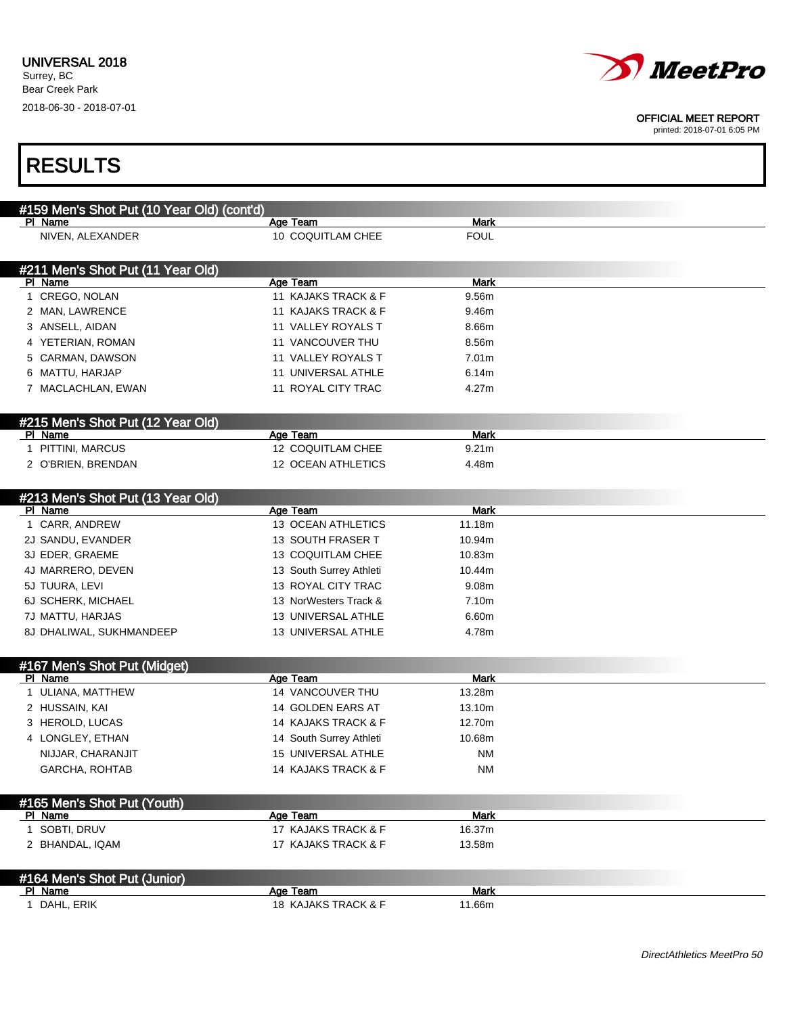

#### OFFICIAL MEET REPORT

| <b>RESULTS</b>                               |                                            |                           |  |
|----------------------------------------------|--------------------------------------------|---------------------------|--|
| #159 Men's Shot Put (10 Year Old) (cont'd)   |                                            |                           |  |
| PI Name                                      | Age Team                                   | <b>Mark</b>               |  |
| NIVEN, ALEXANDER                             | 10 COQUITLAM CHEE                          | <b>FOUL</b>               |  |
| #211 Men's Shot Put (11 Year Old)            |                                            |                           |  |
| PI Name                                      | Age Team<br>11 KAJAKS TRACK & F            | <b>Mark</b>               |  |
| 1 CREGO, NOLAN<br>2 MAN, LAWRENCE            |                                            | 9.56m                     |  |
|                                              | 11 KAJAKS TRACK & F                        | 9.46m                     |  |
| 3 ANSELL, AIDAN                              | 11 VALLEY ROYALS T                         | 8.66m<br>8.56m            |  |
| 4 YETERIAN, ROMAN                            | 11 VANCOUVER THU                           |                           |  |
| 5 CARMAN, DAWSON                             | 11 VALLEY ROYALS T                         | 7.01m                     |  |
| 6 MATTU, HARJAP                              | 11 UNIVERSAL ATHLE                         | 6.14m                     |  |
| 7 MACLACHLAN, EWAN                           | 11 ROYAL CITY TRAC                         | 4.27m                     |  |
| #215 Men's Shot Put (12 Year Old)            |                                            |                           |  |
| PI Name<br>1 PITTINI, MARCUS                 | Age Team<br>12 COQUITLAM CHEE              | Mark<br>9.21 <sub>m</sub> |  |
| 2 O'BRIEN, BRENDAN                           | 12 OCEAN ATHLETICS                         | 4.48m                     |  |
|                                              |                                            |                           |  |
| #213 Men's Shot Put (13 Year Old)<br>PI Name | Age Team                                   | <b>Mark</b>               |  |
| 1 CARR, ANDREW                               | 13 OCEAN ATHLETICS                         | 11.18m                    |  |
| 2J SANDU, EVANDER                            | 13 SOUTH FRASER T                          | 10.94m                    |  |
| 3J EDER, GRAEME                              | 13 COQUITLAM CHEE                          | 10.83m                    |  |
| 4J MARRERO, DEVEN                            | 13 South Surrey Athleti                    | 10.44m                    |  |
| 5J TUURA, LEVI                               | 13 ROYAL CITY TRAC                         | 9.08m                     |  |
| 6J SCHERK, MICHAEL                           | 13 NorWesters Track &                      | 7.10m                     |  |
| 7J MATTU, HARJAS                             | 13 UNIVERSAL ATHLE                         | 6.60m                     |  |
| 8J DHALIWAL, SUKHMANDEEP                     | 13 UNIVERSAL ATHLE                         | 4.78m                     |  |
| #167 Men's Shot Put (Midget)                 |                                            |                           |  |
| PI Name                                      | Age Team                                   | <b>Mark</b>               |  |
| 1 ULIANA, MATTHEW                            | 14 VANCOUVER THU                           | 13.28m                    |  |
| 2 HUSSAIN, KAI                               | 14 GOLDEN EARS AT                          | 13.10m                    |  |
| 3 HEROLD, LUCAS                              | 14 KAJAKS TRACK & F                        | 12.70m                    |  |
| 4 LONGLEY, ETHAN                             | 14 South Surrey Athleti                    | 10.68m                    |  |
| NIJJAR, CHARANJIT                            | 15 UNIVERSAL ATHLE                         | <b>NM</b>                 |  |
| <b>GARCHA, ROHTAB</b>                        | 14 KAJAKS TRACK & F                        | <b>NM</b>                 |  |
| #165 Men's Shot Put (Youth)                  |                                            |                           |  |
| PI Name                                      | <b>Age Team</b>                            | <b>Mark</b>               |  |
| 1 SOBTI, DRUV<br>2 BHANDAL, IQAM             | 17 KAJAKS TRACK & F<br>17 KAJAKS TRACK & F | 16.37m<br>13.58m          |  |
|                                              |                                            |                           |  |
| #164 Men's Shot Put (Junior)                 |                                            |                           |  |
| PI Name                                      | Age Team                                   | <b>Mark</b>               |  |
| 1 DAHL, ERIK                                 | 18 KAJAKS TRACK & F                        | 11.66m                    |  |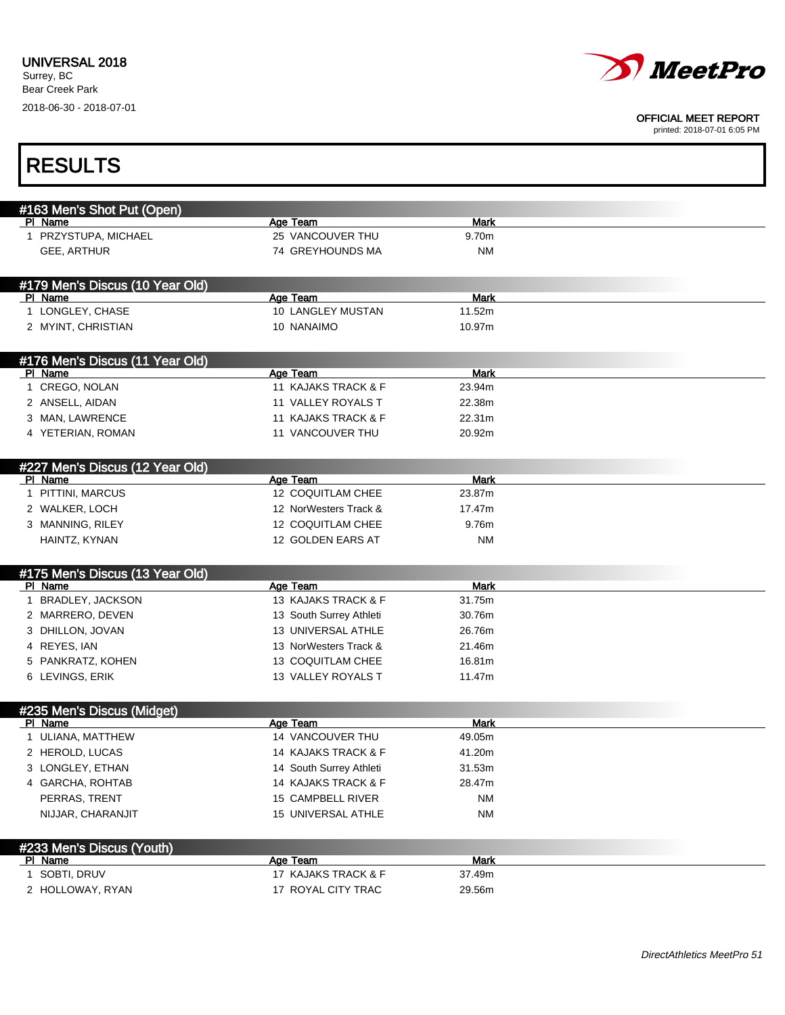Г



#### OFFICIAL MEET REPORT

printed: 2018-07-01 6:05 PM

٦

| <b>RESULTS</b>                  |                           |             |  |
|---------------------------------|---------------------------|-------------|--|
|                                 |                           |             |  |
| #163 Men's Shot Put (Open)      |                           |             |  |
| PI Name                         | Age Team                  | <b>Mark</b> |  |
| 1 PRZYSTUPA, MICHAEL            | 25 VANCOUVER THU          | 9.70m       |  |
| <b>GEE, ARTHUR</b>              | 74 GREYHOUNDS MA          | <b>NM</b>   |  |
| #179 Men's Discus (10 Year Old) |                           |             |  |
| PI Name                         | Age Team                  | <b>Mark</b> |  |
| 1 LONGLEY, CHASE                | 10 LANGLEY MUSTAN         | 11.52m      |  |
| 2 MYINT, CHRISTIAN              | 10 NANAIMO                | 10.97m      |  |
| #176 Men's Discus (11 Year Old) |                           |             |  |
| PI Name                         | Age Team                  | Mark        |  |
| 1 CREGO, NOLAN                  | 11 KAJAKS TRACK & F       | 23.94m      |  |
| 2 ANSELL, AIDAN                 | 11 VALLEY ROYALS T        | 22.38m      |  |
| 3 MAN, LAWRENCE                 | 11 KAJAKS TRACK & F       | 22.31m      |  |
| 4 YETERIAN, ROMAN               | 11 VANCOUVER THU          | 20.92m      |  |
| #227 Men's Discus (12 Year Old) |                           |             |  |
| PI Name                         | Age Team                  | <b>Mark</b> |  |
| 1 PITTINI, MARCUS               | 12 COQUITLAM CHEE         | 23.87m      |  |
| 2 WALKER, LOCH                  | 12 NorWesters Track &     | 17.47m      |  |
| 3 MANNING, RILEY                | 12 COQUITLAM CHEE         | 9.76m       |  |
| HAINTZ, KYNAN                   | 12 GOLDEN EARS AT         | <b>NM</b>   |  |
| #175 Men's Discus (13 Year Old) |                           |             |  |
| PI Name                         | Age Team                  | <b>Mark</b> |  |
| 1 BRADLEY, JACKSON              | 13 KAJAKS TRACK & F       | 31.75m      |  |
| 2 MARRERO, DEVEN                | 13 South Surrey Athleti   | 30.76m      |  |
| 3 DHILLON, JOVAN                | <b>13 UNIVERSAL ATHLE</b> | 26.76m      |  |
| 4 REYES, IAN                    | 13 NorWesters Track &     | 21.46m      |  |
| 5 PANKRATZ, KOHEN               | 13 COQUITLAM CHEE         | 16.81m      |  |
| 6 LEVINGS, ERIK                 | 13 VALLEY ROYALS T        | 11.47m      |  |
| #235 Men's Discus (Midget)      |                           |             |  |
| PI Name                         | Age Team                  | Mark        |  |
| 1 ULIANA, MATTHEW               | 14 VANCOUVER THU          | 49.05m      |  |
| 2 HEROLD, LUCAS                 | 14 KAJAKS TRACK & F       | 41.20m      |  |
| 3 LONGLEY, ETHAN                | 14 South Surrey Athleti   | 31.53m      |  |
| 4 GARCHA, ROHTAB                | 14 KAJAKS TRACK & F       | 28.47m      |  |
| PERRAS, TRENT                   | 15 CAMPBELL RIVER         | <b>NM</b>   |  |
| NIJJAR, CHARANJIT               | 15 UNIVERSAL ATHLE        | ΝM          |  |
| #233 Men's Discus (Youth)       |                           |             |  |
| PI Name                         | Age Team                  | <b>Mark</b> |  |
| 1 SOBTI, DRUV                   | 17 KAJAKS TRACK & F       | 37.49m      |  |
| 2 HOLLOWAY, RYAN                | 17 ROYAL CITY TRAC        | 29.56m      |  |
|                                 |                           |             |  |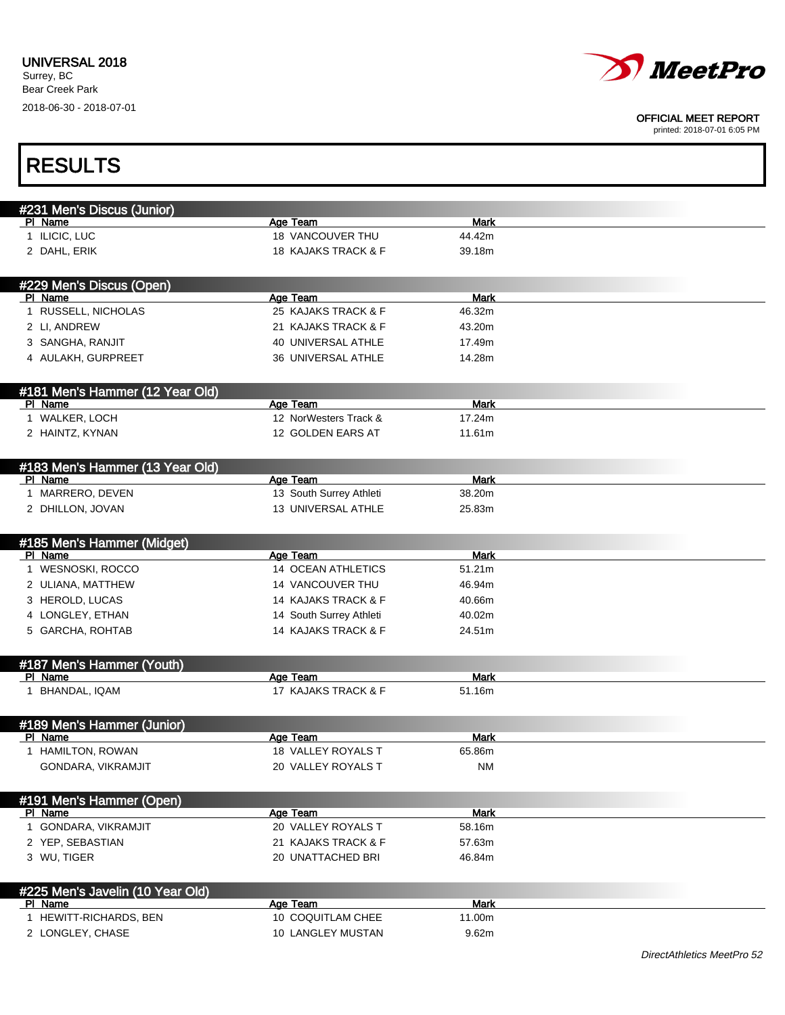

#### OFFICIAL MEET REPORT

| <b>RESULTS</b>                              |                              |                       |  |
|---------------------------------------------|------------------------------|-----------------------|--|
| #231 Men's Discus (Junior)                  |                              |                       |  |
| PI Name<br>1 ILICIC, LUC                    | Age Team<br>18 VANCOUVER THU | <b>Mark</b><br>44.42m |  |
| 2 DAHL, ERIK                                | 18 KAJAKS TRACK & F          | 39.18m                |  |
|                                             |                              |                       |  |
| #229 Men's Discus (Open)                    |                              |                       |  |
| PI Name                                     | Age Team                     | <b>Mark</b>           |  |
| 1 RUSSELL, NICHOLAS                         | 25 KAJAKS TRACK & F          | 46.32m                |  |
| 2 LI, ANDREW                                | 21 KAJAKS TRACK & F          | 43.20m                |  |
| 3 SANGHA, RANJIT                            | 40 UNIVERSAL ATHLE           | 17.49m                |  |
| 4 AULAKH, GURPREET                          | 36 UNIVERSAL ATHLE           | 14.28m                |  |
| #181 Men's Hammer (12 Year Old)             |                              |                       |  |
| PI Name                                     | Age Team                     | <b>Mark</b>           |  |
| 1 WALKER, LOCH                              | 12 NorWesters Track &        | 17.24m                |  |
| 2 HAINTZ, KYNAN                             | 12 GOLDEN EARS AT            | 11.61m                |  |
| #183 Men's Hammer (13 Year Old)             |                              |                       |  |
| PI Name                                     | Age Team                     | <b>Mark</b>           |  |
| 1 MARRERO, DEVEN                            | 13 South Surrey Athleti      | 38.20m                |  |
| 2 DHILLON, JOVAN                            | 13 UNIVERSAL ATHLE           | 25.83m                |  |
| #185 Men's Hammer (Midget)                  |                              |                       |  |
| PI Name                                     | Age Team                     | <b>Mark</b>           |  |
| 1 WESNOSKI, ROCCO                           | 14 OCEAN ATHLETICS           | 51.21m                |  |
| 2 ULIANA, MATTHEW                           | 14 VANCOUVER THU             | 46.94m                |  |
| 3 HEROLD, LUCAS                             | 14 KAJAKS TRACK & F          | 40.66m                |  |
| 4 LONGLEY, ETHAN                            | 14 South Surrey Athleti      | 40.02m                |  |
| 5 GARCHA, ROHTAB                            | 14 KAJAKS TRACK & F          | 24.51m                |  |
| #187 Men's Hammer (Youth)                   |                              |                       |  |
| PI Name                                     | Age Team                     | <b>Mark</b>           |  |
| 1 BHANDAL, IQAM                             | 17 KAJAKS TRACK & F          | 51.16m                |  |
|                                             |                              |                       |  |
| #189 Men's Hammer (Junior)<br>PI Name       | Age Team                     | Mark                  |  |
| 1 HAMILTON, ROWAN                           | 18 VALLEY ROYALS T           | 65.86m                |  |
| GONDARA, VIKRAMJIT                          | 20 VALLEY ROYALS T           | NM                    |  |
| #191 Men's Hammer (Open)                    |                              |                       |  |
| PI Name                                     | Age Team                     | <b>Mark</b>           |  |
| 1 GONDARA, VIKRAMJIT                        | 20 VALLEY ROYALS T           | 58.16m                |  |
| 2 YEP, SEBASTIAN                            | 21 KAJAKS TRACK & F          | 57.63m                |  |
| 3 WU, TIGER                                 | 20 UNATTACHED BRI            | 46.84m                |  |
|                                             |                              |                       |  |
| #225 Men's Javelin (10 Year Old)<br>PI Name | Age Team                     | <b>Mark</b>           |  |
| 1 HEWITT-RICHARDS, BEN                      | 10 COQUITLAM CHEE            | 11.00m                |  |
| 2 LONGLEY, CHASE                            | 10 LANGLEY MUSTAN            | 9.62m                 |  |
|                                             |                              |                       |  |